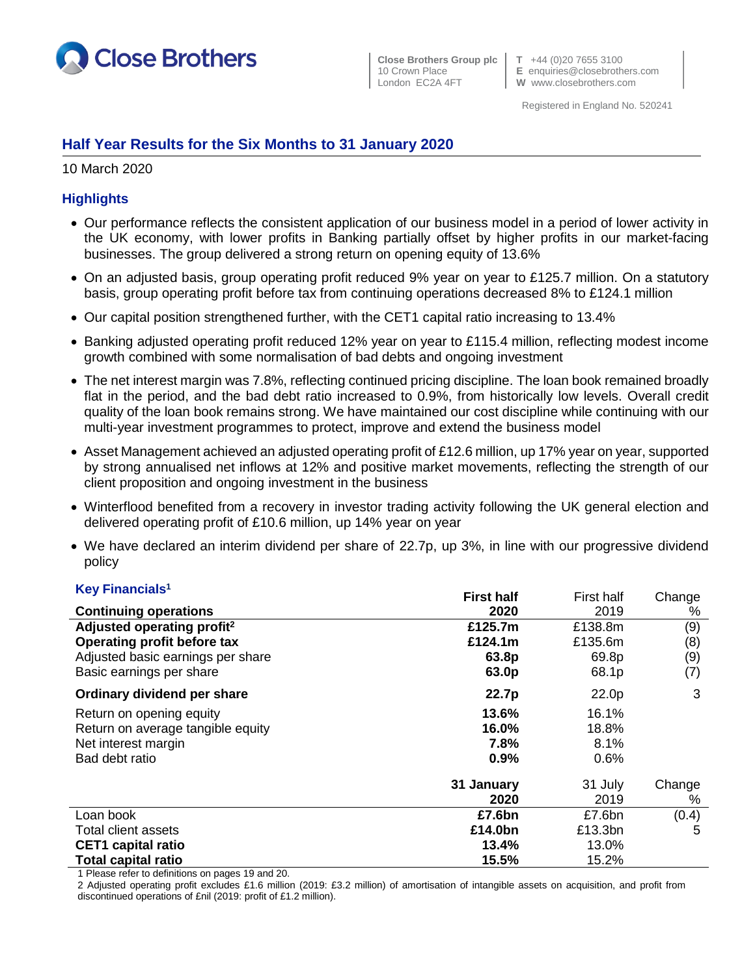

London EC2A 4FT **W** www.closebrothers.com

 **Close Brothers Group plc T** +44 (0)20 7655 3100 10 Crown Place **E** enquiries@closebrothers.com

Registered in England No. 520241

# **Half Year Results for the Six Months to 31 January 2020**

10 March 2020

# **Highlights**

- Our performance reflects the consistent application of our business model in a period of lower activity in the UK economy, with lower profits in Banking partially offset by higher profits in our market-facing businesses. The group delivered a strong return on opening equity of 13.6%
- On an adjusted basis, group operating profit reduced 9% year on year to £125.7 million. On a statutory basis, group operating profit before tax from continuing operations decreased 8% to £124.1 million
- Our capital position strengthened further, with the CET1 capital ratio increasing to 13.4%
- Banking adjusted operating profit reduced 12% year on year to £115.4 million, reflecting modest income growth combined with some normalisation of bad debts and ongoing investment
- The net interest margin was 7.8%, reflecting continued pricing discipline. The loan book remained broadly flat in the period, and the bad debt ratio increased to 0.9%, from historically low levels. Overall credit quality of the loan book remains strong. We have maintained our cost discipline while continuing with our multi-year investment programmes to protect, improve and extend the business model
- Asset Management achieved an adjusted operating profit of £12.6 million, up 17% year on year, supported by strong annualised net inflows at 12% and positive market movements, reflecting the strength of our client proposition and ongoing investment in the business
- Winterflood benefited from a recovery in investor trading activity following the UK general election and delivered operating profit of £10.6 million, up 14% year on year
- We have declared an interim dividend per share of 22.7p, up 3%, in line with our progressive dividend policy

| Key Financials <sup>1</sup>            | <b>First half</b> | First half | Change |
|----------------------------------------|-------------------|------------|--------|
| <b>Continuing operations</b>           | 2020              | 2019       | %      |
| Adjusted operating profit <sup>2</sup> | £125.7m           | £138.8m    | (9)    |
| Operating profit before tax            | £124.1m           | £135.6m    | (8)    |
| Adjusted basic earnings per share      | 63.8p             | 69.8p      | (9)    |
| Basic earnings per share               | 63.0p             | 68.1p      | (7)    |
| Ordinary dividend per share            | 22.7p             | 22.0p      | 3      |
| Return on opening equity               | 13.6%             | 16.1%      |        |
| Return on average tangible equity      | 16.0%             | 18.8%      |        |
| Net interest margin                    | 7.8%              | 8.1%       |        |
| Bad debt ratio                         | 0.9%              | 0.6%       |        |
|                                        | 31 January        | 31 July    | Change |
|                                        | 2020              | 2019       | %      |
| Loan book                              | £7.6bn            | £7.6bn     | (0.4)  |
| Total client assets                    | £14.0bn           | £13.3bn    | 5      |
| <b>CET1</b> capital ratio              | 13.4%             | 13.0%      |        |
| <b>Total capital ratio</b>             | 15.5%             | 15.2%      |        |

1 Please refer to definitions on pages 19 and 20.

2 Adjusted operating profit excludes £1.6 million (2019: £3.2 million) of amortisation of intangible assets on acquisition, and profit from discontinued operations of £nil (2019: profit of £1.2 million).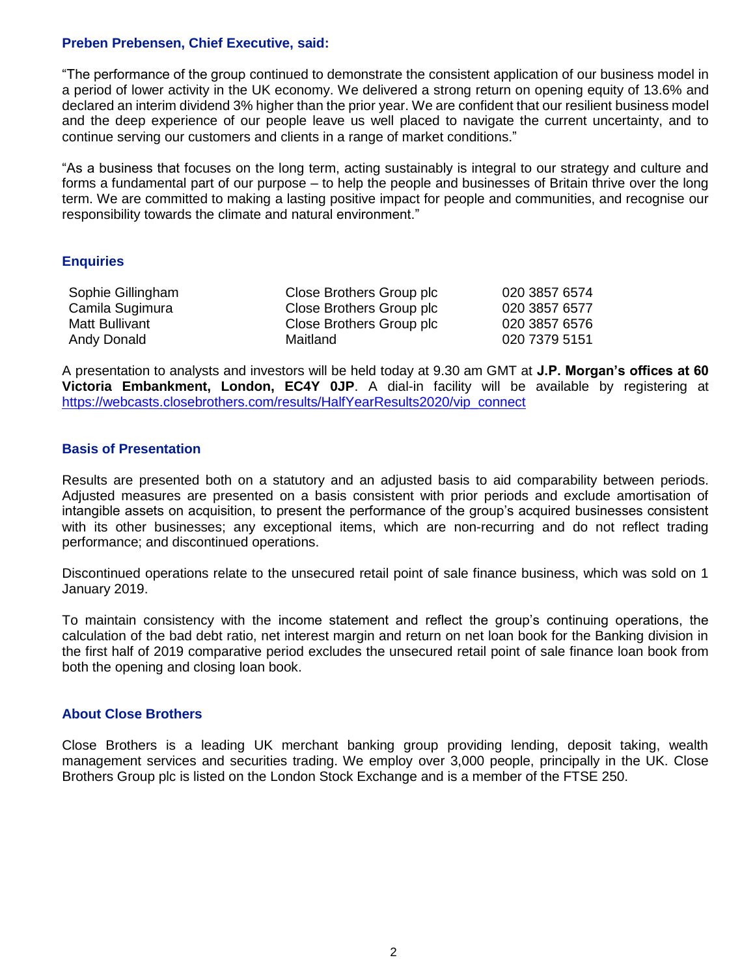#### **Preben Prebensen, Chief Executive, said:**

"The performance of the group continued to demonstrate the consistent application of our business model in a period of lower activity in the UK economy. We delivered a strong return on opening equity of 13.6% and declared an interim dividend 3% higher than the prior year. We are confident that our resilient business model and the deep experience of our people leave us well placed to navigate the current uncertainty, and to continue serving our customers and clients in a range of market conditions."

"As a business that focuses on the long term, acting sustainably is integral to our strategy and culture and forms a fundamental part of our purpose – to help the people and businesses of Britain thrive over the long term. We are committed to making a lasting positive impact for people and communities, and recognise our responsibility towards the climate and natural environment."

### **Enquiries**

| Sophie Gillingham | Close Brothers Group plc | 020 3857 6574 |
|-------------------|--------------------------|---------------|
| Camila Sugimura   | Close Brothers Group plc | 020 3857 6577 |
| Matt Bullivant    | Close Brothers Group plc | 020 3857 6576 |
| Andy Donald       | Maitland                 | 020 7379 5151 |

A presentation to analysts and investors will be held today at 9.30 am GMT at **J.P. Morgan's offices at 60 Victoria Embankment, London, EC4Y 0JP**. A dial-in facility will be available by registering at https://webcasts.closebrothers.com/results/HalfYearResults2020/vip\_connect

# **Basis of Presentation**

Results are presented both on a statutory and an adjusted basis to aid comparability between periods. Adjusted measures are presented on a basis consistent with prior periods and exclude amortisation of intangible assets on acquisition, to present the performance of the group's acquired businesses consistent with its other businesses; any exceptional items, which are non-recurring and do not reflect trading performance; and discontinued operations.

Discontinued operations relate to the unsecured retail point of sale finance business, which was sold on 1 January 2019.

To maintain consistency with the income statement and reflect the group's continuing operations, the calculation of the bad debt ratio, net interest margin and return on net loan book for the Banking division in the first half of 2019 comparative period excludes the unsecured retail point of sale finance loan book from both the opening and closing loan book.

#### **About Close Brothers**

Close Brothers is a leading UK merchant banking group providing lending, deposit taking, wealth management services and securities trading. We employ over 3,000 people, principally in the UK. Close Brothers Group plc is listed on the London Stock Exchange and is a member of the FTSE 250.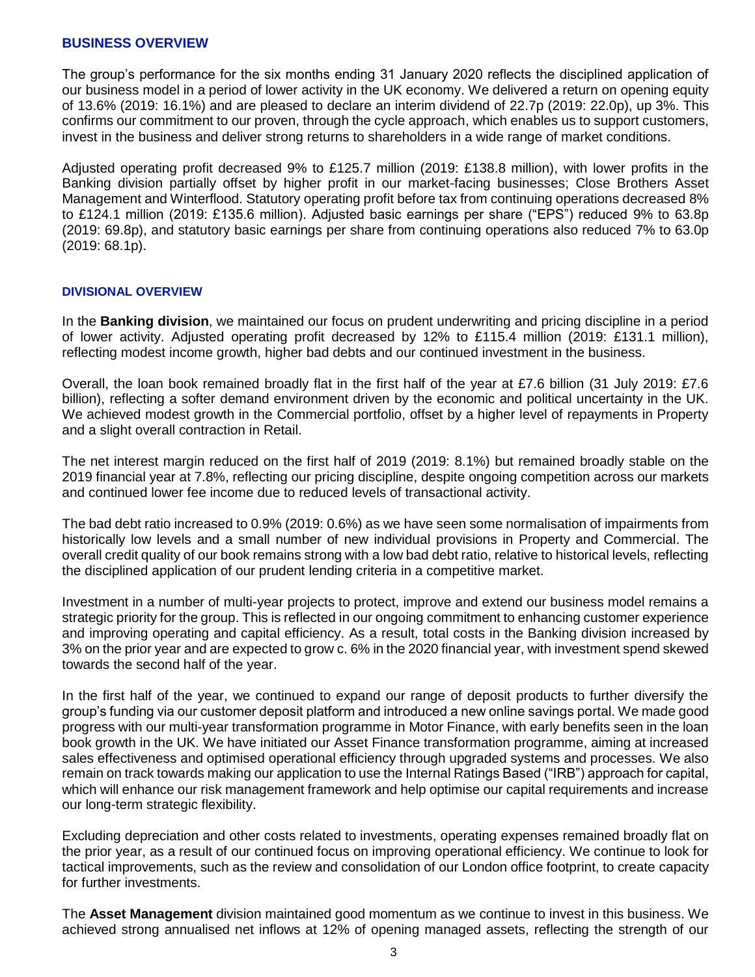#### **BUSINESS OVERVIEW**

The group's performance for the six months ending 31 January 2020 reflects the disciplined application of our business model in a period of lower activity in the UK economy. We delivered a return on opening equity of 13.6% (2019: 16.1%) and are pleased to declare an interim dividend of 22.7p (2019: 22.0p), up 3%. This confirms our commitment to our proven, through the cycle approach, which enables us to support customers, invest in the business and deliver strong returns to shareholders in a wide range of market conditions.

Adjusted operating profit decreased 9% to £125.7 million (2019: £138.8 million), with lower profits in the Banking division partially offset by higher profit in our market-facing businesses; Close Brothers Asset Management and Winterflood. Statutory operating profit before tax from continuing operations decreased 8% to £124.1 million (2019: £135.6 million). Adjusted basic earnings per share ("EPS") reduced 9% to 63.8p (2019: 69.8p), and statutory basic earnings per share from continuing operations also reduced 7% to 63.0p (2019: 68.1p).

#### **DIVISIONAL OVERVIEW**

In the **Banking division**, we maintained our focus on prudent underwriting and pricing discipline in a period of lower activity. Adjusted operating profit decreased by 12% to £115.4 million (2019: £131.1 million), reflecting modest income growth, higher bad debts and our continued investment in the business.

Overall, the loan book remained broadly flat in the first half of the year at £7.6 billion (31 July 2019: £7.6 billion), reflecting a softer demand environment driven by the economic and political uncertainty in the UK. We achieved modest growth in the Commercial portfolio, offset by a higher level of repayments in Property and a slight overall contraction in Retail.

The net interest margin reduced on the first half of 2019 (2019: 8.1%) but remained broadly stable on the 2019 financial year at 7.8%, reflecting our pricing discipline, despite ongoing competition across our markets and continued lower fee income due to reduced levels of transactional activity.

The bad debt ratio increased to 0.9% (2019: 0.6%) as we have seen some normalisation of impairments from historically low levels and a small number of new individual provisions in Property and Commercial. The overall credit quality of our book remains strong with a low bad debt ratio, relative to historical levels, reflecting the disciplined application of our prudent lending criteria in a competitive market.

Investment in a number of multi-year projects to protect, improve and extend our business model remains a strategic priority for the group. This is reflected in our ongoing commitment to enhancing customer experience and improving operating and capital efficiency. As a result, total costs in the Banking division increased by 3% on the prior year and are expected to grow c. 6% in the 2020 financial year, with investment spend skewed towards the second half of the year.

In the first half of the year, we continued to expand our range of deposit products to further diversify the group's funding via our customer deposit platform and introduced a new online savings portal. We made good progress with our multi-year transformation programme in Motor Finance, with early benefits seen in the loan book growth in the UK. We have initiated our Asset Finance transformation programme, aiming at increased sales effectiveness and optimised operational efficiency through upgraded systems and processes. We also remain on track towards making our application to use the Internal Ratings Based ("IRB") approach for capital, which will enhance our risk management framework and help optimise our capital requirements and increase our long-term strategic flexibility.

Excluding depreciation and other costs related to investments, operating expenses remained broadly flat on the prior year, as a result of our continued focus on improving operational efficiency. We continue to look for tactical improvements, such as the review and consolidation of our London office footprint, to create capacity for further investments.

The **Asset Management** division maintained good momentum as we continue to invest in this business. We achieved strong annualised net inflows at 12% of opening managed assets, reflecting the strength of our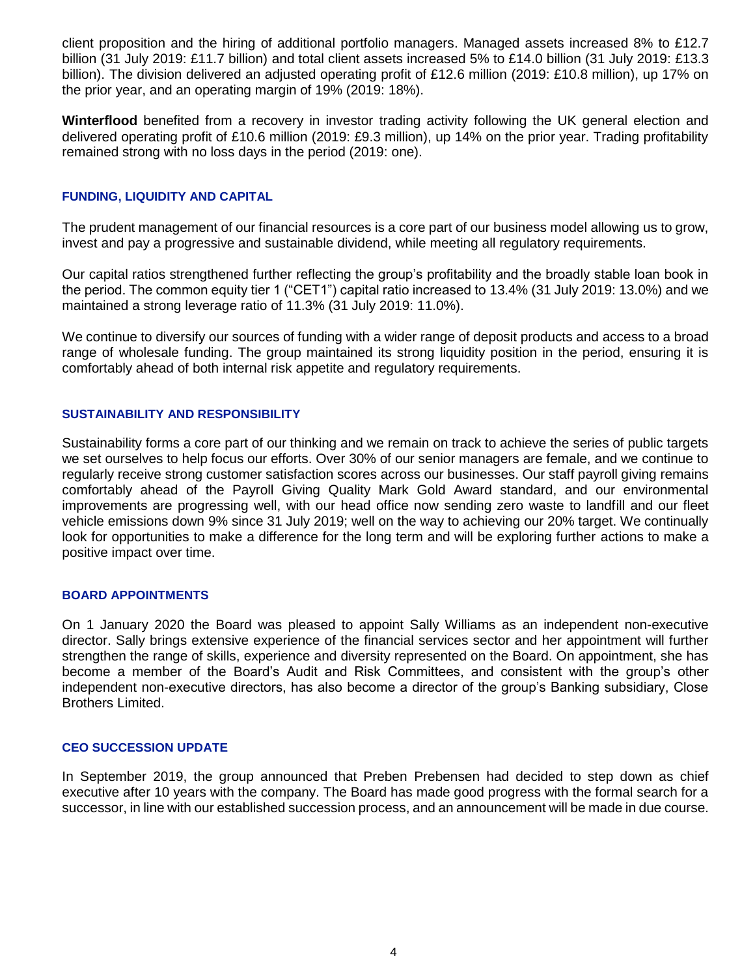client proposition and the hiring of additional portfolio managers. Managed assets increased 8% to £12.7 billion (31 July 2019: £11.7 billion) and total client assets increased 5% to £14.0 billion (31 July 2019: £13.3 billion). The division delivered an adjusted operating profit of £12.6 million (2019: £10.8 million), up 17% on the prior year, and an operating margin of 19% (2019: 18%).

**Winterflood** benefited from a recovery in investor trading activity following the UK general election and delivered operating profit of £10.6 million (2019: £9.3 million), up 14% on the prior year. Trading profitability remained strong with no loss days in the period (2019: one).

#### **FUNDING, LIQUIDITY AND CAPITAL**

The prudent management of our financial resources is a core part of our business model allowing us to grow, invest and pay a progressive and sustainable dividend, while meeting all regulatory requirements.

Our capital ratios strengthened further reflecting the group's profitability and the broadly stable loan book in the period. The common equity tier 1 ("CET1") capital ratio increased to 13.4% (31 July 2019: 13.0%) and we maintained a strong leverage ratio of 11.3% (31 July 2019: 11.0%).

We continue to diversify our sources of funding with a wider range of deposit products and access to a broad range of wholesale funding. The group maintained its strong liquidity position in the period, ensuring it is comfortably ahead of both internal risk appetite and regulatory requirements.

#### **SUSTAINABILITY AND RESPONSIBILITY**

Sustainability forms a core part of our thinking and we remain on track to achieve the series of public targets we set ourselves to help focus our efforts. Over 30% of our senior managers are female, and we continue to regularly receive strong customer satisfaction scores across our businesses. Our staff payroll giving remains comfortably ahead of the Payroll Giving Quality Mark Gold Award standard, and our environmental improvements are progressing well, with our head office now sending zero waste to landfill and our fleet vehicle emissions down 9% since 31 July 2019; well on the way to achieving our 20% target. We continually look for opportunities to make a difference for the long term and will be exploring further actions to make a positive impact over time.

#### **BOARD APPOINTMENTS**

On 1 January 2020 the Board was pleased to appoint Sally Williams as an independent non-executive director. Sally brings extensive experience of the financial services sector and her appointment will further strengthen the range of skills, experience and diversity represented on the Board. On appointment, she has become a member of the Board's Audit and Risk Committees, and consistent with the group's other independent non-executive directors, has also become a director of the group's Banking subsidiary, Close Brothers Limited.

#### **CEO SUCCESSION UPDATE**

In September 2019, the group announced that Preben Prebensen had decided to step down as chief executive after 10 years with the company. The Board has made good progress with the formal search for a successor, in line with our established succession process, and an announcement will be made in due course.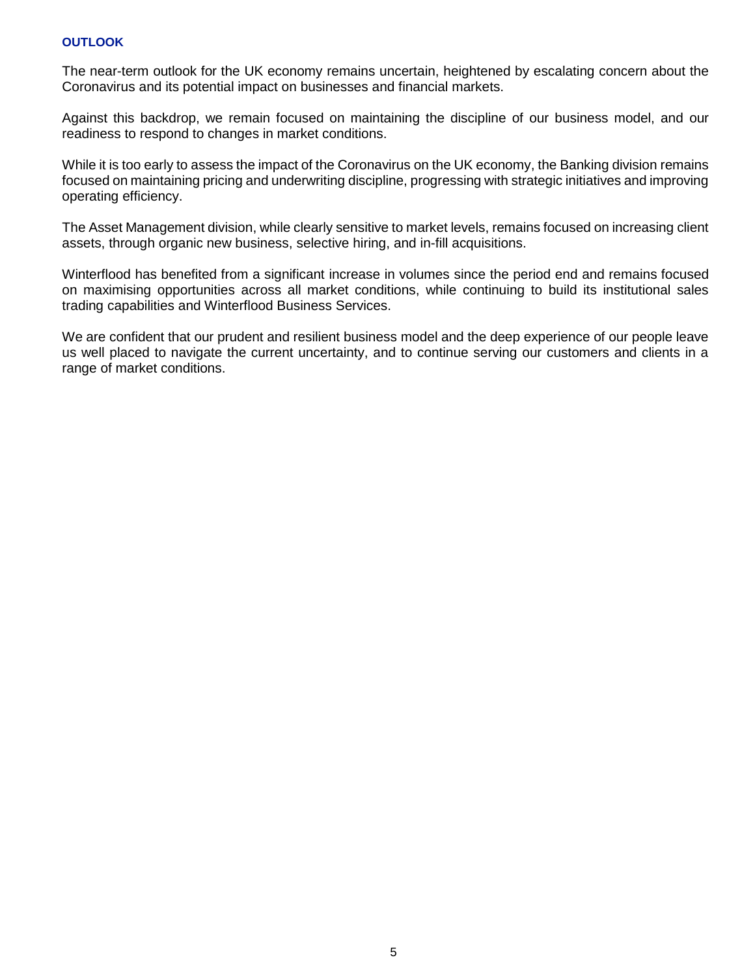#### **OUTLOOK**

The near-term outlook for the UK economy remains uncertain, heightened by escalating concern about the Coronavirus and its potential impact on businesses and financial markets.

Against this backdrop, we remain focused on maintaining the discipline of our business model, and our readiness to respond to changes in market conditions.

While it is too early to assess the impact of the Coronavirus on the UK economy, the Banking division remains focused on maintaining pricing and underwriting discipline, progressing with strategic initiatives and improving operating efficiency.

The Asset Management division, while clearly sensitive to market levels, remains focused on increasing client assets, through organic new business, selective hiring, and in-fill acquisitions.

Winterflood has benefited from a significant increase in volumes since the period end and remains focused on maximising opportunities across all market conditions, while continuing to build its institutional sales trading capabilities and Winterflood Business Services.

We are confident that our prudent and resilient business model and the deep experience of our people leave us well placed to navigate the current uncertainty, and to continue serving our customers and clients in a range of market conditions.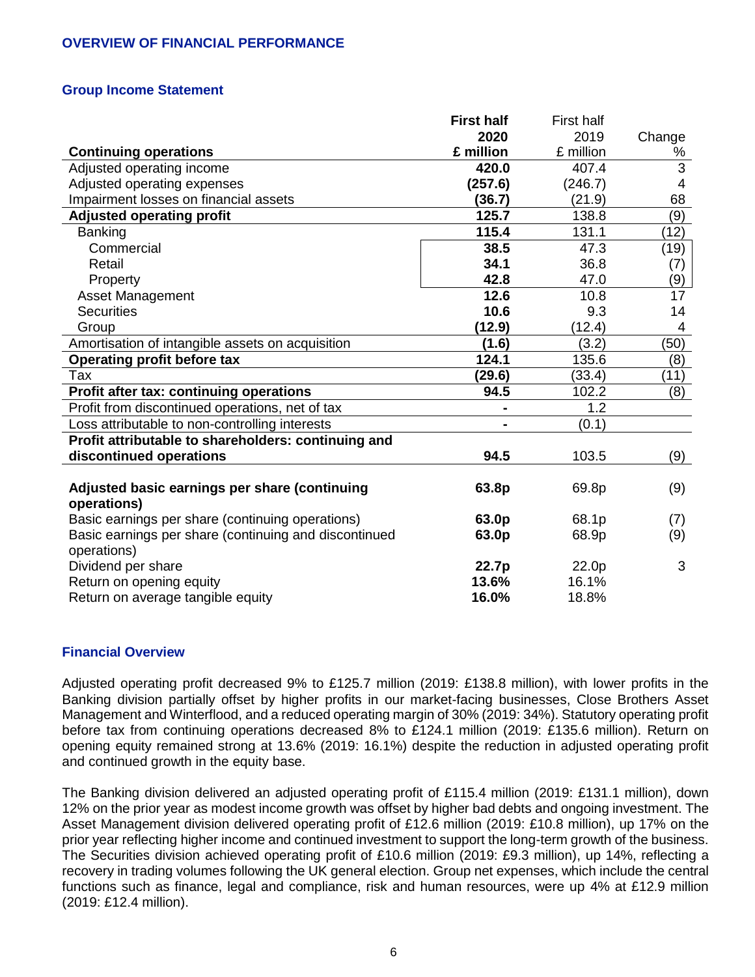# **OVERVIEW OF FINANCIAL PERFORMANCE**

#### **Group Income Statement**

|                                                                      | <b>First half</b> | First half |        |
|----------------------------------------------------------------------|-------------------|------------|--------|
|                                                                      | 2020              | 2019       | Change |
| <b>Continuing operations</b>                                         | £ million         | £ million  | %      |
| Adjusted operating income                                            | 420.0             | 407.4      | 3      |
| Adjusted operating expenses                                          | (257.6)           | (246.7)    | 4      |
| Impairment losses on financial assets                                | (36.7)            | (21.9)     | 68     |
| <b>Adjusted operating profit</b>                                     | 125.7             | 138.8      | (9)    |
| Banking                                                              | 115.4             | 131.1      | (12)   |
| Commercial                                                           | 38.5              | 47.3       | (19)   |
| Retail                                                               | 34.1              | 36.8       | (7)    |
| Property                                                             | 42.8              | 47.0       | (9)    |
| <b>Asset Management</b>                                              | 12.6              | 10.8       | 17     |
| <b>Securities</b>                                                    | 10.6              | 9.3        | 14     |
| Group                                                                | (12.9)            | (12.4)     | 4      |
| Amortisation of intangible assets on acquisition                     | (1.6)             | (3.2)      | (50)   |
| <b>Operating profit before tax</b>                                   | 124.1             | 135.6      | (8)    |
| Tax                                                                  | (29.6)            | (33.4)     | (11)   |
| Profit after tax: continuing operations                              | 94.5              | 102.2      | (8)    |
| Profit from discontinued operations, net of tax                      |                   | 1.2        |        |
| Loss attributable to non-controlling interests                       |                   | (0.1)      |        |
| Profit attributable to shareholders: continuing and                  |                   |            |        |
| discontinued operations                                              | 94.5              | 103.5      | (9)    |
|                                                                      |                   |            |        |
| Adjusted basic earnings per share (continuing                        | 63.8p             | 69.8p      | (9)    |
| operations)                                                          |                   |            |        |
| Basic earnings per share (continuing operations)                     | 63.0p             | 68.1p      | (7)    |
| Basic earnings per share (continuing and discontinued<br>operations) | 63.0p             | 68.9p      | (9)    |
| Dividend per share                                                   | 22.7p             | 22.0p      | 3      |
| Return on opening equity                                             | 13.6%             | 16.1%      |        |
| Return on average tangible equity                                    | 16.0%             | 18.8%      |        |
|                                                                      |                   |            |        |

# **Financial Overview**

Adjusted operating profit decreased 9% to £125.7 million (2019: £138.8 million), with lower profits in the Banking division partially offset by higher profits in our market-facing businesses, Close Brothers Asset Management and Winterflood, and a reduced operating margin of 30% (2019: 34%). Statutory operating profit before tax from continuing operations decreased 8% to £124.1 million (2019: £135.6 million). Return on opening equity remained strong at 13.6% (2019: 16.1%) despite the reduction in adjusted operating profit and continued growth in the equity base.

The Banking division delivered an adjusted operating profit of £115.4 million (2019: £131.1 million), down 12% on the prior year as modest income growth was offset by higher bad debts and ongoing investment. The Asset Management division delivered operating profit of £12.6 million (2019: £10.8 million), up 17% on the prior year reflecting higher income and continued investment to support the long-term growth of the business. The Securities division achieved operating profit of £10.6 million (2019: £9.3 million), up 14%, reflecting a recovery in trading volumes following the UK general election. Group net expenses, which include the central functions such as finance, legal and compliance, risk and human resources, were up 4% at £12.9 million (2019: £12.4 million).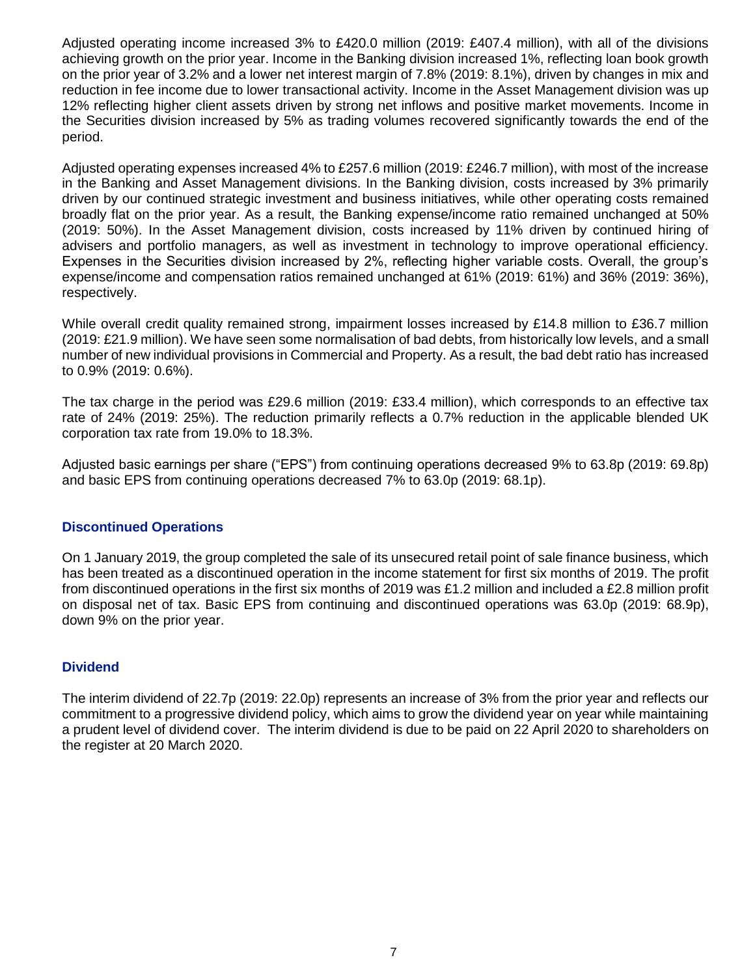Adjusted operating income increased 3% to £420.0 million (2019: £407.4 million), with all of the divisions achieving growth on the prior year. Income in the Banking division increased 1%, reflecting loan book growth on the prior year of 3.2% and a lower net interest margin of 7.8% (2019: 8.1%), driven by changes in mix and reduction in fee income due to lower transactional activity. Income in the Asset Management division was up 12% reflecting higher client assets driven by strong net inflows and positive market movements. Income in the Securities division increased by 5% as trading volumes recovered significantly towards the end of the period.

Adjusted operating expenses increased 4% to £257.6 million (2019: £246.7 million), with most of the increase in the Banking and Asset Management divisions. In the Banking division, costs increased by 3% primarily driven by our continued strategic investment and business initiatives, while other operating costs remained broadly flat on the prior year. As a result, the Banking expense/income ratio remained unchanged at 50% (2019: 50%). In the Asset Management division, costs increased by 11% driven by continued hiring of advisers and portfolio managers, as well as investment in technology to improve operational efficiency. Expenses in the Securities division increased by 2%, reflecting higher variable costs. Overall, the group's expense/income and compensation ratios remained unchanged at 61% (2019: 61%) and 36% (2019: 36%), respectively.

While overall credit quality remained strong, impairment losses increased by £14.8 million to £36.7 million (2019: £21.9 million). We have seen some normalisation of bad debts, from historically low levels, and a small number of new individual provisions in Commercial and Property. As a result, the bad debt ratio has increased to 0.9% (2019: 0.6%).

The tax charge in the period was £29.6 million (2019: £33.4 million), which corresponds to an effective tax rate of 24% (2019: 25%). The reduction primarily reflects a 0.7% reduction in the applicable blended UK corporation tax rate from 19.0% to 18.3%.

Adjusted basic earnings per share ("EPS") from continuing operations decreased 9% to 63.8p (2019: 69.8p) and basic EPS from continuing operations decreased 7% to 63.0p (2019: 68.1p).

# **Discontinued Operations**

On 1 January 2019, the group completed the sale of its unsecured retail point of sale finance business, which has been treated as a discontinued operation in the income statement for first six months of 2019. The profit from discontinued operations in the first six months of 2019 was £1.2 million and included a £2.8 million profit on disposal net of tax. Basic EPS from continuing and discontinued operations was 63.0p (2019: 68.9p), down 9% on the prior year.

#### **Dividend**

The interim dividend of 22.7p (2019: 22.0p) represents an increase of 3% from the prior year and reflects our commitment to a progressive dividend policy, which aims to grow the dividend year on year while maintaining a prudent level of dividend cover. The interim dividend is due to be paid on 22 April 2020 to shareholders on the register at 20 March 2020.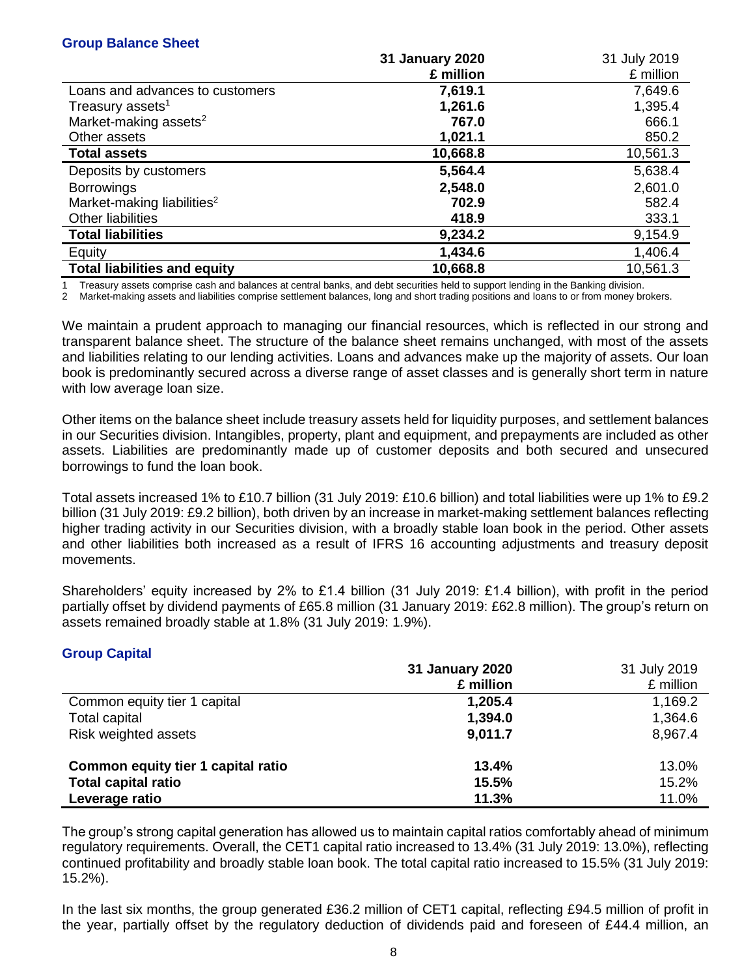#### **Group Balance Sheet**

|                                        | <b>31 January 2020</b> | 31 July 2019 |
|----------------------------------------|------------------------|--------------|
|                                        | £ million              | £ million    |
| Loans and advances to customers        | 7,619.1                | 7,649.6      |
| Treasury assets <sup>1</sup>           | 1,261.6                | 1,395.4      |
| Market-making assets <sup>2</sup>      | 767.0                  | 666.1        |
| Other assets                           | 1,021.1                | 850.2        |
| <b>Total assets</b>                    | 10,668.8               | 10,561.3     |
| Deposits by customers                  | 5,564.4                | 5,638.4      |
| <b>Borrowings</b>                      | 2,548.0                | 2,601.0      |
| Market-making liabilities <sup>2</sup> | 702.9                  | 582.4        |
| Other liabilities                      | 418.9                  | 333.1        |
| <b>Total liabilities</b>               | 9,234.2                | 9,154.9      |
| Equity                                 | 1,434.6                | 1,406.4      |
| <b>Total liabilities and equity</b>    | 10,668.8               | 10,561.3     |

1 Treasury assets comprise cash and balances at central banks, and debt securities held to support lending in the Banking division.

2 Market-making assets and liabilities comprise settlement balances, long and short trading positions and loans to or from money brokers.

We maintain a prudent approach to managing our financial resources, which is reflected in our strong and transparent balance sheet. The structure of the balance sheet remains unchanged, with most of the assets and liabilities relating to our lending activities. Loans and advances make up the majority of assets. Our loan book is predominantly secured across a diverse range of asset classes and is generally short term in nature with low average loan size.

Other items on the balance sheet include treasury assets held for liquidity purposes, and settlement balances in our Securities division. Intangibles, property, plant and equipment, and prepayments are included as other assets. Liabilities are predominantly made up of customer deposits and both secured and unsecured borrowings to fund the loan book.

Total assets increased 1% to £10.7 billion (31 July 2019: £10.6 billion) and total liabilities were up 1% to £9.2 billion (31 July 2019: £9.2 billion), both driven by an increase in market-making settlement balances reflecting higher trading activity in our Securities division, with a broadly stable loan book in the period. Other assets and other liabilities both increased as a result of IFRS 16 accounting adjustments and treasury deposit movements.

Shareholders' equity increased by 2% to £1.4 billion (31 July 2019: £1.4 billion), with profit in the period partially offset by dividend payments of £65.8 million (31 January 2019: £62.8 million). The group's return on assets remained broadly stable at 1.8% (31 July 2019: 1.9%).

# **Group Capital**

|                                    | <b>31 January 2020</b> | 31 July 2019 |
|------------------------------------|------------------------|--------------|
|                                    | £ million              | £ million    |
| Common equity tier 1 capital       | 1,205.4                | 1,169.2      |
| Total capital                      | 1,394.0                | 1,364.6      |
| Risk weighted assets               | 9,011.7                | 8,967.4      |
| Common equity tier 1 capital ratio | 13.4%                  | 13.0%        |
| <b>Total capital ratio</b>         | 15.5%                  | 15.2%        |
| Leverage ratio                     | 11.3%                  | 11.0%        |

The group's strong capital generation has allowed us to maintain capital ratios comfortably ahead of minimum regulatory requirements. Overall, the CET1 capital ratio increased to 13.4% (31 July 2019: 13.0%), reflecting continued profitability and broadly stable loan book. The total capital ratio increased to 15.5% (31 July 2019: 15.2%).

In the last six months, the group generated £36.2 million of CET1 capital, reflecting £94.5 million of profit in the year, partially offset by the regulatory deduction of dividends paid and foreseen of £44.4 million, an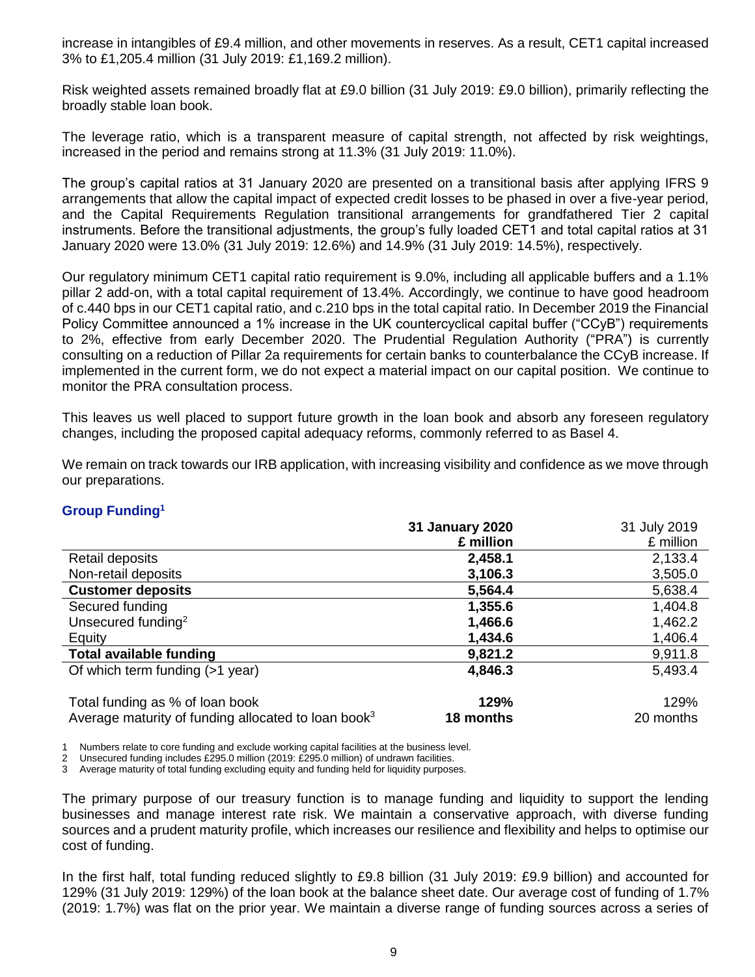increase in intangibles of £9.4 million, and other movements in reserves. As a result, CET1 capital increased 3% to £1,205.4 million (31 July 2019: £1,169.2 million).

Risk weighted assets remained broadly flat at £9.0 billion (31 July 2019: £9.0 billion), primarily reflecting the broadly stable loan book.

The leverage ratio, which is a transparent measure of capital strength, not affected by risk weightings, increased in the period and remains strong at 11.3% (31 July 2019: 11.0%).

The group's capital ratios at 31 January 2020 are presented on a transitional basis after applying IFRS 9 arrangements that allow the capital impact of expected credit losses to be phased in over a five-year period, and the Capital Requirements Regulation transitional arrangements for grandfathered Tier 2 capital instruments. Before the transitional adjustments, the group's fully loaded CET1 and total capital ratios at 31 January 2020 were 13.0% (31 July 2019: 12.6%) and 14.9% (31 July 2019: 14.5%), respectively.

Our regulatory minimum CET1 capital ratio requirement is 9.0%, including all applicable buffers and a 1.1% pillar 2 add-on, with a total capital requirement of 13.4%. Accordingly, we continue to have good headroom of c.440 bps in our CET1 capital ratio, and c.210 bps in the total capital ratio. In December 2019 the Financial Policy Committee announced a 1% increase in the UK countercyclical capital buffer ("CCyB") requirements to 2%, effective from early December 2020. The Prudential Regulation Authority ("PRA") is currently consulting on a reduction of Pillar 2a requirements for certain banks to counterbalance the CCyB increase. If implemented in the current form, we do not expect a material impact on our capital position. We continue to monitor the PRA consultation process.

This leaves us well placed to support future growth in the loan book and absorb any foreseen regulatory changes, including the proposed capital adequacy reforms, commonly referred to as Basel 4.

We remain on track towards our IRB application, with increasing visibility and confidence as we move through our preparations.

# **Group Funding<sup>1</sup>**

|                                                                 | <b>31 January 2020</b> | 31 July 2019 |
|-----------------------------------------------------------------|------------------------|--------------|
|                                                                 | £ million              | £ million    |
| Retail deposits                                                 | 2,458.1                | 2,133.4      |
| Non-retail deposits                                             | 3,106.3                | 3,505.0      |
| <b>Customer deposits</b>                                        | 5,564.4                | 5,638.4      |
| Secured funding                                                 | 1,355.6                | 1,404.8      |
| Unsecured funding <sup>2</sup>                                  | 1,466.6                | 1,462.2      |
| Equity                                                          | 1,434.6                | 1,406.4      |
| <b>Total available funding</b>                                  | 9,821.2                | 9,911.8      |
| Of which term funding $(>1$ year)                               | 4,846.3                | 5,493.4      |
| Total funding as % of loan book                                 | 129%                   | 129%         |
| Average maturity of funding allocated to loan book <sup>3</sup> | 18 months              | 20 months    |

1 Numbers relate to core funding and exclude working capital facilities at the business level.

2 Unsecured funding includes £295.0 million (2019: £295.0 million) of undrawn facilities.

3 Average maturity of total funding excluding equity and funding held for liquidity purposes.

The primary purpose of our treasury function is to manage funding and liquidity to support the lending businesses and manage interest rate risk. We maintain a conservative approach, with diverse funding sources and a prudent maturity profile, which increases our resilience and flexibility and helps to optimise our cost of funding.

In the first half, total funding reduced slightly to £9.8 billion (31 July 2019: £9.9 billion) and accounted for 129% (31 July 2019: 129%) of the loan book at the balance sheet date. Our average cost of funding of 1.7% (2019: 1.7%) was flat on the prior year. We maintain a diverse range of funding sources across a series of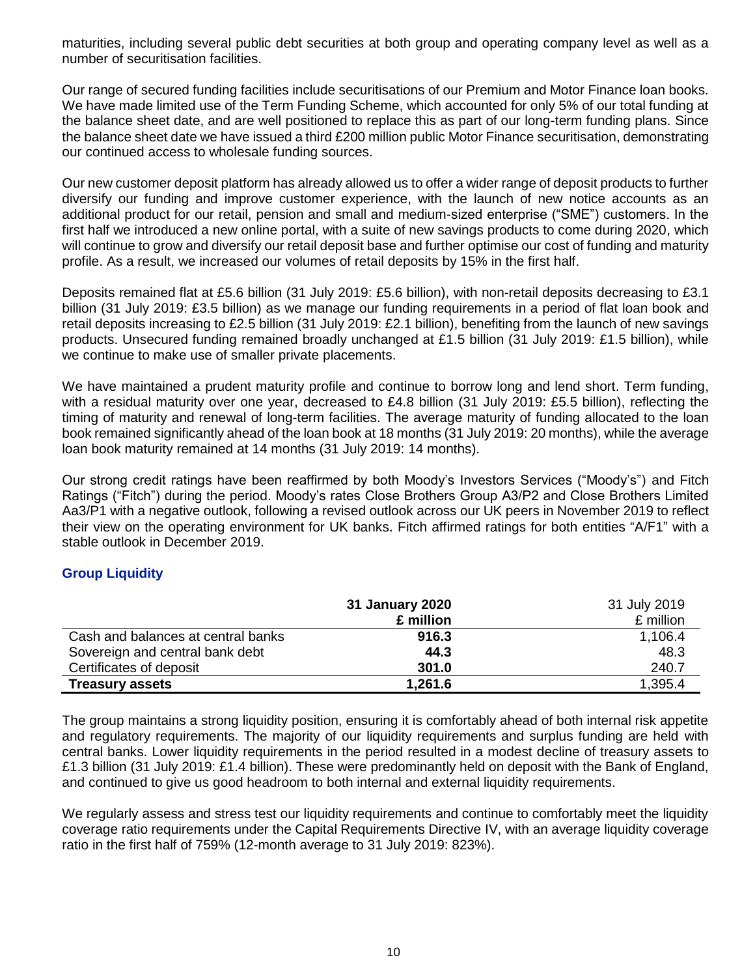maturities, including several public debt securities at both group and operating company level as well as a number of securitisation facilities.

Our range of secured funding facilities include securitisations of our Premium and Motor Finance loan books. We have made limited use of the Term Funding Scheme, which accounted for only 5% of our total funding at the balance sheet date, and are well positioned to replace this as part of our long-term funding plans. Since the balance sheet date we have issued a third £200 million public Motor Finance securitisation, demonstrating our continued access to wholesale funding sources.

Our new customer deposit platform has already allowed us to offer a wider range of deposit products to further diversify our funding and improve customer experience, with the launch of new notice accounts as an additional product for our retail, pension and small and medium-sized enterprise ("SME") customers. In the first half we introduced a new online portal, with a suite of new savings products to come during 2020, which will continue to grow and diversify our retail deposit base and further optimise our cost of funding and maturity profile. As a result, we increased our volumes of retail deposits by 15% in the first half.

Deposits remained flat at £5.6 billion (31 July 2019: £5.6 billion), with non-retail deposits decreasing to £3.1 billion (31 July 2019: £3.5 billion) as we manage our funding requirements in a period of flat loan book and retail deposits increasing to £2.5 billion (31 July 2019: £2.1 billion), benefiting from the launch of new savings products. Unsecured funding remained broadly unchanged at £1.5 billion (31 July 2019: £1.5 billion), while we continue to make use of smaller private placements.

We have maintained a prudent maturity profile and continue to borrow long and lend short. Term funding, with a residual maturity over one year, decreased to £4.8 billion (31 July 2019: £5.5 billion), reflecting the timing of maturity and renewal of long-term facilities. The average maturity of funding allocated to the loan book remained significantly ahead of the loan book at 18 months (31 July 2019: 20 months), while the average loan book maturity remained at 14 months (31 July 2019: 14 months).

Our strong credit ratings have been reaffirmed by both Moody's Investors Services ("Moody's") and Fitch Ratings ("Fitch") during the period. Moody's rates Close Brothers Group A3/P2 and Close Brothers Limited Aa3/P1 with a negative outlook, following a revised outlook across our UK peers in November 2019 to reflect their view on the operating environment for UK banks. Fitch affirmed ratings for both entities "A/F1" with a stable outlook in December 2019.

# **Group Liquidity**

|                                    | 31 January 2020 | 31 July 2019 |
|------------------------------------|-----------------|--------------|
|                                    | £ million       | £ million    |
| Cash and balances at central banks | 916.3           | 1,106.4      |
| Sovereign and central bank debt    | 44.3            | 48.3         |
| Certificates of deposit            | 301.0           | 240.7        |
| <b>Treasury assets</b>             | 1,261.6         | 1,395.4      |

The group maintains a strong liquidity position, ensuring it is comfortably ahead of both internal risk appetite and regulatory requirements. The majority of our liquidity requirements and surplus funding are held with central banks. Lower liquidity requirements in the period resulted in a modest decline of treasury assets to £1.3 billion (31 July 2019: £1.4 billion). These were predominantly held on deposit with the Bank of England, and continued to give us good headroom to both internal and external liquidity requirements.

We regularly assess and stress test our liquidity requirements and continue to comfortably meet the liquidity coverage ratio requirements under the Capital Requirements Directive IV, with an average liquidity coverage ratio in the first half of 759% (12-month average to 31 July 2019: 823%).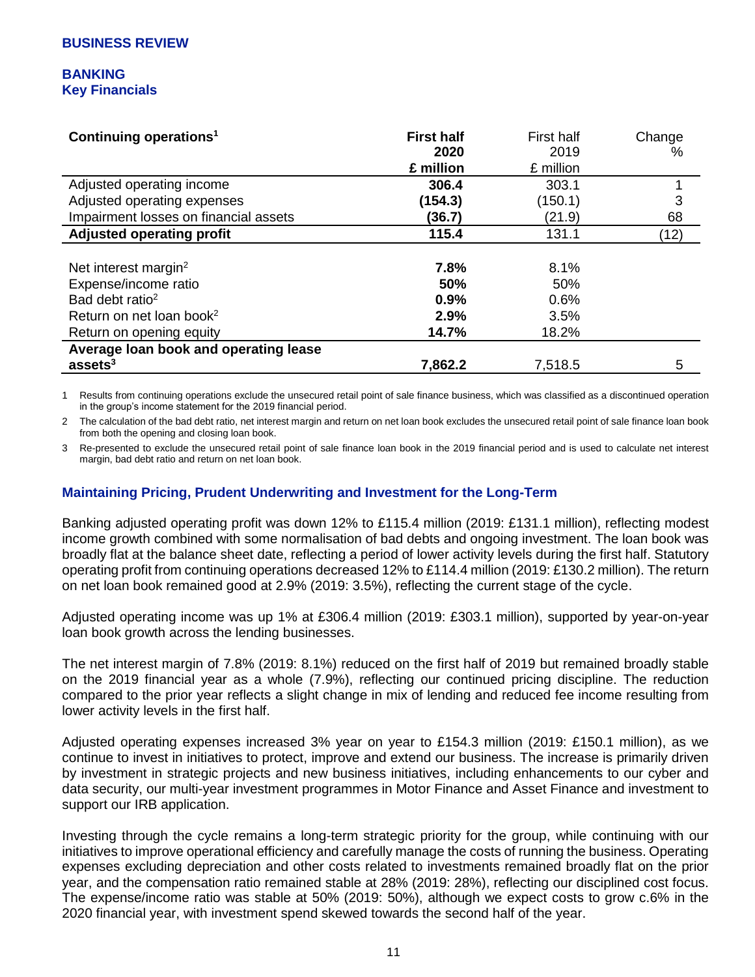#### **BANKING Key Financials**

| Continuing operations <sup>1</sup>                                                                                                                          | <b>First half</b><br>2020<br>£ million      | First half<br>2019<br>£ million      | Change<br>% |
|-------------------------------------------------------------------------------------------------------------------------------------------------------------|---------------------------------------------|--------------------------------------|-------------|
| Adjusted operating income                                                                                                                                   | 306.4                                       | 303.1                                |             |
| Adjusted operating expenses                                                                                                                                 | (154.3)                                     | (150.1)                              | 3           |
| Impairment losses on financial assets                                                                                                                       | (36.7)                                      | (21.9)                               | 68          |
| <b>Adjusted operating profit</b>                                                                                                                            | 115.4                                       | 131.1                                | (12)        |
| Net interest margin <sup>2</sup><br>Expense/income ratio<br>Bad debt ratio <sup>2</sup><br>Return on net loan book <sup>2</sup><br>Return on opening equity | 7.8%<br><b>50%</b><br>0.9%<br>2.9%<br>14.7% | 8.1%<br>50%<br>0.6%<br>3.5%<br>18.2% |             |
| Average loan book and operating lease<br>ases <sup>3</sup>                                                                                                  | 7,862.2                                     | 7,518.5                              | 5           |

1 Results from continuing operations exclude the unsecured retail point of sale finance business, which was classified as a discontinued operation in the group's income statement for the 2019 financial period.

2 The calculation of the bad debt ratio, net interest margin and return on net loan book excludes the unsecured retail point of sale finance loan book from both the opening and closing loan book.

3 Re-presented to exclude the unsecured retail point of sale finance loan book in the 2019 financial period and is used to calculate net interest margin, bad debt ratio and return on net loan book.

# **Maintaining Pricing, Prudent Underwriting and Investment for the Long-Term**

Banking adjusted operating profit was down 12% to £115.4 million (2019: £131.1 million), reflecting modest income growth combined with some normalisation of bad debts and ongoing investment. The loan book was broadly flat at the balance sheet date, reflecting a period of lower activity levels during the first half. Statutory operating profit from continuing operations decreased 12% to £114.4 million (2019: £130.2 million). The return on net loan book remained good at 2.9% (2019: 3.5%), reflecting the current stage of the cycle.

Adjusted operating income was up 1% at £306.4 million (2019: £303.1 million), supported by year-on-year loan book growth across the lending businesses.

The net interest margin of 7.8% (2019: 8.1%) reduced on the first half of 2019 but remained broadly stable on the 2019 financial year as a whole (7.9%), reflecting our continued pricing discipline. The reduction compared to the prior year reflects a slight change in mix of lending and reduced fee income resulting from lower activity levels in the first half.

Adjusted operating expenses increased 3% year on year to £154.3 million (2019: £150.1 million), as we continue to invest in initiatives to protect, improve and extend our business. The increase is primarily driven by investment in strategic projects and new business initiatives, including enhancements to our cyber and data security, our multi-year investment programmes in Motor Finance and Asset Finance and investment to support our IRB application.

Investing through the cycle remains a long-term strategic priority for the group, while continuing with our initiatives to improve operational efficiency and carefully manage the costs of running the business. Operating expenses excluding depreciation and other costs related to investments remained broadly flat on the prior year, and the compensation ratio remained stable at 28% (2019: 28%), reflecting our disciplined cost focus. The expense/income ratio was stable at 50% (2019: 50%), although we expect costs to grow c.6% in the 2020 financial year, with investment spend skewed towards the second half of the year.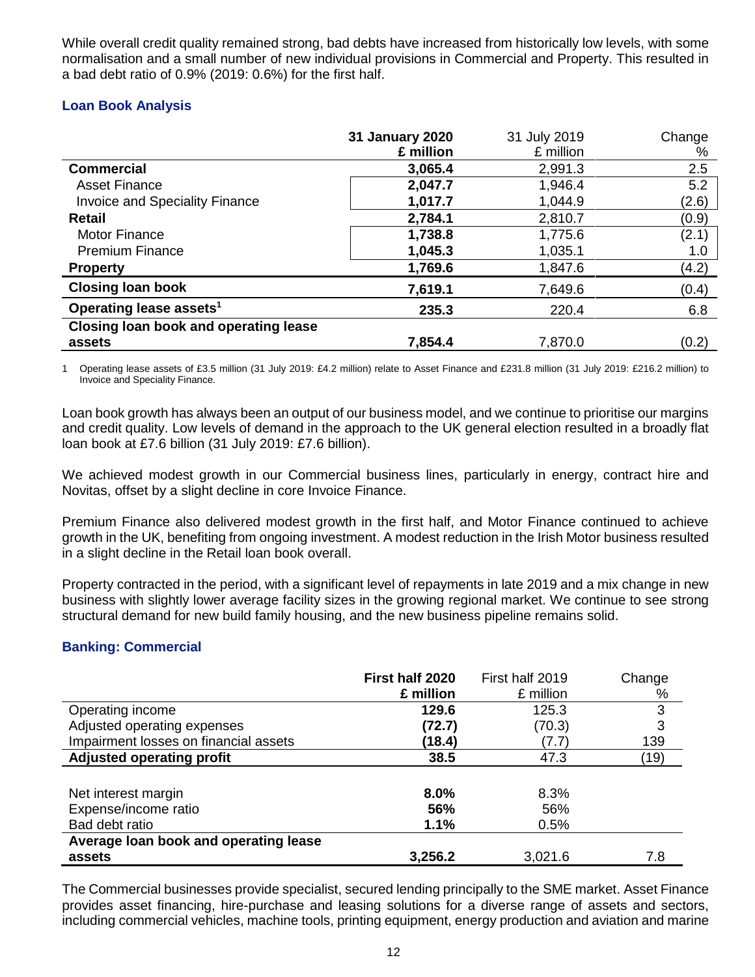While overall credit quality remained strong, bad debts have increased from historically low levels, with some normalisation and a small number of new individual provisions in Commercial and Property. This resulted in a bad debt ratio of 0.9% (2019: 0.6%) for the first half.

# **Loan Book Analysis**

|                                       | <b>31 January 2020</b> | 31 July 2019 | Change |
|---------------------------------------|------------------------|--------------|--------|
|                                       | £ million              | £ million    | %      |
| <b>Commercial</b>                     | 3,065.4                | 2,991.3      | 2.5    |
| <b>Asset Finance</b>                  | 2,047.7                | 1,946.4      | 5.2    |
| <b>Invoice and Speciality Finance</b> | 1,017.7                | 1,044.9      | (2.6)  |
| <b>Retail</b>                         | 2,784.1                | 2,810.7      | (0.9)  |
| Motor Finance                         | 1,738.8                | 1,775.6      | (2.1)  |
| <b>Premium Finance</b>                | 1,045.3                | 1,035.1      | 1.0    |
| <b>Property</b>                       | 1,769.6                | 1,847.6      | (4.2)  |
| <b>Closing loan book</b>              | 7,619.1                | 7,649.6      | (0.4)  |
| Operating lease assets <sup>1</sup>   | 235.3                  | 220.4        | 6.8    |
| Closing loan book and operating lease |                        |              |        |
| assets                                | 7,854.4                | 7,870.0      | (0.2)  |

1 Operating lease assets of £3.5 million (31 July 2019: £4.2 million) relate to Asset Finance and £231.8 million (31 July 2019: £216.2 million) to Invoice and Speciality Finance.

Loan book growth has always been an output of our business model, and we continue to prioritise our margins and credit quality. Low levels of demand in the approach to the UK general election resulted in a broadly flat loan book at £7.6 billion (31 July 2019: £7.6 billion).

We achieved modest growth in our Commercial business lines, particularly in energy, contract hire and Novitas, offset by a slight decline in core Invoice Finance.

Premium Finance also delivered modest growth in the first half, and Motor Finance continued to achieve growth in the UK, benefiting from ongoing investment. A modest reduction in the Irish Motor business resulted in a slight decline in the Retail loan book overall.

Property contracted in the period, with a significant level of repayments in late 2019 and a mix change in new business with slightly lower average facility sizes in the growing regional market. We continue to see strong structural demand for new build family housing, and the new business pipeline remains solid.

# **Banking: Commercial**

|                                       | First half 2020 | First half 2019 | Change |
|---------------------------------------|-----------------|-----------------|--------|
|                                       | £ million       | £ million       | %      |
| Operating income                      | 129.6           | 125.3           | 3      |
| Adjusted operating expenses           | (72.7)          | (70.3)          | 3      |
| Impairment losses on financial assets | (18.4)          | (7.7)           | 139    |
| <b>Adjusted operating profit</b>      | 38.5            | 47.3            | (19)   |
|                                       |                 |                 |        |
| Net interest margin                   | 8.0%            | 8.3%            |        |
| Expense/income ratio                  | 56%             | 56%             |        |
| Bad debt ratio                        | 1.1%            | 0.5%            |        |
| Average loan book and operating lease |                 |                 |        |
| assets                                | 3,256.2         | 3,021.6         | 7.8    |

The Commercial businesses provide specialist, secured lending principally to the SME market. Asset Finance provides asset financing, hire-purchase and leasing solutions for a diverse range of assets and sectors, including commercial vehicles, machine tools, printing equipment, energy production and aviation and marine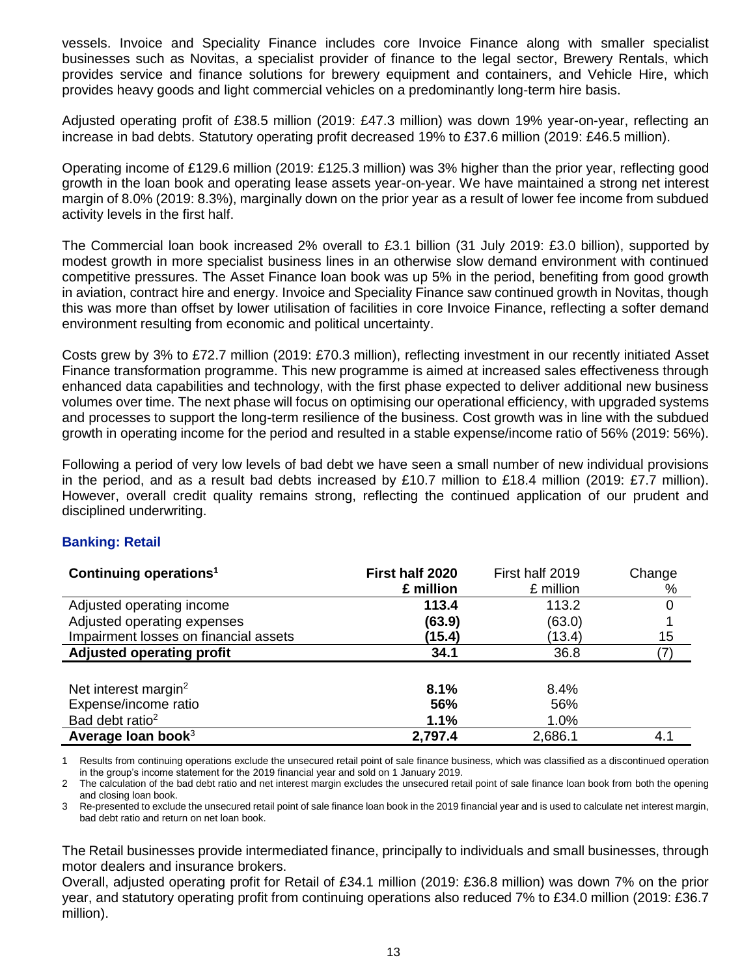vessels. Invoice and Speciality Finance includes core Invoice Finance along with smaller specialist businesses such as Novitas, a specialist provider of finance to the legal sector, Brewery Rentals, which provides service and finance solutions for brewery equipment and containers, and Vehicle Hire, which provides heavy goods and light commercial vehicles on a predominantly long-term hire basis.

Adjusted operating profit of £38.5 million (2019: £47.3 million) was down 19% year-on-year, reflecting an increase in bad debts. Statutory operating profit decreased 19% to £37.6 million (2019: £46.5 million).

Operating income of £129.6 million (2019: £125.3 million) was 3% higher than the prior year, reflecting good growth in the loan book and operating lease assets year-on-year. We have maintained a strong net interest margin of 8.0% (2019: 8.3%), marginally down on the prior year as a result of lower fee income from subdued activity levels in the first half.

The Commercial loan book increased 2% overall to £3.1 billion (31 July 2019: £3.0 billion), supported by modest growth in more specialist business lines in an otherwise slow demand environment with continued competitive pressures. The Asset Finance loan book was up 5% in the period, benefiting from good growth in aviation, contract hire and energy. Invoice and Speciality Finance saw continued growth in Novitas, though this was more than offset by lower utilisation of facilities in core Invoice Finance, reflecting a softer demand environment resulting from economic and political uncertainty.

Costs grew by 3% to £72.7 million (2019: £70.3 million), reflecting investment in our recently initiated Asset Finance transformation programme. This new programme is aimed at increased sales effectiveness through enhanced data capabilities and technology, with the first phase expected to deliver additional new business volumes over time. The next phase will focus on optimising our operational efficiency, with upgraded systems and processes to support the long-term resilience of the business. Cost growth was in line with the subdued growth in operating income for the period and resulted in a stable expense/income ratio of 56% (2019: 56%).

Following a period of very low levels of bad debt we have seen a small number of new individual provisions in the period, and as a result bad debts increased by £10.7 million to £18.4 million (2019: £7.7 million). However, overall credit quality remains strong, reflecting the continued application of our prudent and disciplined underwriting.

# **Banking: Retail**

| Continuing operations <sup>1</sup>    | First half 2020 | First half 2019 | Change |
|---------------------------------------|-----------------|-----------------|--------|
|                                       | £ million       | £ million       | %      |
| Adjusted operating income             | 113.4           | 113.2           | 0      |
| Adjusted operating expenses           | (63.9)          | (63.0)          |        |
| Impairment losses on financial assets | (15.4)          | (13.4)          | 15     |
| <b>Adjusted operating profit</b>      | 34.1            | 36.8            |        |
|                                       |                 |                 |        |
| Net interest margin <sup>2</sup>      | 8.1%            | $8.4\%$         |        |
| Expense/income ratio                  | 56%             | 56%             |        |
| Bad debt ratio <sup>2</sup>           | 1.1%            | 1.0%            |        |
| Average Ioan book <sup>3</sup>        | 2,797.4         | 2,686.1         | 4.1    |

1 Results from continuing operations exclude the unsecured retail point of sale finance business, which was classified as a discontinued operation in the group's income statement for the 2019 financial year and sold on 1 January 2019.

2 The calculation of the bad debt ratio and net interest margin excludes the unsecured retail point of sale finance loan book from both the opening and closing loan book.

3 Re-presented to exclude the unsecured retail point of sale finance loan book in the 2019 financial year and is used to calculate net interest margin, bad debt ratio and return on net loan book.

The Retail businesses provide intermediated finance, principally to individuals and small businesses, through motor dealers and insurance brokers.

Overall, adjusted operating profit for Retail of £34.1 million (2019: £36.8 million) was down 7% on the prior year, and statutory operating profit from continuing operations also reduced 7% to £34.0 million (2019: £36.7 million).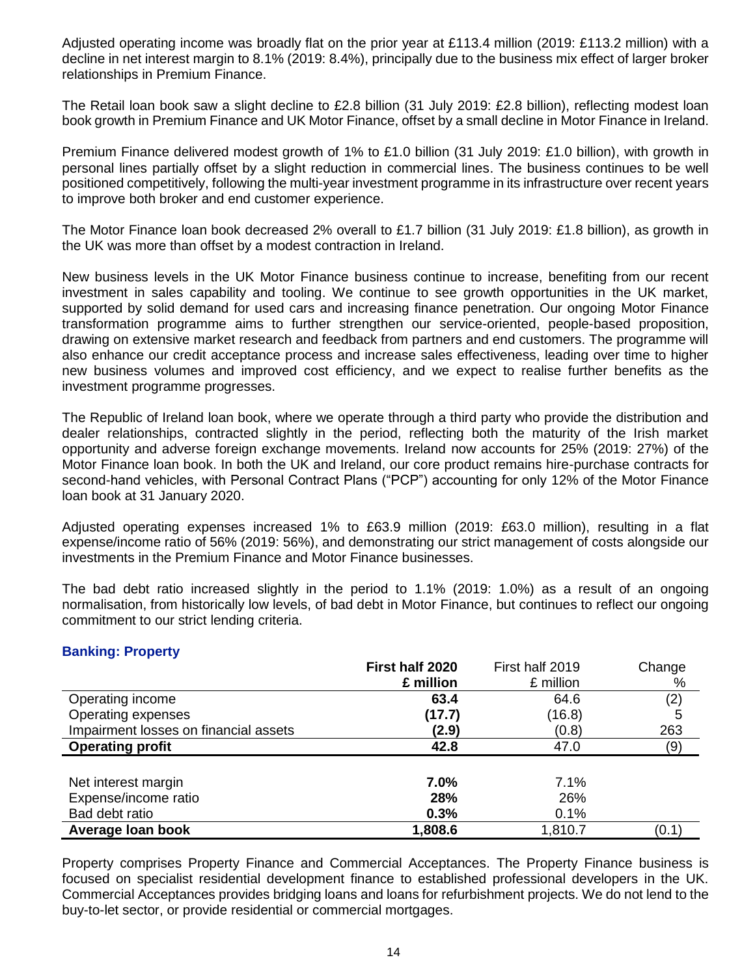Adjusted operating income was broadly flat on the prior year at £113.4 million (2019: £113.2 million) with a decline in net interest margin to 8.1% (2019: 8.4%), principally due to the business mix effect of larger broker relationships in Premium Finance.

The Retail loan book saw a slight decline to £2.8 billion (31 July 2019: £2.8 billion), reflecting modest loan book growth in Premium Finance and UK Motor Finance, offset by a small decline in Motor Finance in Ireland.

Premium Finance delivered modest growth of 1% to £1.0 billion (31 July 2019: £1.0 billion), with growth in personal lines partially offset by a slight reduction in commercial lines. The business continues to be well positioned competitively, following the multi-year investment programme in its infrastructure over recent years to improve both broker and end customer experience.

The Motor Finance loan book decreased 2% overall to £1.7 billion (31 July 2019: £1.8 billion), as growth in the UK was more than offset by a modest contraction in Ireland.

New business levels in the UK Motor Finance business continue to increase, benefiting from our recent investment in sales capability and tooling. We continue to see growth opportunities in the UK market, supported by solid demand for used cars and increasing finance penetration. Our ongoing Motor Finance transformation programme aims to further strengthen our service-oriented, people-based proposition, drawing on extensive market research and feedback from partners and end customers. The programme will also enhance our credit acceptance process and increase sales effectiveness, leading over time to higher new business volumes and improved cost efficiency, and we expect to realise further benefits as the investment programme progresses.

The Republic of Ireland loan book, where we operate through a third party who provide the distribution and dealer relationships, contracted slightly in the period, reflecting both the maturity of the Irish market opportunity and adverse foreign exchange movements. Ireland now accounts for 25% (2019: 27%) of the Motor Finance loan book. In both the UK and Ireland, our core product remains hire-purchase contracts for second-hand vehicles, with Personal Contract Plans ("PCP") accounting for only 12% of the Motor Finance loan book at 31 January 2020.

Adjusted operating expenses increased 1% to £63.9 million (2019: £63.0 million), resulting in a flat expense/income ratio of 56% (2019: 56%), and demonstrating our strict management of costs alongside our investments in the Premium Finance and Motor Finance businesses.

The bad debt ratio increased slightly in the period to 1.1% (2019: 1.0%) as a result of an ongoing normalisation, from historically low levels, of bad debt in Motor Finance, but continues to reflect our ongoing commitment to our strict lending criteria.

# **Banking: Property**

|                                       | First half 2020 | First half 2019 | Change |
|---------------------------------------|-----------------|-----------------|--------|
|                                       | £ million       | £ million       | %      |
| Operating income                      | 63.4            | 64.6            | (2)    |
| Operating expenses                    | (17.7)          | (16.8)          | 5      |
| Impairment losses on financial assets | (2.9)           | (0.8)           | 263    |
| <b>Operating profit</b>               | 42.8            | 47.0            | (9)    |
|                                       |                 |                 |        |
| Net interest margin                   | $7.0\%$         | $7.1\%$         |        |
| Expense/income ratio                  | 28%             | 26%             |        |
| Bad debt ratio                        | 0.3%            | 0.1%            |        |
| Average Ioan book                     | 1,808.6         | 1,810.7         | (0.1)  |

Property comprises Property Finance and Commercial Acceptances. The Property Finance business is focused on specialist residential development finance to established professional developers in the UK. Commercial Acceptances provides bridging loans and loans for refurbishment projects. We do not lend to the buy-to-let sector, or provide residential or commercial mortgages.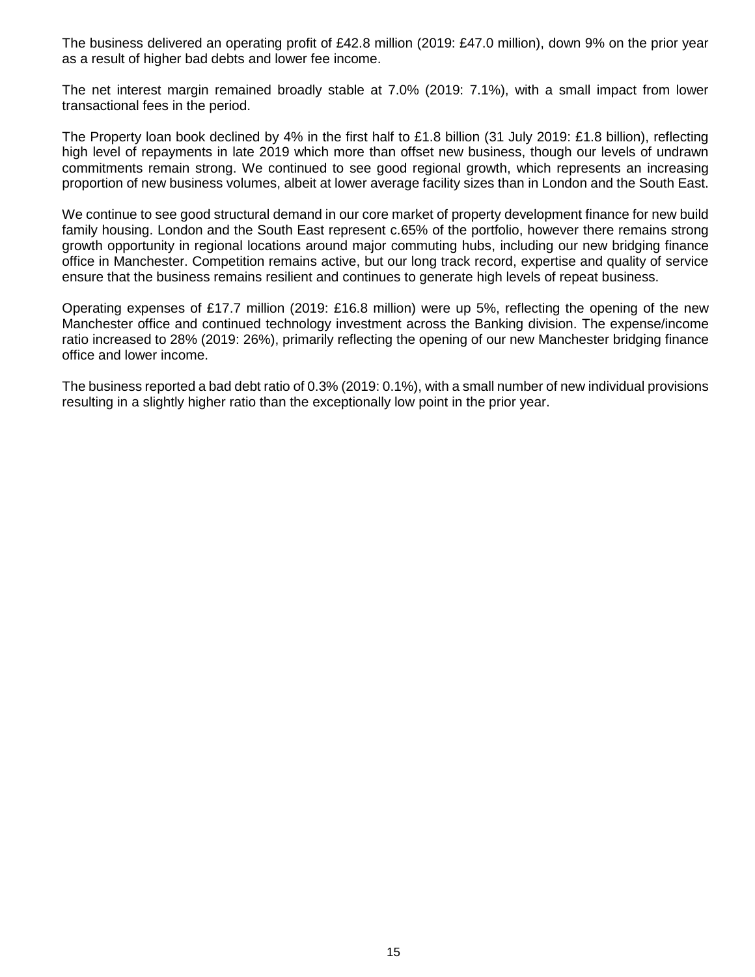The business delivered an operating profit of £42.8 million (2019: £47.0 million), down 9% on the prior year as a result of higher bad debts and lower fee income.

The net interest margin remained broadly stable at 7.0% (2019: 7.1%), with a small impact from lower transactional fees in the period.

The Property loan book declined by 4% in the first half to £1.8 billion (31 July 2019: £1.8 billion), reflecting high level of repayments in late 2019 which more than offset new business, though our levels of undrawn commitments remain strong. We continued to see good regional growth, which represents an increasing proportion of new business volumes, albeit at lower average facility sizes than in London and the South East.

We continue to see good structural demand in our core market of property development finance for new build family housing. London and the South East represent c.65% of the portfolio, however there remains strong growth opportunity in regional locations around major commuting hubs, including our new bridging finance office in Manchester. Competition remains active, but our long track record, expertise and quality of service ensure that the business remains resilient and continues to generate high levels of repeat business.

Operating expenses of £17.7 million (2019: £16.8 million) were up 5%, reflecting the opening of the new Manchester office and continued technology investment across the Banking division. The expense/income ratio increased to 28% (2019: 26%), primarily reflecting the opening of our new Manchester bridging finance office and lower income.

The business reported a bad debt ratio of 0.3% (2019: 0.1%), with a small number of new individual provisions resulting in a slightly higher ratio than the exceptionally low point in the prior year.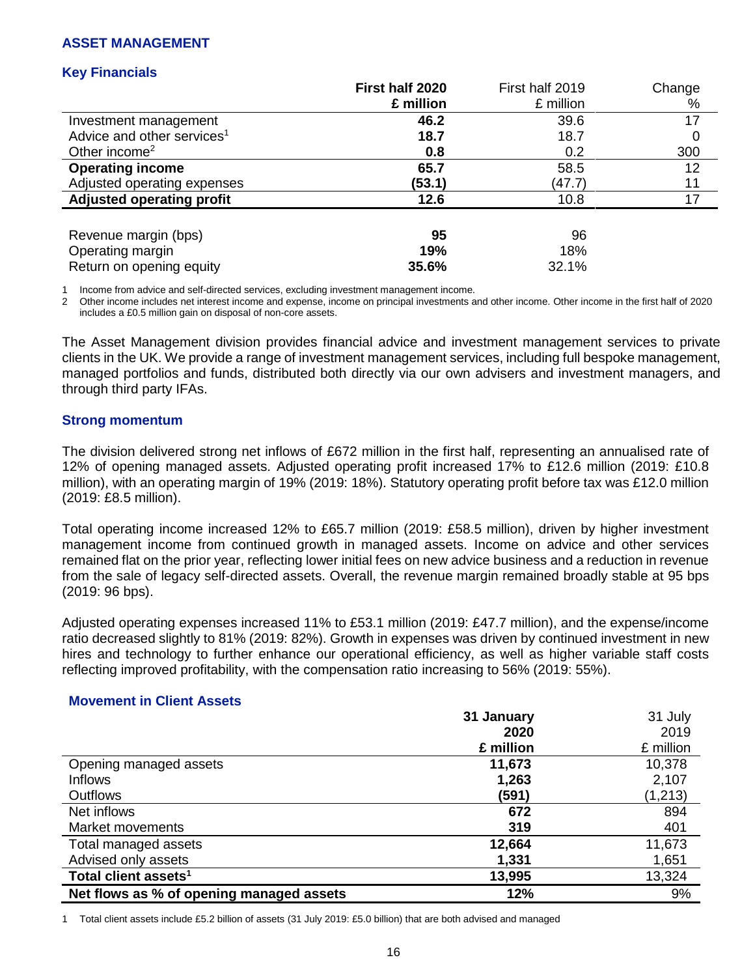#### **ASSET MANAGEMENT**

## **Key Financials**

|                                        | First half 2020 | First half 2019 | Change |
|----------------------------------------|-----------------|-----------------|--------|
|                                        | £ million       | £ million       | %      |
| Investment management                  | 46.2            | 39.6            | 17     |
| Advice and other services <sup>1</sup> | 18.7            | 18.7            |        |
| Other income <sup>2</sup>              | 0.8             | 0.2             | 300    |
| <b>Operating income</b>                | 65.7            | 58.5            | 12     |
| Adjusted operating expenses            | (53.1)          | (47.7)          | 11     |
| <b>Adjusted operating profit</b>       | 12.6            | 10.8            | 17     |
|                                        |                 |                 |        |
| Revenue margin (bps)                   | 95              | 96              |        |
| Operating margin                       | 19%             | 18%             |        |
| Return on opening equity               | 35.6%           | 32.1%           |        |

1 Income from advice and self-directed services, excluding investment management income.

2 Other income includes net interest income and expense, income on principal investments and other income. Other income in the first half of 2020 includes a £0.5 million gain on disposal of non-core assets.

The Asset Management division provides financial advice and investment management services to private clients in the UK. We provide a range of investment management services, including full bespoke management, managed portfolios and funds, distributed both directly via our own advisers and investment managers, and through third party IFAs.

#### **Strong momentum**

The division delivered strong net inflows of £672 million in the first half, representing an annualised rate of 12% of opening managed assets. Adjusted operating profit increased 17% to £12.6 million (2019: £10.8 million), with an operating margin of 19% (2019: 18%). Statutory operating profit before tax was £12.0 million (2019: £8.5 million).

Total operating income increased 12% to £65.7 million (2019: £58.5 million), driven by higher investment management income from continued growth in managed assets. Income on advice and other services remained flat on the prior year, reflecting lower initial fees on new advice business and a reduction in revenue from the sale of legacy self-directed assets. Overall, the revenue margin remained broadly stable at 95 bps (2019: 96 bps).

Adjusted operating expenses increased 11% to £53.1 million (2019: £47.7 million), and the expense/income ratio decreased slightly to 81% (2019: 82%). Growth in expenses was driven by continued investment in new hires and technology to further enhance our operational efficiency, as well as higher variable staff costs reflecting improved profitability, with the compensation ratio increasing to 56% (2019: 55%).

#### **Movement in Client Assets**

|                                          | 31 January | 31 July   |
|------------------------------------------|------------|-----------|
|                                          | 2020       | 2019      |
|                                          | £ million  | £ million |
| Opening managed assets                   | 11,673     | 10,378    |
| <b>Inflows</b>                           | 1,263      | 2,107     |
| <b>Outflows</b>                          | (591)      | (1,213)   |
| Net inflows                              | 672        | 894       |
| Market movements                         | 319        | 401       |
| Total managed assets                     | 12,664     | 11,673    |
| Advised only assets                      | 1,331      | 1,651     |
| Total client assets <sup>1</sup>         | 13,995     | 13,324    |
| Net flows as % of opening managed assets | 12%        | 9%        |

1 Total client assets include £5.2 billion of assets (31 July 2019: £5.0 billion) that are both advised and managed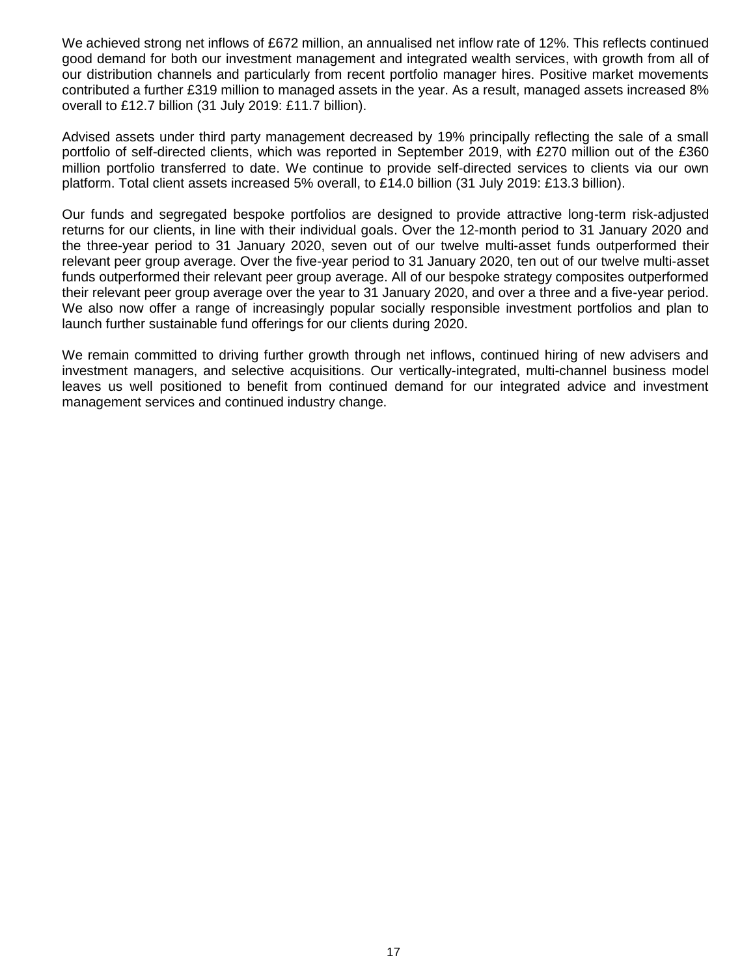We achieved strong net inflows of £672 million, an annualised net inflow rate of 12%. This reflects continued good demand for both our investment management and integrated wealth services, with growth from all of our distribution channels and particularly from recent portfolio manager hires. Positive market movements contributed a further £319 million to managed assets in the year. As a result, managed assets increased 8% overall to £12.7 billion (31 July 2019: £11.7 billion).

Advised assets under third party management decreased by 19% principally reflecting the sale of a small portfolio of self-directed clients, which was reported in September 2019, with £270 million out of the £360 million portfolio transferred to date. We continue to provide self-directed services to clients via our own platform. Total client assets increased 5% overall, to £14.0 billion (31 July 2019: £13.3 billion).

Our funds and segregated bespoke portfolios are designed to provide attractive long-term risk-adjusted returns for our clients, in line with their individual goals. Over the 12-month period to 31 January 2020 and the three-year period to 31 January 2020, seven out of our twelve multi-asset funds outperformed their relevant peer group average. Over the five-year period to 31 January 2020, ten out of our twelve multi-asset funds outperformed their relevant peer group average. All of our bespoke strategy composites outperformed their relevant peer group average over the year to 31 January 2020, and over a three and a five-year period. We also now offer a range of increasingly popular socially responsible investment portfolios and plan to launch further sustainable fund offerings for our clients during 2020.

We remain committed to driving further growth through net inflows, continued hiring of new advisers and investment managers, and selective acquisitions. Our vertically-integrated, multi-channel business model leaves us well positioned to benefit from continued demand for our integrated advice and investment management services and continued industry change.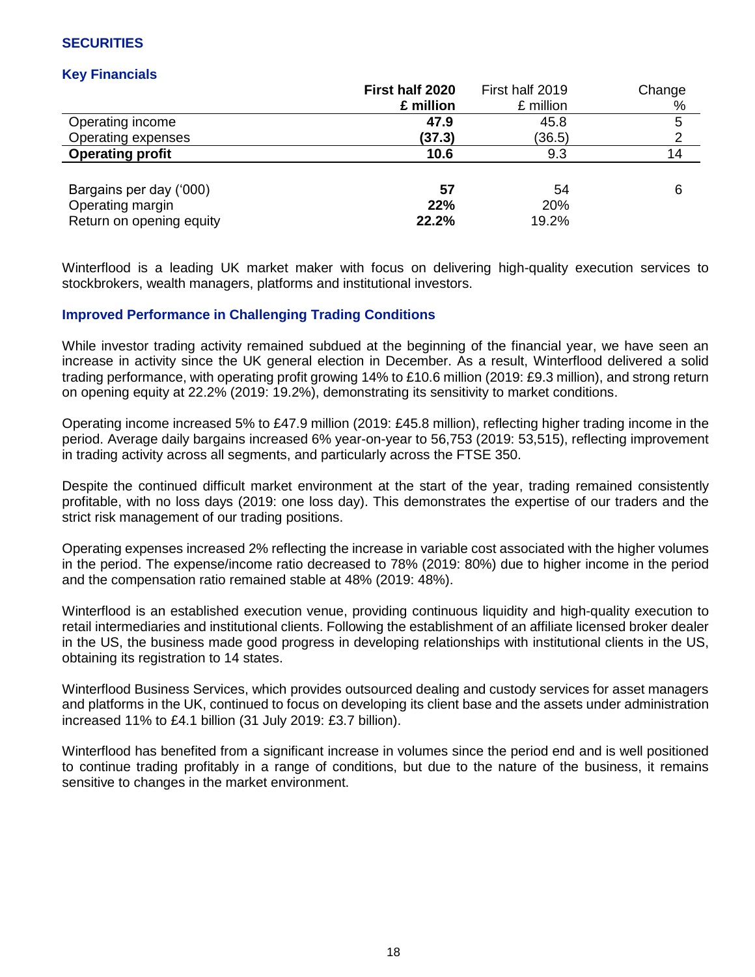# **SECURITIES**

# **Key Financials**

|                          | First half 2020 | First half 2019 | Change |
|--------------------------|-----------------|-----------------|--------|
|                          | £ million       | £ million       | $\%$   |
| Operating income         | 47.9            | 45.8            | 5      |
| Operating expenses       | (37.3)          | (36.5)          | 2      |
| <b>Operating profit</b>  | 10.6            | 9.3             | 14     |
|                          |                 |                 |        |
| Bargains per day ('000)  | 57              | 54              | 6      |
| Operating margin         | 22%             | 20%             |        |
| Return on opening equity | 22.2%           | 19.2%           |        |
|                          |                 |                 |        |

Winterflood is a leading UK market maker with focus on delivering high-quality execution services to stockbrokers, wealth managers, platforms and institutional investors.

### **Improved Performance in Challenging Trading Conditions**

While investor trading activity remained subdued at the beginning of the financial year, we have seen an increase in activity since the UK general election in December. As a result, Winterflood delivered a solid trading performance, with operating profit growing 14% to £10.6 million (2019: £9.3 million), and strong return on opening equity at 22.2% (2019: 19.2%), demonstrating its sensitivity to market conditions.

Operating income increased 5% to £47.9 million (2019: £45.8 million), reflecting higher trading income in the period. Average daily bargains increased 6% year-on-year to 56,753 (2019: 53,515), reflecting improvement in trading activity across all segments, and particularly across the FTSE 350.

Despite the continued difficult market environment at the start of the year, trading remained consistently profitable, with no loss days (2019: one loss day). This demonstrates the expertise of our traders and the strict risk management of our trading positions.

Operating expenses increased 2% reflecting the increase in variable cost associated with the higher volumes in the period. The expense/income ratio decreased to 78% (2019: 80%) due to higher income in the period and the compensation ratio remained stable at 48% (2019: 48%).

Winterflood is an established execution venue, providing continuous liquidity and high-quality execution to retail intermediaries and institutional clients. Following the establishment of an affiliate licensed broker dealer in the US, the business made good progress in developing relationships with institutional clients in the US, obtaining its registration to 14 states.

Winterflood Business Services, which provides outsourced dealing and custody services for asset managers and platforms in the UK, continued to focus on developing its client base and the assets under administration increased 11% to £4.1 billion (31 July 2019: £3.7 billion).

Winterflood has benefited from a significant increase in volumes since the period end and is well positioned to continue trading profitably in a range of conditions, but due to the nature of the business, it remains sensitive to changes in the market environment.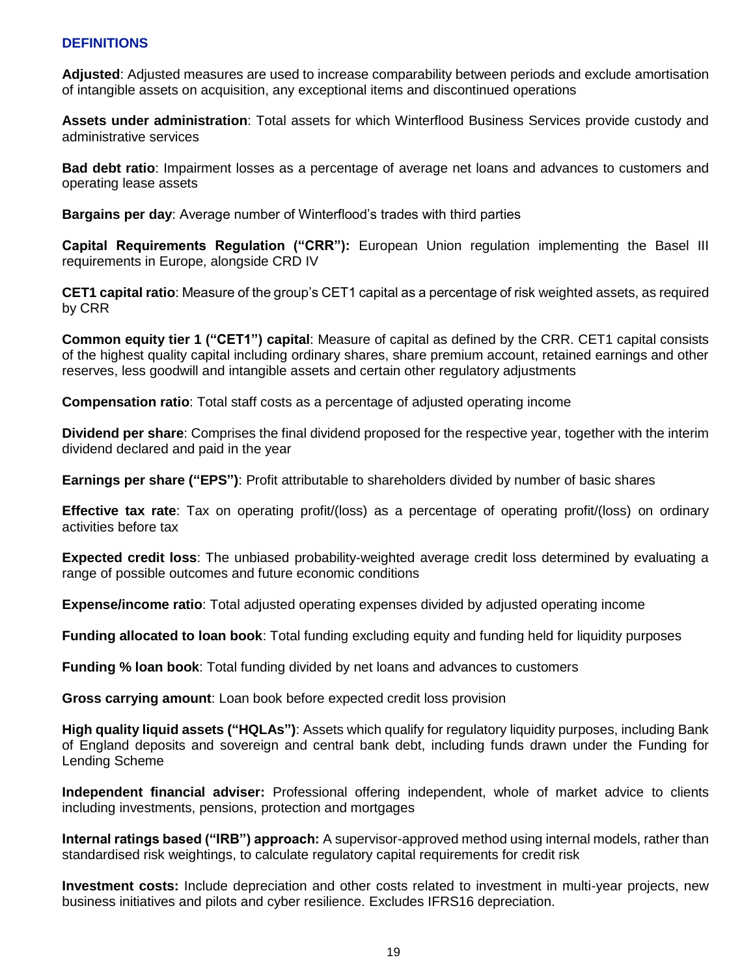# **DEFINITIONS**

**Adjusted**: Adjusted measures are used to increase comparability between periods and exclude amortisation of intangible assets on acquisition, any exceptional items and discontinued operations

**Assets under administration**: Total assets for which Winterflood Business Services provide custody and administrative services

**Bad debt ratio**: Impairment losses as a percentage of average net loans and advances to customers and operating lease assets

**Bargains per day**: Average number of Winterflood's trades with third parties

**Capital Requirements Regulation ("CRR"):** European Union regulation implementing the Basel III requirements in Europe, alongside CRD IV

**CET1 capital ratio**: Measure of the group's CET1 capital as a percentage of risk weighted assets, as required by CRR

**Common equity tier 1 ("CET1") capital**: Measure of capital as defined by the CRR. CET1 capital consists of the highest quality capital including ordinary shares, share premium account, retained earnings and other reserves, less goodwill and intangible assets and certain other regulatory adjustments

**Compensation ratio**: Total staff costs as a percentage of adjusted operating income

**Dividend per share**: Comprises the final dividend proposed for the respective year, together with the interim dividend declared and paid in the year

**Earnings per share ("EPS")**: Profit attributable to shareholders divided by number of basic shares

**Effective tax rate**: Tax on operating profit/(loss) as a percentage of operating profit/(loss) on ordinary activities before tax

**Expected credit loss**: The unbiased probability-weighted average credit loss determined by evaluating a range of possible outcomes and future economic conditions

**Expense/income ratio**: Total adjusted operating expenses divided by adjusted operating income

**Funding allocated to loan book**: Total funding excluding equity and funding held for liquidity purposes

**Funding % loan book**: Total funding divided by net loans and advances to customers

**Gross carrying amount**: Loan book before expected credit loss provision

**High quality liquid assets ("HQLAs")**: Assets which qualify for regulatory liquidity purposes, including Bank of England deposits and sovereign and central bank debt, including funds drawn under the Funding for Lending Scheme

**Independent financial adviser:** Professional offering independent, whole of market advice to clients including investments, pensions, protection and mortgages

**Internal ratings based ("IRB") approach:** A supervisor-approved method using internal models, rather than standardised risk weightings, to calculate regulatory capital requirements for credit risk

**Investment costs:** Include depreciation and other costs related to investment in multi-year projects, new business initiatives and pilots and cyber resilience. Excludes IFRS16 depreciation.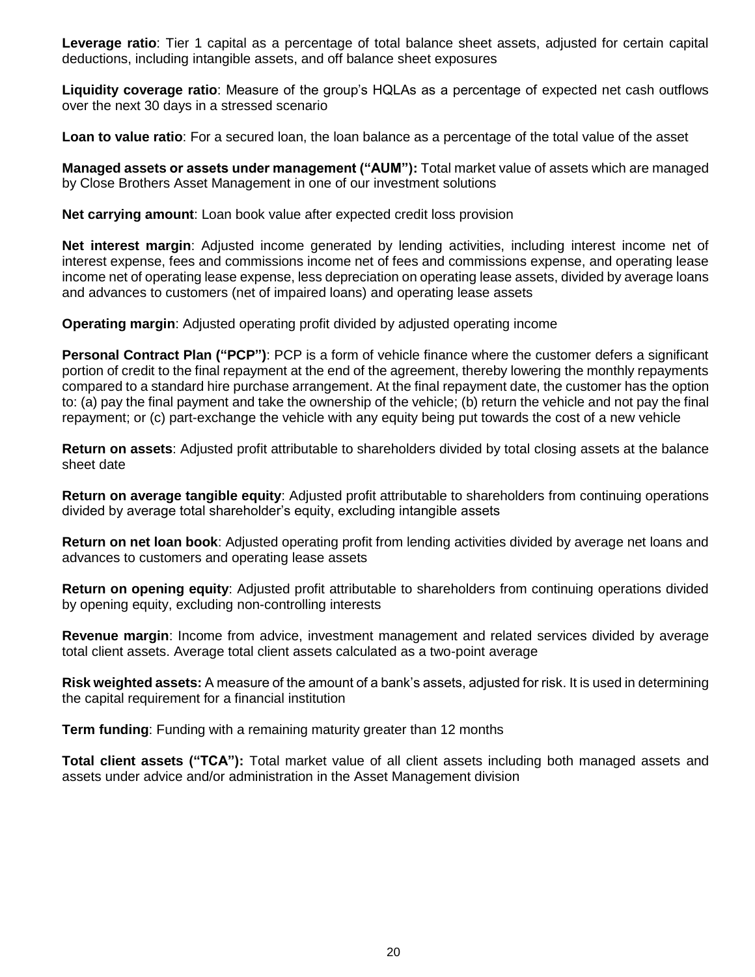**Leverage ratio**: Tier 1 capital as a percentage of total balance sheet assets, adjusted for certain capital deductions, including intangible assets, and off balance sheet exposures

**Liquidity coverage ratio**: Measure of the group's HQLAs as a percentage of expected net cash outflows over the next 30 days in a stressed scenario

**Loan to value ratio**: For a secured loan, the loan balance as a percentage of the total value of the asset

**Managed assets or assets under management ("AUM"):** Total market value of assets which are managed by Close Brothers Asset Management in one of our investment solutions

**Net carrying amount**: Loan book value after expected credit loss provision

**Net interest margin**: Adjusted income generated by lending activities, including interest income net of interest expense, fees and commissions income net of fees and commissions expense, and operating lease income net of operating lease expense, less depreciation on operating lease assets, divided by average loans and advances to customers (net of impaired loans) and operating lease assets

**Operating margin**: Adjusted operating profit divided by adjusted operating income

**Personal Contract Plan ("PCP")**: PCP is a form of vehicle finance where the customer defers a significant portion of credit to the final repayment at the end of the agreement, thereby lowering the monthly repayments compared to a standard hire purchase arrangement. At the final repayment date, the customer has the option to: (a) pay the final payment and take the ownership of the vehicle; (b) return the vehicle and not pay the final repayment; or (c) part-exchange the vehicle with any equity being put towards the cost of a new vehicle

**Return on assets**: Adjusted profit attributable to shareholders divided by total closing assets at the balance sheet date

**Return on average tangible equity**: Adjusted profit attributable to shareholders from continuing operations divided by average total shareholder's equity, excluding intangible assets

**Return on net loan book**: Adjusted operating profit from lending activities divided by average net loans and advances to customers and operating lease assets

**Return on opening equity**: Adjusted profit attributable to shareholders from continuing operations divided by opening equity, excluding non-controlling interests

**Revenue margin**: Income from advice, investment management and related services divided by average total client assets. Average total client assets calculated as a two-point average

**Risk weighted assets:** A measure of the amount of a bank's assets, adjusted for risk. It is used in determining the capital requirement for a financial institution

**Term funding**: Funding with a remaining maturity greater than 12 months

**Total client assets ("TCA"):** Total market value of all client assets including both managed assets and assets under advice and/or administration in the Asset Management division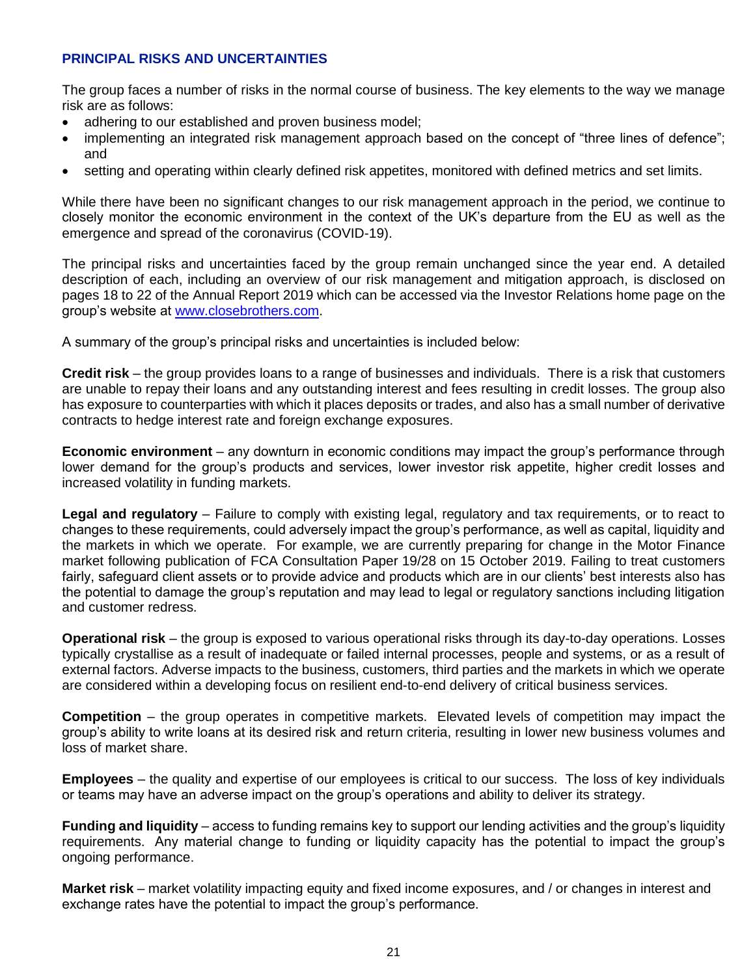## **PRINCIPAL RISKS AND UNCERTAINTIES**

The group faces a number of risks in the normal course of business. The key elements to the way we manage risk are as follows:

- adhering to our established and proven business model;
- implementing an integrated risk management approach based on the concept of "three lines of defence"; and
- setting and operating within clearly defined risk appetites, monitored with defined metrics and set limits.

While there have been no significant changes to our risk management approach in the period, we continue to closely monitor the economic environment in the context of the UK's departure from the EU as well as the emergence and spread of the coronavirus (COVID-19).

The principal risks and uncertainties faced by the group remain unchanged since the year end. A detailed description of each, including an overview of our risk management and mitigation approach, is disclosed on pages 18 to 22 of the Annual Report 2019 which can be accessed via the Investor Relations home page on the group's website at [www.closebrothers.com.](http://www.closebrothers.com/)

A summary of the group's principal risks and uncertainties is included below:

**Credit risk** – the group provides loans to a range of businesses and individuals. There is a risk that customers are unable to repay their loans and any outstanding interest and fees resulting in credit losses. The group also has exposure to counterparties with which it places deposits or trades, and also has a small number of derivative contracts to hedge interest rate and foreign exchange exposures.

**Economic environment** – any downturn in economic conditions may impact the group's performance through lower demand for the group's products and services, lower investor risk appetite, higher credit losses and increased volatility in funding markets.

**Legal and regulatory** – Failure to comply with existing legal, regulatory and tax requirements, or to react to changes to these requirements, could adversely impact the group's performance, as well as capital, liquidity and the markets in which we operate. For example, we are currently preparing for change in the Motor Finance market following publication of FCA Consultation Paper 19/28 on 15 October 2019. Failing to treat customers fairly, safeguard client assets or to provide advice and products which are in our clients' best interests also has the potential to damage the group's reputation and may lead to legal or regulatory sanctions including litigation and customer redress.

**Operational risk** – the group is exposed to various operational risks through its day-to-day operations. Losses typically crystallise as a result of inadequate or failed internal processes, people and systems, or as a result of external factors. Adverse impacts to the business, customers, third parties and the markets in which we operate are considered within a developing focus on resilient end-to-end delivery of critical business services.

**Competition** – the group operates in competitive markets. Elevated levels of competition may impact the group's ability to write loans at its desired risk and return criteria, resulting in lower new business volumes and loss of market share.

**Employees** – the quality and expertise of our employees is critical to our success. The loss of key individuals or teams may have an adverse impact on the group's operations and ability to deliver its strategy.

**Funding and liquidity** – access to funding remains key to support our lending activities and the group's liquidity requirements. Any material change to funding or liquidity capacity has the potential to impact the group's ongoing performance.

**Market risk** – market volatility impacting equity and fixed income exposures, and / or changes in interest and exchange rates have the potential to impact the group's performance.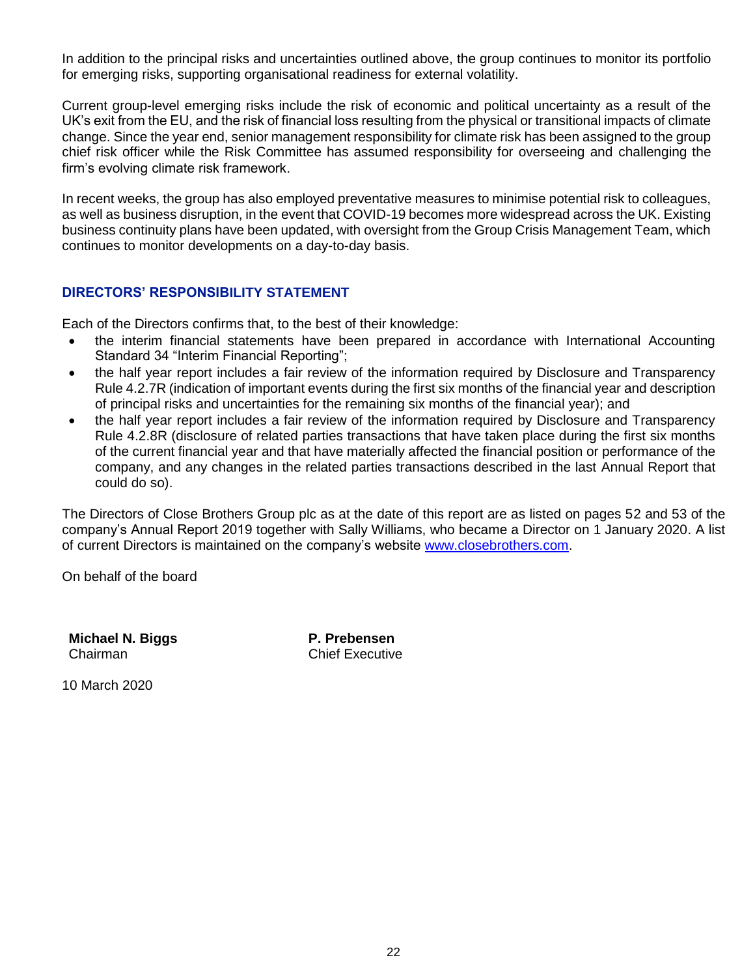In addition to the principal risks and uncertainties outlined above, the group continues to monitor its portfolio for emerging risks, supporting organisational readiness for external volatility.

Current group-level emerging risks include the risk of economic and political uncertainty as a result of the UK's exit from the EU, and the risk of financial loss resulting from the physical or transitional impacts of climate change. Since the year end, senior management responsibility for climate risk has been assigned to the group chief risk officer while the Risk Committee has assumed responsibility for overseeing and challenging the firm's evolving climate risk framework.

In recent weeks, the group has also employed preventative measures to minimise potential risk to colleagues, as well as business disruption, in the event that COVID-19 becomes more widespread across the UK. Existing business continuity plans have been updated, with oversight from the Group Crisis Management Team, which continues to monitor developments on a day-to-day basis.

# **DIRECTORS' RESPONSIBILITY STATEMENT**

Each of the Directors confirms that, to the best of their knowledge:

- the interim financial statements have been prepared in accordance with International Accounting Standard 34 "Interim Financial Reporting";
- the half year report includes a fair review of the information required by Disclosure and Transparency Rule 4.2.7R (indication of important events during the first six months of the financial year and description of principal risks and uncertainties for the remaining six months of the financial year); and
- the half year report includes a fair review of the information required by Disclosure and Transparency Rule 4.2.8R (disclosure of related parties transactions that have taken place during the first six months of the current financial year and that have materially affected the financial position or performance of the company, and any changes in the related parties transactions described in the last Annual Report that could do so).

The Directors of Close Brothers Group plc as at the date of this report are as listed on pages 52 and 53 of the company's Annual Report 2019 together with Sally Williams, who became a Director on 1 January 2020. A list of current Directors is maintained on the company's website [www.closebrothers.com.](http://www.closebrothers.com/)

On behalf of the board

**Michael N. Biggs** Chairman

**P. Prebensen** Chief Executive

10 March 2020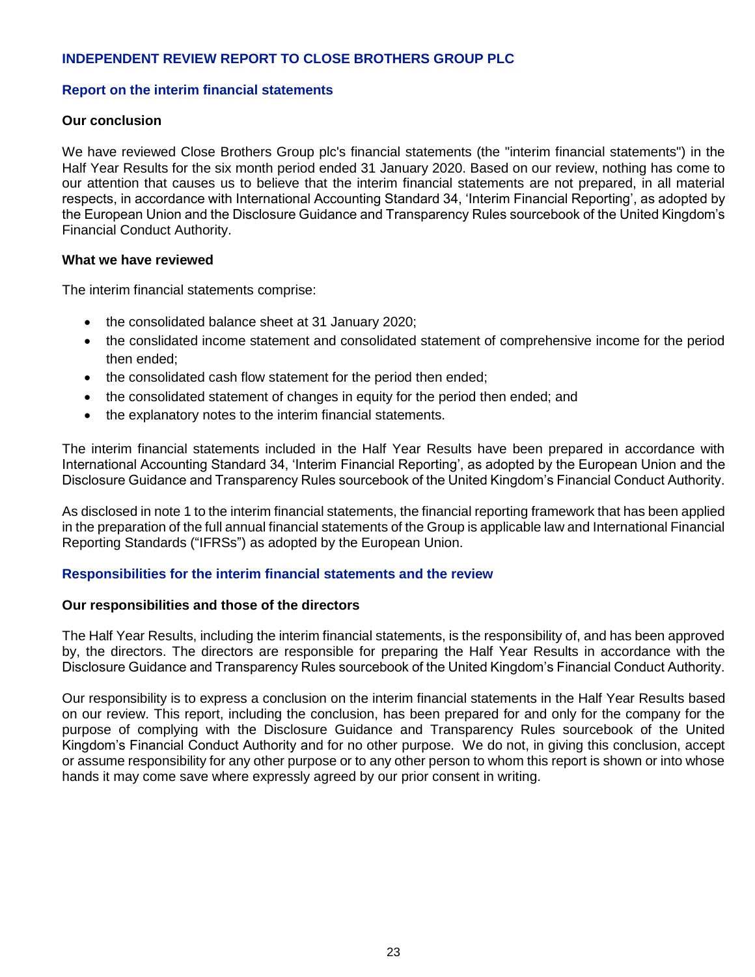# **INDEPENDENT REVIEW REPORT TO CLOSE BROTHERS GROUP PLC**

### **Report on the interim financial statements**

#### **Our conclusion**

We have reviewed Close Brothers Group plc's financial statements (the "interim financial statements") in the Half Year Results for the six month period ended 31 January 2020. Based on our review, nothing has come to our attention that causes us to believe that the interim financial statements are not prepared, in all material respects, in accordance with International Accounting Standard 34, 'Interim Financial Reporting', as adopted by the European Union and the Disclosure Guidance and Transparency Rules sourcebook of the United Kingdom's Financial Conduct Authority.

#### **What we have reviewed**

The interim financial statements comprise:

- the consolidated balance sheet at 31 January 2020;
- the conslidated income statement and consolidated statement of comprehensive income for the period then ended;
- the consolidated cash flow statement for the period then ended;
- the consolidated statement of changes in equity for the period then ended; and
- the explanatory notes to the interim financial statements.

The interim financial statements included in the Half Year Results have been prepared in accordance with International Accounting Standard 34, 'Interim Financial Reporting', as adopted by the European Union and the Disclosure Guidance and Transparency Rules sourcebook of the United Kingdom's Financial Conduct Authority.

As disclosed in note 1 to the interim financial statements, the financial reporting framework that has been applied in the preparation of the full annual financial statements of the Group is applicable law and International Financial Reporting Standards ("IFRSs") as adopted by the European Union.

# **Responsibilities for the interim financial statements and the review**

#### **Our responsibilities and those of the directors**

The Half Year Results, including the interim financial statements, is the responsibility of, and has been approved by, the directors. The directors are responsible for preparing the Half Year Results in accordance with the Disclosure Guidance and Transparency Rules sourcebook of the United Kingdom's Financial Conduct Authority.

Our responsibility is to express a conclusion on the interim financial statements in the Half Year Results based on our review. This report, including the conclusion, has been prepared for and only for the company for the purpose of complying with the Disclosure Guidance and Transparency Rules sourcebook of the United Kingdom's Financial Conduct Authority and for no other purpose. We do not, in giving this conclusion, accept or assume responsibility for any other purpose or to any other person to whom this report is shown or into whose hands it may come save where expressly agreed by our prior consent in writing.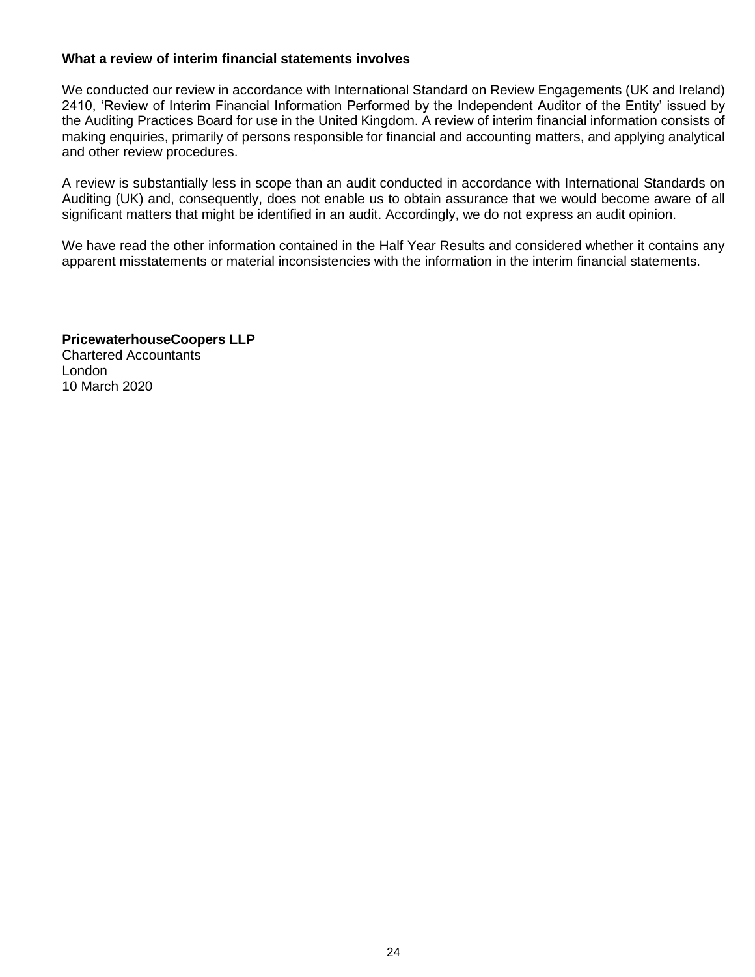### **What a review of interim financial statements involves**

We conducted our review in accordance with International Standard on Review Engagements (UK and Ireland) 2410, 'Review of Interim Financial Information Performed by the Independent Auditor of the Entity' issued by the Auditing Practices Board for use in the United Kingdom. A review of interim financial information consists of making enquiries, primarily of persons responsible for financial and accounting matters, and applying analytical and other review procedures.

A review is substantially less in scope than an audit conducted in accordance with International Standards on Auditing (UK) and, consequently, does not enable us to obtain assurance that we would become aware of all significant matters that might be identified in an audit. Accordingly, we do not express an audit opinion.

We have read the other information contained in the Half Year Results and considered whether it contains any apparent misstatements or material inconsistencies with the information in the interim financial statements.

**PricewaterhouseCoopers LLP** Chartered Accountants London 10 March 2020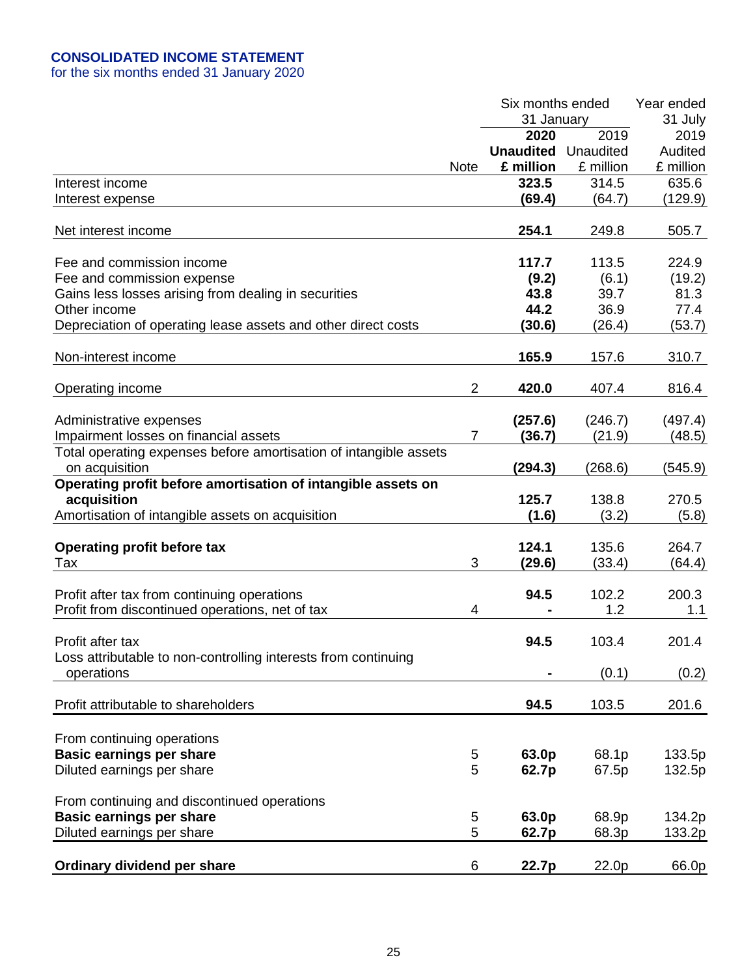# **CONSOLIDATED INCOME STATEMENT**

for the six months ended 31 January 2020

|                                                                   |                | Six months ended | Year ended |           |
|-------------------------------------------------------------------|----------------|------------------|------------|-----------|
|                                                                   |                | 31 January       |            | 31 July   |
|                                                                   |                | 2020             | 2019       | 2019      |
|                                                                   |                | <b>Unaudited</b> | Unaudited  | Audited   |
|                                                                   | <b>Note</b>    | £ million        | £ million  | £ million |
| Interest income                                                   |                | 323.5            | 314.5      | 635.6     |
| Interest expense                                                  |                | (69.4)           | (64.7)     | (129.9)   |
|                                                                   |                |                  |            |           |
| Net interest income                                               |                | 254.1            | 249.8      | 505.7     |
|                                                                   |                |                  |            |           |
| Fee and commission income                                         |                | 117.7            | 113.5      | 224.9     |
| Fee and commission expense                                        |                | (9.2)            | (6.1)      | (19.2)    |
| Gains less losses arising from dealing in securities              |                | 43.8             | 39.7       | 81.3      |
| Other income                                                      |                | 44.2             | 36.9       | 77.4      |
| Depreciation of operating lease assets and other direct costs     |                | (30.6)           | (26.4)     | (53.7)    |
|                                                                   |                |                  |            |           |
| Non-interest income                                               |                | 165.9            | 157.6      | 310.7     |
|                                                                   |                |                  |            |           |
| Operating income                                                  | $\overline{2}$ | 420.0            | 407.4      | 816.4     |
|                                                                   |                |                  |            |           |
| Administrative expenses                                           |                | (257.6)          | (246.7)    | (497.4)   |
| Impairment losses on financial assets                             | $\overline{7}$ | (36.7)           | (21.9)     | (48.5)    |
| Total operating expenses before amortisation of intangible assets |                |                  |            |           |
| on acquisition                                                    |                | (294.3)          | (268.6)    | (545.9)   |
| Operating profit before amortisation of intangible assets on      |                |                  |            |           |
| acquisition                                                       |                | 125.7            | 138.8      | 270.5     |
| Amortisation of intangible assets on acquisition                  |                | (1.6)            | (3.2)      | (5.8)     |
|                                                                   |                |                  |            |           |
| <b>Operating profit before tax</b>                                |                | 124.1            | 135.6      | 264.7     |
| Tax                                                               | 3              | (29.6)           | (33.4)     | (64.4)    |
|                                                                   |                |                  |            |           |
| Profit after tax from continuing operations                       |                | 94.5             | 102.2      | 200.3     |
| Profit from discontinued operations, net of tax                   | 4              |                  | 1.2        | 1.1       |
|                                                                   |                |                  |            |           |
| Profit after tax                                                  |                | 94.5             | 103.4      | 201.4     |
| Loss attributable to non-controlling interests from continuing    |                |                  |            |           |
| operations                                                        |                |                  | (0.1)      | (0.2)     |
|                                                                   |                |                  |            |           |
| Profit attributable to shareholders                               |                | 94.5             | 103.5      | 201.6     |
|                                                                   |                |                  |            |           |
| From continuing operations                                        |                |                  |            |           |
| <b>Basic earnings per share</b>                                   | 5              | 63.0p            | 68.1p      | 133.5p    |
| Diluted earnings per share                                        | 5              | 62.7p            | 67.5p      | 132.5p    |
|                                                                   |                |                  |            |           |
| From continuing and discontinued operations                       |                | 63.0p            | 68.9p      | 134.2p    |
| <b>Basic earnings per share</b>                                   | 5<br>5         |                  |            |           |
| Diluted earnings per share                                        |                | 62.7p            | 68.3p      | 133.2p    |
|                                                                   |                |                  |            |           |
| Ordinary dividend per share                                       | 6              | 22.7p            | 22.0p      | 66.0p     |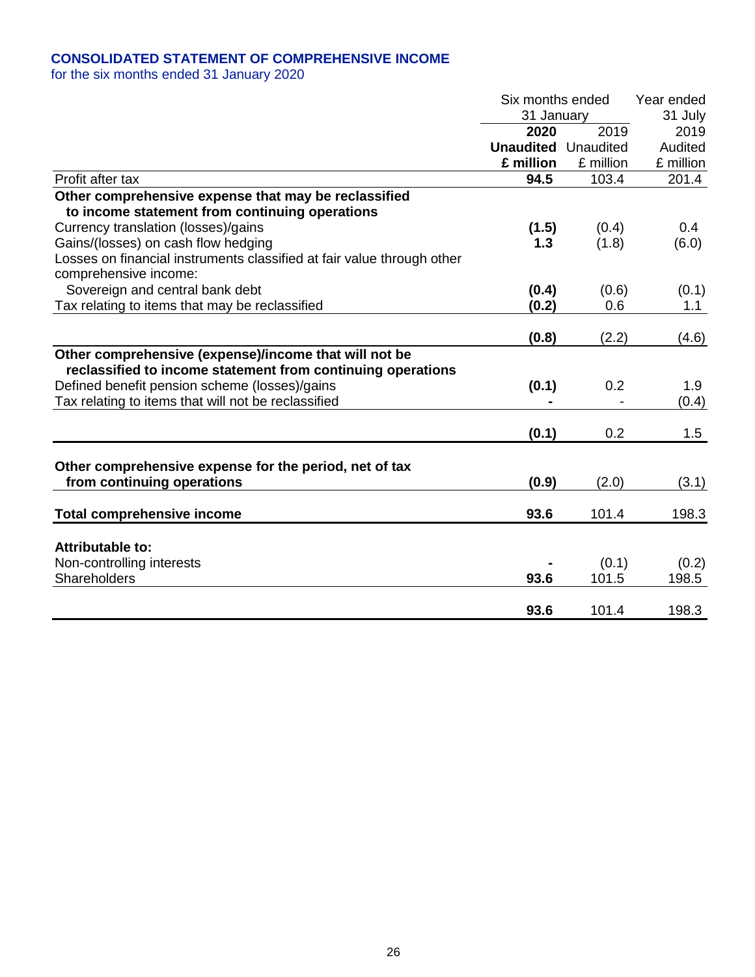# **CONSOLIDATED STATEMENT OF COMPREHENSIVE INCOME**

for the six months ended 31 January 2020

|                                                                                                        | Six months ended<br>31 January     | Year ended<br>31 July |                 |
|--------------------------------------------------------------------------------------------------------|------------------------------------|-----------------------|-----------------|
|                                                                                                        | 2020<br><b>Unaudited</b> Unaudited | 2019                  | 2019<br>Audited |
|                                                                                                        | £ million                          | £ million             | £ million       |
| Profit after tax                                                                                       | 94.5                               | 103.4                 | 201.4           |
| Other comprehensive expense that may be reclassified<br>to income statement from continuing operations |                                    |                       |                 |
| Currency translation (losses)/gains                                                                    | (1.5)                              | (0.4)                 | 0.4             |
| Gains/(losses) on cash flow hedging                                                                    | 1.3                                | (1.8)                 | (6.0)           |
| Losses on financial instruments classified at fair value through other<br>comprehensive income:        |                                    |                       |                 |
| Sovereign and central bank debt                                                                        | (0.4)                              | (0.6)                 | (0.1)           |
| Tax relating to items that may be reclassified                                                         | (0.2)                              | 0.6                   | 1.1             |
|                                                                                                        | (0.8)                              | (2.2)                 | (4.6)           |
| Other comprehensive (expense)/income that will not be                                                  |                                    |                       |                 |
| reclassified to income statement from continuing operations                                            |                                    |                       |                 |
| Defined benefit pension scheme (losses)/gains                                                          | (0.1)                              | 0.2                   | 1.9             |
| Tax relating to items that will not be reclassified                                                    |                                    |                       | (0.4)           |
|                                                                                                        | (0.1)                              | 0.2                   | 1.5             |
|                                                                                                        |                                    |                       |                 |
| Other comprehensive expense for the period, net of tax                                                 |                                    |                       |                 |
| from continuing operations                                                                             | (0.9)                              | (2.0)                 | (3.1)           |
| <b>Total comprehensive income</b>                                                                      | 93.6                               | 101.4                 | 198.3           |
|                                                                                                        |                                    |                       |                 |
| <b>Attributable to:</b>                                                                                |                                    |                       |                 |
| Non-controlling interests                                                                              |                                    | (0.1)                 | (0.2)           |
| Shareholders                                                                                           | 93.6                               | 101.5                 | 198.5           |
|                                                                                                        | 93.6                               | 101.4                 | 198.3           |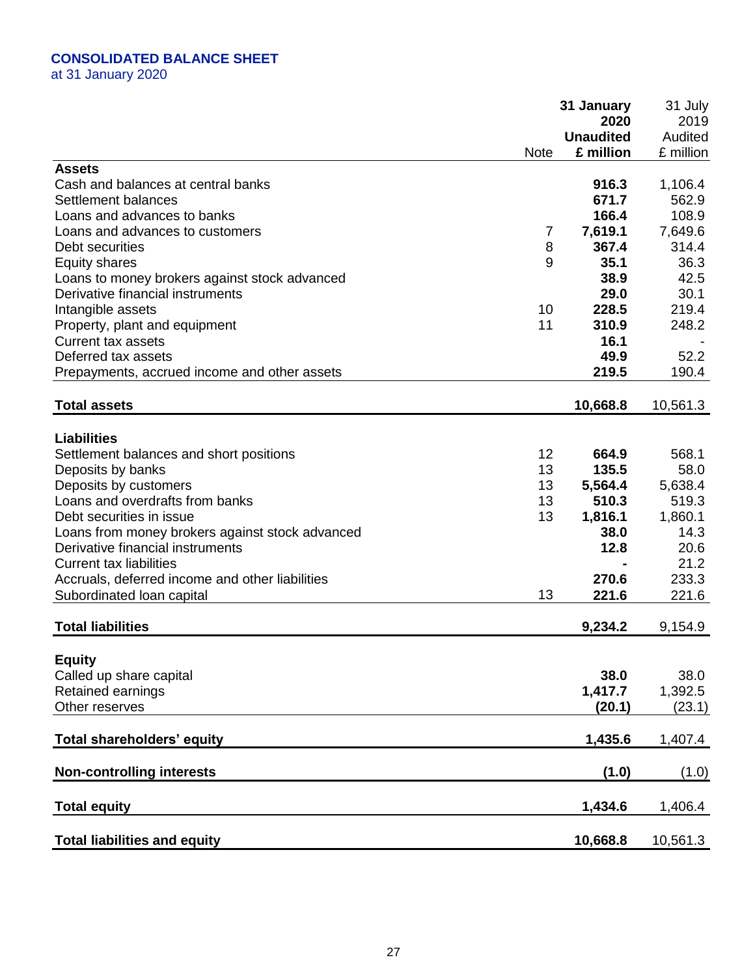# **CONSOLIDATED BALANCE SHEET**

at 31 January 2020

|                                                                                     |                | 31 January               | 31 July         |
|-------------------------------------------------------------------------------------|----------------|--------------------------|-----------------|
|                                                                                     |                | 2020<br><b>Unaudited</b> | 2019<br>Audited |
|                                                                                     | <b>Note</b>    | £ million                | £ million       |
| <b>Assets</b>                                                                       |                |                          |                 |
| Cash and balances at central banks                                                  |                | 916.3                    | 1,106.4         |
| Settlement balances                                                                 |                | 671.7                    | 562.9           |
| Loans and advances to banks                                                         |                | 166.4                    | 108.9           |
| Loans and advances to customers                                                     | $\overline{7}$ | 7,619.1                  | 7,649.6         |
| Debt securities                                                                     | 8              | 367.4                    | 314.4           |
| <b>Equity shares</b>                                                                | 9              | 35.1                     | 36.3            |
| Loans to money brokers against stock advanced                                       |                | 38.9                     | 42.5            |
| Derivative financial instruments                                                    |                | 29.0                     | 30.1            |
| Intangible assets                                                                   | 10             | 228.5                    | 219.4           |
| Property, plant and equipment                                                       | 11             | 310.9                    | 248.2           |
| <b>Current tax assets</b>                                                           |                | 16.1                     |                 |
| Deferred tax assets                                                                 |                | 49.9                     | 52.2            |
| Prepayments, accrued income and other assets                                        |                | 219.5                    | 190.4           |
| <b>Total assets</b>                                                                 |                | 10,668.8                 | 10,561.3        |
|                                                                                     |                |                          |                 |
| <b>Liabilities</b>                                                                  |                |                          |                 |
| Settlement balances and short positions                                             | 12             | 664.9                    | 568.1           |
| Deposits by banks                                                                   | 13             | 135.5                    | 58.0            |
| Deposits by customers                                                               | 13             | 5,564.4                  | 5,638.4         |
| Loans and overdrafts from banks                                                     | 13             | 510.3                    | 519.3           |
| Debt securities in issue                                                            | 13             | 1,816.1                  | 1,860.1         |
| Loans from money brokers against stock advanced<br>Derivative financial instruments |                | 38.0<br>12.8             | 14.3            |
| <b>Current tax liabilities</b>                                                      |                |                          | 20.6<br>21.2    |
|                                                                                     |                | 270.6                    | 233.3           |
| Accruals, deferred income and other liabilities                                     |                |                          |                 |
| Subordinated Ioan capital                                                           | 13             | 221.6                    | 221.6           |
| <b>Total liabilities</b>                                                            |                | 9,234.2                  | 9,154.9         |
| <b>Equity</b>                                                                       |                |                          |                 |
| Called up share capital                                                             |                | 38.0                     | 38.0            |
| Retained earnings                                                                   |                | 1,417.7                  | 1,392.5         |
| Other reserves                                                                      |                | (20.1)                   | (23.1)          |
|                                                                                     |                |                          |                 |
| Total shareholders' equity                                                          |                | 1,435.6                  | 1,407.4         |
| <b>Non-controlling interests</b>                                                    |                | (1.0)                    | (1.0)           |
|                                                                                     |                |                          |                 |
| <b>Total equity</b>                                                                 |                | 1,434.6                  | 1,406.4         |
| <b>Total liabilities and equity</b>                                                 |                | 10,668.8                 | 10,561.3        |
|                                                                                     |                |                          |                 |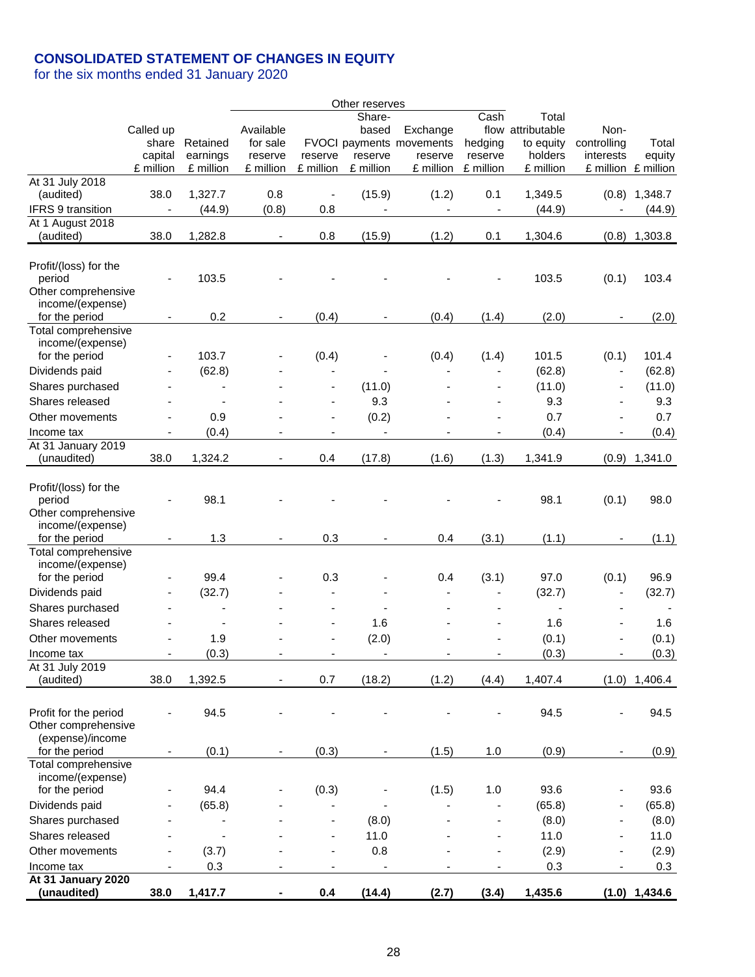# **CONSOLIDATED STATEMENT OF CHANGES IN EQUITY**

for the six months ended 31 January 2020

| Cash<br>Share-<br>Total<br>flow attributable<br>Called up<br>Available<br>Non-<br>based<br>Exchange<br>Retained<br>controlling<br>Total<br>share<br>for sale<br><b>FVOCI payments movements</b><br>hedging<br>to equity<br>capital<br>earnings<br>reserve<br>reserve<br>reserve<br>holders<br>interests<br>equity<br>reserve<br>reserve<br>£ million<br>£ million<br>£ million<br>£ million<br>£ million<br>£ million<br>£ million<br>£ million<br>£ million £ million<br>At 31 July 2018<br>(15.9)<br>(1.2)<br>1,349.5<br>(audited)<br>38.0<br>1,327.7<br>0.8<br>0.1<br>$(0.8)$ 1,348.7<br>$\blacksquare$<br>IFRS 9 transition<br>0.8<br>(44.9)<br>(0.8)<br>(44.9)<br>(44.9)<br>÷,<br>At 1 August 2018<br>38.0<br>1,282.8<br>(15.9)<br>(1.2)<br>0.8<br>0.1<br>1,304.6<br>1,303.8<br>(audited)<br>(0.8)<br>Profit/(loss) for the<br>103.5<br>103.5<br>103.4<br>period<br>(0.1)<br>Other comprehensive<br>income/(expense)<br>for the period<br>0.2<br>(0.4)<br>(0.4)<br>(1.4)<br>(2.0)<br>(2.0)<br>Total comprehensive<br>income/(expense)<br>for the period<br>103.7<br>(0.4)<br>101.5<br>101.4<br>(0.4)<br>(1.4)<br>(0.1)<br>Dividends paid<br>(62.8)<br>(62.8)<br>(62.8)<br>$\frac{1}{2}$<br>$\overline{\phantom{a}}$<br>$\blacksquare$<br>$\blacksquare$<br>Shares purchased<br>(11.0)<br>(11.0)<br>(11.0)<br>$\blacksquare$<br>٠<br>Shares released<br>9.3<br>9.3<br>9.3<br>$\overline{\phantom{a}}$<br>(0.2)<br>0.7<br>0.9<br>0.7<br>Other movements<br>ä,<br>÷<br>(0.4)<br>(0.4)<br>(0.4)<br>Income tax<br>At 31 January 2019<br>1,324.2<br>(17.8)<br>(1.6)<br>(1.3)<br>(unaudited)<br>38.0<br>0.4<br>1,341.9<br>(0.9)<br>1,341.0<br>Profit/(loss) for the<br>98.1<br>98.1<br>(0.1)<br>98.0<br>period<br>Other comprehensive<br>income/(expense)<br>1.3<br>0.3<br>0.4<br>(3.1)<br>(1.1)<br>(1.1)<br>for the period<br>Total comprehensive<br>income/(expense)<br>99.4<br>0.3<br>(3.1)<br>97.0<br>96.9<br>for the period<br>0.4<br>(0.1)<br>Dividends paid<br>(32.7)<br>(32.7)<br>(32.7)<br>$\overline{\phantom{a}}$<br>$\blacksquare$<br>$\overline{\phantom{a}}$<br>$\overline{\phantom{a}}$<br>Shares purchased<br>$\overline{\phantom{a}}$<br>$\blacksquare$<br>$\overline{\phantom{0}}$<br>$\overline{\phantom{a}}$<br>Shares released<br>1.6<br>1.6<br>1.6<br>(2.0)<br>(0.1)<br>(0.1)<br>1.9<br>Other movements<br>ä,<br>$\overline{\phantom{a}}$<br>(0.3)<br>(0.3)<br>(0.3)<br>Income tax<br>At 31 July 2019<br>(1.2)<br>38.0<br>0.7<br>(18.2)<br>(4.4)<br>1,392.5<br>1,407.4<br>(1.0)<br>1,406.4<br>(audited)<br>94.5<br>Profit for the period<br>94.5<br>94.5<br>Other comprehensive<br>(expense)/income<br>(1.5)<br>1.0<br>for the period<br>(0.1)<br>(0.3)<br>(0.9)<br>(0.9)<br>Total comprehensive<br>income/(expense)<br>for the period<br>94.4<br>(0.3)<br>(1.5)<br>1.0<br>93.6<br>93.6<br>(65.8)<br>(65.8)<br>Dividends paid<br>(65.8)<br>(8.0)<br>Shares purchased<br>(8.0)<br>(8.0)<br>Shares released<br>11.0<br>11.0<br>11.0<br>ä,<br>0.8<br>Other movements<br>(3.7)<br>(2.9)<br>(2.9)<br>٠<br>0.3<br>0.3<br>0.3<br>Income tax<br>$\blacksquare$<br>-<br>$\overline{\phantom{0}}$<br>-<br>At 31 January 2020<br>(unaudited)<br>38.0<br>1,417.7<br>0.4<br>(14.4)<br>(2.7)<br>(3.4)<br>1,435.6<br>$(1.0)$ 1,434.6 |  |  | Other reserves |  |  |  |
|-------------------------------------------------------------------------------------------------------------------------------------------------------------------------------------------------------------------------------------------------------------------------------------------------------------------------------------------------------------------------------------------------------------------------------------------------------------------------------------------------------------------------------------------------------------------------------------------------------------------------------------------------------------------------------------------------------------------------------------------------------------------------------------------------------------------------------------------------------------------------------------------------------------------------------------------------------------------------------------------------------------------------------------------------------------------------------------------------------------------------------------------------------------------------------------------------------------------------------------------------------------------------------------------------------------------------------------------------------------------------------------------------------------------------------------------------------------------------------------------------------------------------------------------------------------------------------------------------------------------------------------------------------------------------------------------------------------------------------------------------------------------------------------------------------------------------------------------------------------------------------------------------------------------------------------------------------------------------------------------------------------------------------------------------------------------------------------------------------------------------------------------------------------------------------------------------------------------------------------------------------------------------------------------------------------------------------------------------------------------------------------------------------------------------------------------------------------------------------------------------------------------------------------------------------------------------------------------------------------------------------------------------------------------------------------------------------------------------------------------------------------------------------------------------------------------------------------------------------------------------------------------------------------------------------------------------------------------------------------------------------------------------------------------------------------------------------------------------------------------------------------------------------------------------------------------------------------------------------------------|--|--|----------------|--|--|--|
|                                                                                                                                                                                                                                                                                                                                                                                                                                                                                                                                                                                                                                                                                                                                                                                                                                                                                                                                                                                                                                                                                                                                                                                                                                                                                                                                                                                                                                                                                                                                                                                                                                                                                                                                                                                                                                                                                                                                                                                                                                                                                                                                                                                                                                                                                                                                                                                                                                                                                                                                                                                                                                                                                                                                                                                                                                                                                                                                                                                                                                                                                                                                                                                                                                           |  |  |                |  |  |  |
|                                                                                                                                                                                                                                                                                                                                                                                                                                                                                                                                                                                                                                                                                                                                                                                                                                                                                                                                                                                                                                                                                                                                                                                                                                                                                                                                                                                                                                                                                                                                                                                                                                                                                                                                                                                                                                                                                                                                                                                                                                                                                                                                                                                                                                                                                                                                                                                                                                                                                                                                                                                                                                                                                                                                                                                                                                                                                                                                                                                                                                                                                                                                                                                                                                           |  |  |                |  |  |  |
|                                                                                                                                                                                                                                                                                                                                                                                                                                                                                                                                                                                                                                                                                                                                                                                                                                                                                                                                                                                                                                                                                                                                                                                                                                                                                                                                                                                                                                                                                                                                                                                                                                                                                                                                                                                                                                                                                                                                                                                                                                                                                                                                                                                                                                                                                                                                                                                                                                                                                                                                                                                                                                                                                                                                                                                                                                                                                                                                                                                                                                                                                                                                                                                                                                           |  |  |                |  |  |  |
|                                                                                                                                                                                                                                                                                                                                                                                                                                                                                                                                                                                                                                                                                                                                                                                                                                                                                                                                                                                                                                                                                                                                                                                                                                                                                                                                                                                                                                                                                                                                                                                                                                                                                                                                                                                                                                                                                                                                                                                                                                                                                                                                                                                                                                                                                                                                                                                                                                                                                                                                                                                                                                                                                                                                                                                                                                                                                                                                                                                                                                                                                                                                                                                                                                           |  |  |                |  |  |  |
|                                                                                                                                                                                                                                                                                                                                                                                                                                                                                                                                                                                                                                                                                                                                                                                                                                                                                                                                                                                                                                                                                                                                                                                                                                                                                                                                                                                                                                                                                                                                                                                                                                                                                                                                                                                                                                                                                                                                                                                                                                                                                                                                                                                                                                                                                                                                                                                                                                                                                                                                                                                                                                                                                                                                                                                                                                                                                                                                                                                                                                                                                                                                                                                                                                           |  |  |                |  |  |  |
|                                                                                                                                                                                                                                                                                                                                                                                                                                                                                                                                                                                                                                                                                                                                                                                                                                                                                                                                                                                                                                                                                                                                                                                                                                                                                                                                                                                                                                                                                                                                                                                                                                                                                                                                                                                                                                                                                                                                                                                                                                                                                                                                                                                                                                                                                                                                                                                                                                                                                                                                                                                                                                                                                                                                                                                                                                                                                                                                                                                                                                                                                                                                                                                                                                           |  |  |                |  |  |  |
|                                                                                                                                                                                                                                                                                                                                                                                                                                                                                                                                                                                                                                                                                                                                                                                                                                                                                                                                                                                                                                                                                                                                                                                                                                                                                                                                                                                                                                                                                                                                                                                                                                                                                                                                                                                                                                                                                                                                                                                                                                                                                                                                                                                                                                                                                                                                                                                                                                                                                                                                                                                                                                                                                                                                                                                                                                                                                                                                                                                                                                                                                                                                                                                                                                           |  |  |                |  |  |  |
|                                                                                                                                                                                                                                                                                                                                                                                                                                                                                                                                                                                                                                                                                                                                                                                                                                                                                                                                                                                                                                                                                                                                                                                                                                                                                                                                                                                                                                                                                                                                                                                                                                                                                                                                                                                                                                                                                                                                                                                                                                                                                                                                                                                                                                                                                                                                                                                                                                                                                                                                                                                                                                                                                                                                                                                                                                                                                                                                                                                                                                                                                                                                                                                                                                           |  |  |                |  |  |  |
|                                                                                                                                                                                                                                                                                                                                                                                                                                                                                                                                                                                                                                                                                                                                                                                                                                                                                                                                                                                                                                                                                                                                                                                                                                                                                                                                                                                                                                                                                                                                                                                                                                                                                                                                                                                                                                                                                                                                                                                                                                                                                                                                                                                                                                                                                                                                                                                                                                                                                                                                                                                                                                                                                                                                                                                                                                                                                                                                                                                                                                                                                                                                                                                                                                           |  |  |                |  |  |  |
|                                                                                                                                                                                                                                                                                                                                                                                                                                                                                                                                                                                                                                                                                                                                                                                                                                                                                                                                                                                                                                                                                                                                                                                                                                                                                                                                                                                                                                                                                                                                                                                                                                                                                                                                                                                                                                                                                                                                                                                                                                                                                                                                                                                                                                                                                                                                                                                                                                                                                                                                                                                                                                                                                                                                                                                                                                                                                                                                                                                                                                                                                                                                                                                                                                           |  |  |                |  |  |  |
|                                                                                                                                                                                                                                                                                                                                                                                                                                                                                                                                                                                                                                                                                                                                                                                                                                                                                                                                                                                                                                                                                                                                                                                                                                                                                                                                                                                                                                                                                                                                                                                                                                                                                                                                                                                                                                                                                                                                                                                                                                                                                                                                                                                                                                                                                                                                                                                                                                                                                                                                                                                                                                                                                                                                                                                                                                                                                                                                                                                                                                                                                                                                                                                                                                           |  |  |                |  |  |  |
|                                                                                                                                                                                                                                                                                                                                                                                                                                                                                                                                                                                                                                                                                                                                                                                                                                                                                                                                                                                                                                                                                                                                                                                                                                                                                                                                                                                                                                                                                                                                                                                                                                                                                                                                                                                                                                                                                                                                                                                                                                                                                                                                                                                                                                                                                                                                                                                                                                                                                                                                                                                                                                                                                                                                                                                                                                                                                                                                                                                                                                                                                                                                                                                                                                           |  |  |                |  |  |  |
|                                                                                                                                                                                                                                                                                                                                                                                                                                                                                                                                                                                                                                                                                                                                                                                                                                                                                                                                                                                                                                                                                                                                                                                                                                                                                                                                                                                                                                                                                                                                                                                                                                                                                                                                                                                                                                                                                                                                                                                                                                                                                                                                                                                                                                                                                                                                                                                                                                                                                                                                                                                                                                                                                                                                                                                                                                                                                                                                                                                                                                                                                                                                                                                                                                           |  |  |                |  |  |  |
|                                                                                                                                                                                                                                                                                                                                                                                                                                                                                                                                                                                                                                                                                                                                                                                                                                                                                                                                                                                                                                                                                                                                                                                                                                                                                                                                                                                                                                                                                                                                                                                                                                                                                                                                                                                                                                                                                                                                                                                                                                                                                                                                                                                                                                                                                                                                                                                                                                                                                                                                                                                                                                                                                                                                                                                                                                                                                                                                                                                                                                                                                                                                                                                                                                           |  |  |                |  |  |  |
|                                                                                                                                                                                                                                                                                                                                                                                                                                                                                                                                                                                                                                                                                                                                                                                                                                                                                                                                                                                                                                                                                                                                                                                                                                                                                                                                                                                                                                                                                                                                                                                                                                                                                                                                                                                                                                                                                                                                                                                                                                                                                                                                                                                                                                                                                                                                                                                                                                                                                                                                                                                                                                                                                                                                                                                                                                                                                                                                                                                                                                                                                                                                                                                                                                           |  |  |                |  |  |  |
|                                                                                                                                                                                                                                                                                                                                                                                                                                                                                                                                                                                                                                                                                                                                                                                                                                                                                                                                                                                                                                                                                                                                                                                                                                                                                                                                                                                                                                                                                                                                                                                                                                                                                                                                                                                                                                                                                                                                                                                                                                                                                                                                                                                                                                                                                                                                                                                                                                                                                                                                                                                                                                                                                                                                                                                                                                                                                                                                                                                                                                                                                                                                                                                                                                           |  |  |                |  |  |  |
|                                                                                                                                                                                                                                                                                                                                                                                                                                                                                                                                                                                                                                                                                                                                                                                                                                                                                                                                                                                                                                                                                                                                                                                                                                                                                                                                                                                                                                                                                                                                                                                                                                                                                                                                                                                                                                                                                                                                                                                                                                                                                                                                                                                                                                                                                                                                                                                                                                                                                                                                                                                                                                                                                                                                                                                                                                                                                                                                                                                                                                                                                                                                                                                                                                           |  |  |                |  |  |  |
|                                                                                                                                                                                                                                                                                                                                                                                                                                                                                                                                                                                                                                                                                                                                                                                                                                                                                                                                                                                                                                                                                                                                                                                                                                                                                                                                                                                                                                                                                                                                                                                                                                                                                                                                                                                                                                                                                                                                                                                                                                                                                                                                                                                                                                                                                                                                                                                                                                                                                                                                                                                                                                                                                                                                                                                                                                                                                                                                                                                                                                                                                                                                                                                                                                           |  |  |                |  |  |  |
|                                                                                                                                                                                                                                                                                                                                                                                                                                                                                                                                                                                                                                                                                                                                                                                                                                                                                                                                                                                                                                                                                                                                                                                                                                                                                                                                                                                                                                                                                                                                                                                                                                                                                                                                                                                                                                                                                                                                                                                                                                                                                                                                                                                                                                                                                                                                                                                                                                                                                                                                                                                                                                                                                                                                                                                                                                                                                                                                                                                                                                                                                                                                                                                                                                           |  |  |                |  |  |  |
|                                                                                                                                                                                                                                                                                                                                                                                                                                                                                                                                                                                                                                                                                                                                                                                                                                                                                                                                                                                                                                                                                                                                                                                                                                                                                                                                                                                                                                                                                                                                                                                                                                                                                                                                                                                                                                                                                                                                                                                                                                                                                                                                                                                                                                                                                                                                                                                                                                                                                                                                                                                                                                                                                                                                                                                                                                                                                                                                                                                                                                                                                                                                                                                                                                           |  |  |                |  |  |  |
|                                                                                                                                                                                                                                                                                                                                                                                                                                                                                                                                                                                                                                                                                                                                                                                                                                                                                                                                                                                                                                                                                                                                                                                                                                                                                                                                                                                                                                                                                                                                                                                                                                                                                                                                                                                                                                                                                                                                                                                                                                                                                                                                                                                                                                                                                                                                                                                                                                                                                                                                                                                                                                                                                                                                                                                                                                                                                                                                                                                                                                                                                                                                                                                                                                           |  |  |                |  |  |  |
|                                                                                                                                                                                                                                                                                                                                                                                                                                                                                                                                                                                                                                                                                                                                                                                                                                                                                                                                                                                                                                                                                                                                                                                                                                                                                                                                                                                                                                                                                                                                                                                                                                                                                                                                                                                                                                                                                                                                                                                                                                                                                                                                                                                                                                                                                                                                                                                                                                                                                                                                                                                                                                                                                                                                                                                                                                                                                                                                                                                                                                                                                                                                                                                                                                           |  |  |                |  |  |  |
|                                                                                                                                                                                                                                                                                                                                                                                                                                                                                                                                                                                                                                                                                                                                                                                                                                                                                                                                                                                                                                                                                                                                                                                                                                                                                                                                                                                                                                                                                                                                                                                                                                                                                                                                                                                                                                                                                                                                                                                                                                                                                                                                                                                                                                                                                                                                                                                                                                                                                                                                                                                                                                                                                                                                                                                                                                                                                                                                                                                                                                                                                                                                                                                                                                           |  |  |                |  |  |  |
|                                                                                                                                                                                                                                                                                                                                                                                                                                                                                                                                                                                                                                                                                                                                                                                                                                                                                                                                                                                                                                                                                                                                                                                                                                                                                                                                                                                                                                                                                                                                                                                                                                                                                                                                                                                                                                                                                                                                                                                                                                                                                                                                                                                                                                                                                                                                                                                                                                                                                                                                                                                                                                                                                                                                                                                                                                                                                                                                                                                                                                                                                                                                                                                                                                           |  |  |                |  |  |  |
|                                                                                                                                                                                                                                                                                                                                                                                                                                                                                                                                                                                                                                                                                                                                                                                                                                                                                                                                                                                                                                                                                                                                                                                                                                                                                                                                                                                                                                                                                                                                                                                                                                                                                                                                                                                                                                                                                                                                                                                                                                                                                                                                                                                                                                                                                                                                                                                                                                                                                                                                                                                                                                                                                                                                                                                                                                                                                                                                                                                                                                                                                                                                                                                                                                           |  |  |                |  |  |  |
|                                                                                                                                                                                                                                                                                                                                                                                                                                                                                                                                                                                                                                                                                                                                                                                                                                                                                                                                                                                                                                                                                                                                                                                                                                                                                                                                                                                                                                                                                                                                                                                                                                                                                                                                                                                                                                                                                                                                                                                                                                                                                                                                                                                                                                                                                                                                                                                                                                                                                                                                                                                                                                                                                                                                                                                                                                                                                                                                                                                                                                                                                                                                                                                                                                           |  |  |                |  |  |  |
|                                                                                                                                                                                                                                                                                                                                                                                                                                                                                                                                                                                                                                                                                                                                                                                                                                                                                                                                                                                                                                                                                                                                                                                                                                                                                                                                                                                                                                                                                                                                                                                                                                                                                                                                                                                                                                                                                                                                                                                                                                                                                                                                                                                                                                                                                                                                                                                                                                                                                                                                                                                                                                                                                                                                                                                                                                                                                                                                                                                                                                                                                                                                                                                                                                           |  |  |                |  |  |  |
|                                                                                                                                                                                                                                                                                                                                                                                                                                                                                                                                                                                                                                                                                                                                                                                                                                                                                                                                                                                                                                                                                                                                                                                                                                                                                                                                                                                                                                                                                                                                                                                                                                                                                                                                                                                                                                                                                                                                                                                                                                                                                                                                                                                                                                                                                                                                                                                                                                                                                                                                                                                                                                                                                                                                                                                                                                                                                                                                                                                                                                                                                                                                                                                                                                           |  |  |                |  |  |  |
|                                                                                                                                                                                                                                                                                                                                                                                                                                                                                                                                                                                                                                                                                                                                                                                                                                                                                                                                                                                                                                                                                                                                                                                                                                                                                                                                                                                                                                                                                                                                                                                                                                                                                                                                                                                                                                                                                                                                                                                                                                                                                                                                                                                                                                                                                                                                                                                                                                                                                                                                                                                                                                                                                                                                                                                                                                                                                                                                                                                                                                                                                                                                                                                                                                           |  |  |                |  |  |  |
|                                                                                                                                                                                                                                                                                                                                                                                                                                                                                                                                                                                                                                                                                                                                                                                                                                                                                                                                                                                                                                                                                                                                                                                                                                                                                                                                                                                                                                                                                                                                                                                                                                                                                                                                                                                                                                                                                                                                                                                                                                                                                                                                                                                                                                                                                                                                                                                                                                                                                                                                                                                                                                                                                                                                                                                                                                                                                                                                                                                                                                                                                                                                                                                                                                           |  |  |                |  |  |  |
|                                                                                                                                                                                                                                                                                                                                                                                                                                                                                                                                                                                                                                                                                                                                                                                                                                                                                                                                                                                                                                                                                                                                                                                                                                                                                                                                                                                                                                                                                                                                                                                                                                                                                                                                                                                                                                                                                                                                                                                                                                                                                                                                                                                                                                                                                                                                                                                                                                                                                                                                                                                                                                                                                                                                                                                                                                                                                                                                                                                                                                                                                                                                                                                                                                           |  |  |                |  |  |  |
|                                                                                                                                                                                                                                                                                                                                                                                                                                                                                                                                                                                                                                                                                                                                                                                                                                                                                                                                                                                                                                                                                                                                                                                                                                                                                                                                                                                                                                                                                                                                                                                                                                                                                                                                                                                                                                                                                                                                                                                                                                                                                                                                                                                                                                                                                                                                                                                                                                                                                                                                                                                                                                                                                                                                                                                                                                                                                                                                                                                                                                                                                                                                                                                                                                           |  |  |                |  |  |  |
|                                                                                                                                                                                                                                                                                                                                                                                                                                                                                                                                                                                                                                                                                                                                                                                                                                                                                                                                                                                                                                                                                                                                                                                                                                                                                                                                                                                                                                                                                                                                                                                                                                                                                                                                                                                                                                                                                                                                                                                                                                                                                                                                                                                                                                                                                                                                                                                                                                                                                                                                                                                                                                                                                                                                                                                                                                                                                                                                                                                                                                                                                                                                                                                                                                           |  |  |                |  |  |  |
|                                                                                                                                                                                                                                                                                                                                                                                                                                                                                                                                                                                                                                                                                                                                                                                                                                                                                                                                                                                                                                                                                                                                                                                                                                                                                                                                                                                                                                                                                                                                                                                                                                                                                                                                                                                                                                                                                                                                                                                                                                                                                                                                                                                                                                                                                                                                                                                                                                                                                                                                                                                                                                                                                                                                                                                                                                                                                                                                                                                                                                                                                                                                                                                                                                           |  |  |                |  |  |  |
|                                                                                                                                                                                                                                                                                                                                                                                                                                                                                                                                                                                                                                                                                                                                                                                                                                                                                                                                                                                                                                                                                                                                                                                                                                                                                                                                                                                                                                                                                                                                                                                                                                                                                                                                                                                                                                                                                                                                                                                                                                                                                                                                                                                                                                                                                                                                                                                                                                                                                                                                                                                                                                                                                                                                                                                                                                                                                                                                                                                                                                                                                                                                                                                                                                           |  |  |                |  |  |  |
|                                                                                                                                                                                                                                                                                                                                                                                                                                                                                                                                                                                                                                                                                                                                                                                                                                                                                                                                                                                                                                                                                                                                                                                                                                                                                                                                                                                                                                                                                                                                                                                                                                                                                                                                                                                                                                                                                                                                                                                                                                                                                                                                                                                                                                                                                                                                                                                                                                                                                                                                                                                                                                                                                                                                                                                                                                                                                                                                                                                                                                                                                                                                                                                                                                           |  |  |                |  |  |  |
|                                                                                                                                                                                                                                                                                                                                                                                                                                                                                                                                                                                                                                                                                                                                                                                                                                                                                                                                                                                                                                                                                                                                                                                                                                                                                                                                                                                                                                                                                                                                                                                                                                                                                                                                                                                                                                                                                                                                                                                                                                                                                                                                                                                                                                                                                                                                                                                                                                                                                                                                                                                                                                                                                                                                                                                                                                                                                                                                                                                                                                                                                                                                                                                                                                           |  |  |                |  |  |  |
|                                                                                                                                                                                                                                                                                                                                                                                                                                                                                                                                                                                                                                                                                                                                                                                                                                                                                                                                                                                                                                                                                                                                                                                                                                                                                                                                                                                                                                                                                                                                                                                                                                                                                                                                                                                                                                                                                                                                                                                                                                                                                                                                                                                                                                                                                                                                                                                                                                                                                                                                                                                                                                                                                                                                                                                                                                                                                                                                                                                                                                                                                                                                                                                                                                           |  |  |                |  |  |  |
|                                                                                                                                                                                                                                                                                                                                                                                                                                                                                                                                                                                                                                                                                                                                                                                                                                                                                                                                                                                                                                                                                                                                                                                                                                                                                                                                                                                                                                                                                                                                                                                                                                                                                                                                                                                                                                                                                                                                                                                                                                                                                                                                                                                                                                                                                                                                                                                                                                                                                                                                                                                                                                                                                                                                                                                                                                                                                                                                                                                                                                                                                                                                                                                                                                           |  |  |                |  |  |  |
|                                                                                                                                                                                                                                                                                                                                                                                                                                                                                                                                                                                                                                                                                                                                                                                                                                                                                                                                                                                                                                                                                                                                                                                                                                                                                                                                                                                                                                                                                                                                                                                                                                                                                                                                                                                                                                                                                                                                                                                                                                                                                                                                                                                                                                                                                                                                                                                                                                                                                                                                                                                                                                                                                                                                                                                                                                                                                                                                                                                                                                                                                                                                                                                                                                           |  |  |                |  |  |  |
|                                                                                                                                                                                                                                                                                                                                                                                                                                                                                                                                                                                                                                                                                                                                                                                                                                                                                                                                                                                                                                                                                                                                                                                                                                                                                                                                                                                                                                                                                                                                                                                                                                                                                                                                                                                                                                                                                                                                                                                                                                                                                                                                                                                                                                                                                                                                                                                                                                                                                                                                                                                                                                                                                                                                                                                                                                                                                                                                                                                                                                                                                                                                                                                                                                           |  |  |                |  |  |  |
|                                                                                                                                                                                                                                                                                                                                                                                                                                                                                                                                                                                                                                                                                                                                                                                                                                                                                                                                                                                                                                                                                                                                                                                                                                                                                                                                                                                                                                                                                                                                                                                                                                                                                                                                                                                                                                                                                                                                                                                                                                                                                                                                                                                                                                                                                                                                                                                                                                                                                                                                                                                                                                                                                                                                                                                                                                                                                                                                                                                                                                                                                                                                                                                                                                           |  |  |                |  |  |  |
|                                                                                                                                                                                                                                                                                                                                                                                                                                                                                                                                                                                                                                                                                                                                                                                                                                                                                                                                                                                                                                                                                                                                                                                                                                                                                                                                                                                                                                                                                                                                                                                                                                                                                                                                                                                                                                                                                                                                                                                                                                                                                                                                                                                                                                                                                                                                                                                                                                                                                                                                                                                                                                                                                                                                                                                                                                                                                                                                                                                                                                                                                                                                                                                                                                           |  |  |                |  |  |  |
|                                                                                                                                                                                                                                                                                                                                                                                                                                                                                                                                                                                                                                                                                                                                                                                                                                                                                                                                                                                                                                                                                                                                                                                                                                                                                                                                                                                                                                                                                                                                                                                                                                                                                                                                                                                                                                                                                                                                                                                                                                                                                                                                                                                                                                                                                                                                                                                                                                                                                                                                                                                                                                                                                                                                                                                                                                                                                                                                                                                                                                                                                                                                                                                                                                           |  |  |                |  |  |  |
|                                                                                                                                                                                                                                                                                                                                                                                                                                                                                                                                                                                                                                                                                                                                                                                                                                                                                                                                                                                                                                                                                                                                                                                                                                                                                                                                                                                                                                                                                                                                                                                                                                                                                                                                                                                                                                                                                                                                                                                                                                                                                                                                                                                                                                                                                                                                                                                                                                                                                                                                                                                                                                                                                                                                                                                                                                                                                                                                                                                                                                                                                                                                                                                                                                           |  |  |                |  |  |  |
|                                                                                                                                                                                                                                                                                                                                                                                                                                                                                                                                                                                                                                                                                                                                                                                                                                                                                                                                                                                                                                                                                                                                                                                                                                                                                                                                                                                                                                                                                                                                                                                                                                                                                                                                                                                                                                                                                                                                                                                                                                                                                                                                                                                                                                                                                                                                                                                                                                                                                                                                                                                                                                                                                                                                                                                                                                                                                                                                                                                                                                                                                                                                                                                                                                           |  |  |                |  |  |  |
|                                                                                                                                                                                                                                                                                                                                                                                                                                                                                                                                                                                                                                                                                                                                                                                                                                                                                                                                                                                                                                                                                                                                                                                                                                                                                                                                                                                                                                                                                                                                                                                                                                                                                                                                                                                                                                                                                                                                                                                                                                                                                                                                                                                                                                                                                                                                                                                                                                                                                                                                                                                                                                                                                                                                                                                                                                                                                                                                                                                                                                                                                                                                                                                                                                           |  |  |                |  |  |  |
|                                                                                                                                                                                                                                                                                                                                                                                                                                                                                                                                                                                                                                                                                                                                                                                                                                                                                                                                                                                                                                                                                                                                                                                                                                                                                                                                                                                                                                                                                                                                                                                                                                                                                                                                                                                                                                                                                                                                                                                                                                                                                                                                                                                                                                                                                                                                                                                                                                                                                                                                                                                                                                                                                                                                                                                                                                                                                                                                                                                                                                                                                                                                                                                                                                           |  |  |                |  |  |  |
|                                                                                                                                                                                                                                                                                                                                                                                                                                                                                                                                                                                                                                                                                                                                                                                                                                                                                                                                                                                                                                                                                                                                                                                                                                                                                                                                                                                                                                                                                                                                                                                                                                                                                                                                                                                                                                                                                                                                                                                                                                                                                                                                                                                                                                                                                                                                                                                                                                                                                                                                                                                                                                                                                                                                                                                                                                                                                                                                                                                                                                                                                                                                                                                                                                           |  |  |                |  |  |  |
|                                                                                                                                                                                                                                                                                                                                                                                                                                                                                                                                                                                                                                                                                                                                                                                                                                                                                                                                                                                                                                                                                                                                                                                                                                                                                                                                                                                                                                                                                                                                                                                                                                                                                                                                                                                                                                                                                                                                                                                                                                                                                                                                                                                                                                                                                                                                                                                                                                                                                                                                                                                                                                                                                                                                                                                                                                                                                                                                                                                                                                                                                                                                                                                                                                           |  |  |                |  |  |  |
|                                                                                                                                                                                                                                                                                                                                                                                                                                                                                                                                                                                                                                                                                                                                                                                                                                                                                                                                                                                                                                                                                                                                                                                                                                                                                                                                                                                                                                                                                                                                                                                                                                                                                                                                                                                                                                                                                                                                                                                                                                                                                                                                                                                                                                                                                                                                                                                                                                                                                                                                                                                                                                                                                                                                                                                                                                                                                                                                                                                                                                                                                                                                                                                                                                           |  |  |                |  |  |  |
|                                                                                                                                                                                                                                                                                                                                                                                                                                                                                                                                                                                                                                                                                                                                                                                                                                                                                                                                                                                                                                                                                                                                                                                                                                                                                                                                                                                                                                                                                                                                                                                                                                                                                                                                                                                                                                                                                                                                                                                                                                                                                                                                                                                                                                                                                                                                                                                                                                                                                                                                                                                                                                                                                                                                                                                                                                                                                                                                                                                                                                                                                                                                                                                                                                           |  |  |                |  |  |  |
|                                                                                                                                                                                                                                                                                                                                                                                                                                                                                                                                                                                                                                                                                                                                                                                                                                                                                                                                                                                                                                                                                                                                                                                                                                                                                                                                                                                                                                                                                                                                                                                                                                                                                                                                                                                                                                                                                                                                                                                                                                                                                                                                                                                                                                                                                                                                                                                                                                                                                                                                                                                                                                                                                                                                                                                                                                                                                                                                                                                                                                                                                                                                                                                                                                           |  |  |                |  |  |  |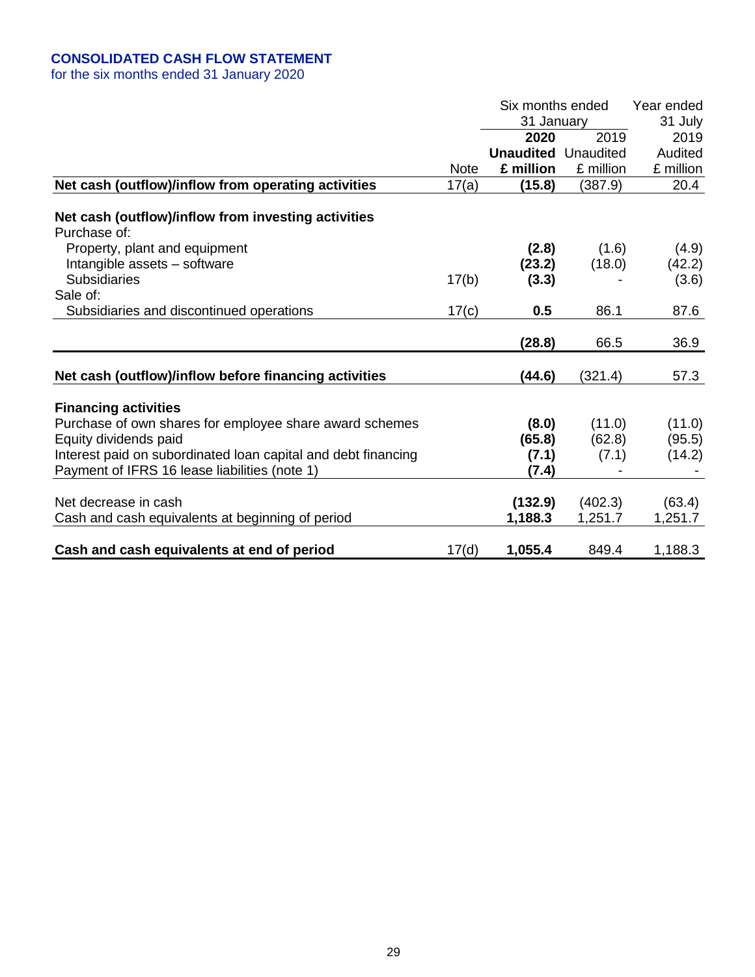# **CONSOLIDATED CASH FLOW STATEMENT**

for the six months ended 31 January 2020

|                                                                     |             | Six months ended<br>31 January<br>2020 | 2019      | Year ended<br>31 July<br>2019 |
|---------------------------------------------------------------------|-------------|----------------------------------------|-----------|-------------------------------|
|                                                                     |             | <b>Unaudited Unaudited</b>             |           | Audited                       |
|                                                                     | <b>Note</b> | £ million                              | £ million | £ million                     |
| Net cash (outflow)/inflow from operating activities                 | 17(a)       | (15.8)                                 | (387.9)   | 20.4                          |
| Net cash (outflow)/inflow from investing activities<br>Purchase of: |             |                                        |           |                               |
| Property, plant and equipment                                       |             | (2.8)                                  | (1.6)     | (4.9)                         |
| Intangible assets - software                                        |             | (23.2)                                 | (18.0)    | (42.2)                        |
| <b>Subsidiaries</b>                                                 | 17(b)       | (3.3)                                  |           | (3.6)                         |
| Sale of:                                                            |             |                                        |           |                               |
| Subsidiaries and discontinued operations                            | 17(c)       | 0.5                                    | 86.1      | 87.6                          |
|                                                                     |             | (28.8)                                 | 66.5      | 36.9                          |
| Net cash (outflow)/inflow before financing activities               |             | (44.6)                                 | (321.4)   | 57.3                          |
| <b>Financing activities</b>                                         |             |                                        |           |                               |
| Purchase of own shares for employee share award schemes             |             | (8.0)                                  | (11.0)    | (11.0)                        |
| Equity dividends paid                                               |             | (65.8)                                 | (62.8)    | (95.5)                        |
| Interest paid on subordinated loan capital and debt financing       |             | (7.1)                                  | (7.1)     | (14.2)                        |
| Payment of IFRS 16 lease liabilities (note 1)                       |             | (7.4)                                  |           |                               |
| Net decrease in cash                                                |             | (132.9)                                | (402.3)   | (63.4)                        |
| Cash and cash equivalents at beginning of period                    |             | 1,188.3                                | 1,251.7   | 1,251.7                       |
| Cash and cash equivalents at end of period                          | 17(d)       | 1,055.4                                | 849.4     | 1,188.3                       |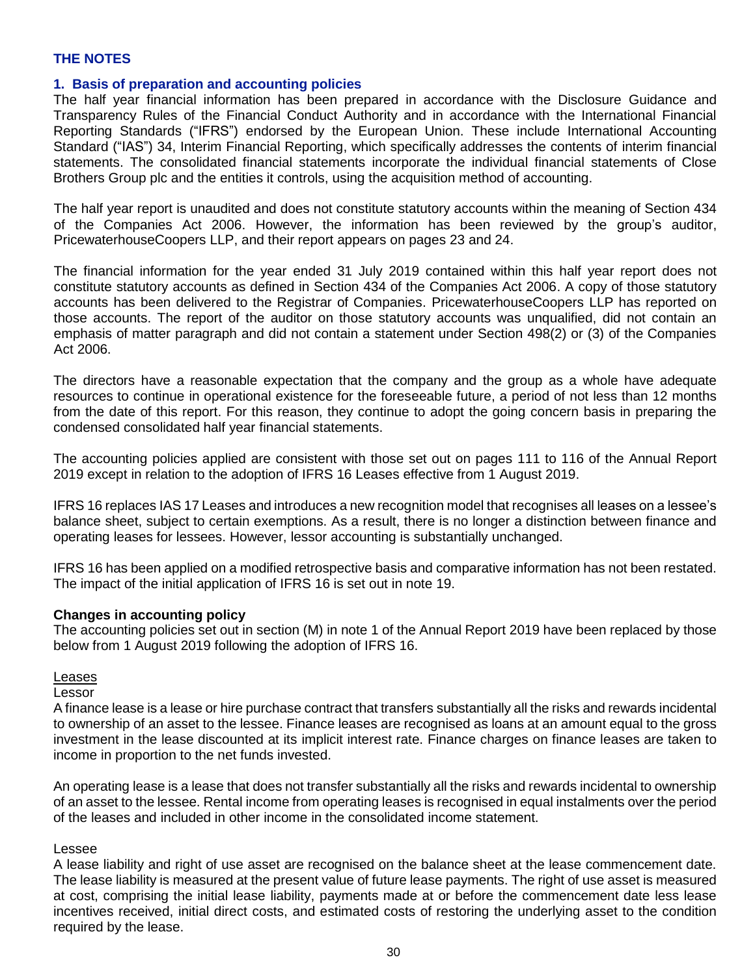## **THE NOTES**

# **1. Basis of preparation and accounting policies**

The half year financial information has been prepared in accordance with the Disclosure Guidance and Transparency Rules of the Financial Conduct Authority and in accordance with the International Financial Reporting Standards ("IFRS") endorsed by the European Union. These include International Accounting Standard ("IAS") 34, Interim Financial Reporting, which specifically addresses the contents of interim financial statements. The consolidated financial statements incorporate the individual financial statements of Close Brothers Group plc and the entities it controls, using the acquisition method of accounting.

The half year report is unaudited and does not constitute statutory accounts within the meaning of Section 434 of the Companies Act 2006. However, the information has been reviewed by the group's auditor, PricewaterhouseCoopers LLP, and their report appears on pages 23 and 24.

The financial information for the year ended 31 July 2019 contained within this half year report does not constitute statutory accounts as defined in Section 434 of the Companies Act 2006. A copy of those statutory accounts has been delivered to the Registrar of Companies. PricewaterhouseCoopers LLP has reported on those accounts. The report of the auditor on those statutory accounts was unqualified, did not contain an emphasis of matter paragraph and did not contain a statement under Section 498(2) or (3) of the Companies Act 2006.

The directors have a reasonable expectation that the company and the group as a whole have adequate resources to continue in operational existence for the foreseeable future, a period of not less than 12 months from the date of this report. For this reason, they continue to adopt the going concern basis in preparing the condensed consolidated half year financial statements.

The accounting policies applied are consistent with those set out on pages 111 to 116 of the Annual Report 2019 except in relation to the adoption of IFRS 16 Leases effective from 1 August 2019.

IFRS 16 replaces IAS 17 Leases and introduces a new recognition model that recognises all leases on a lessee's balance sheet, subject to certain exemptions. As a result, there is no longer a distinction between finance and operating leases for lessees. However, lessor accounting is substantially unchanged.

IFRS 16 has been applied on a modified retrospective basis and comparative information has not been restated. The impact of the initial application of IFRS 16 is set out in note 19.

#### **Changes in accounting policy**

The accounting policies set out in section (M) in note 1 of the Annual Report 2019 have been replaced by those below from 1 August 2019 following the adoption of IFRS 16.

#### Leases

Lessor

A finance lease is a lease or hire purchase contract that transfers substantially all the risks and rewards incidental to ownership of an asset to the lessee. Finance leases are recognised as loans at an amount equal to the gross investment in the lease discounted at its implicit interest rate. Finance charges on finance leases are taken to income in proportion to the net funds invested.

An operating lease is a lease that does not transfer substantially all the risks and rewards incidental to ownership of an asset to the lessee. Rental income from operating leases is recognised in equal instalments over the period of the leases and included in other income in the consolidated income statement.

#### Lessee

A lease liability and right of use asset are recognised on the balance sheet at the lease commencement date. The lease liability is measured at the present value of future lease payments. The right of use asset is measured at cost, comprising the initial lease liability, payments made at or before the commencement date less lease incentives received, initial direct costs, and estimated costs of restoring the underlying asset to the condition required by the lease.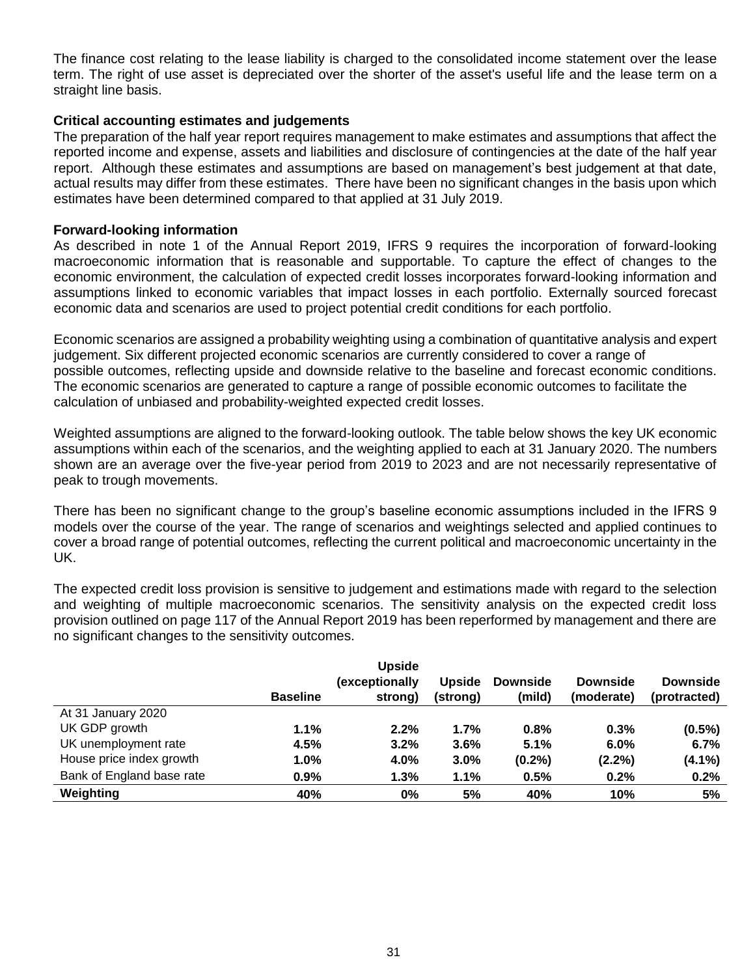The finance cost relating to the lease liability is charged to the consolidated income statement over the lease term. The right of use asset is depreciated over the shorter of the asset's useful life and the lease term on a straight line basis.

### **Critical accounting estimates and judgements**

The preparation of the half year report requires management to make estimates and assumptions that affect the reported income and expense, assets and liabilities and disclosure of contingencies at the date of the half year report. Although these estimates and assumptions are based on management's best judgement at that date, actual results may differ from these estimates. There have been no significant changes in the basis upon which estimates have been determined compared to that applied at 31 July 2019.

#### **Forward-looking information**

As described in note 1 of the Annual Report 2019, IFRS 9 requires the incorporation of forward-looking macroeconomic information that is reasonable and supportable. To capture the effect of changes to the economic environment, the calculation of expected credit losses incorporates forward-looking information and assumptions linked to economic variables that impact losses in each portfolio. Externally sourced forecast economic data and scenarios are used to project potential credit conditions for each portfolio.

Economic scenarios are assigned a probability weighting using a combination of quantitative analysis and expert judgement. Six different projected economic scenarios are currently considered to cover a range of possible outcomes, reflecting upside and downside relative to the baseline and forecast economic conditions. The economic scenarios are generated to capture a range of possible economic outcomes to facilitate the calculation of unbiased and probability-weighted expected credit losses.

Weighted assumptions are aligned to the forward-looking outlook. The table below shows the key UK economic assumptions within each of the scenarios, and the weighting applied to each at 31 January 2020. The numbers shown are an average over the five-year period from 2019 to 2023 and are not necessarily representative of peak to trough movements.

There has been no significant change to the group's baseline economic assumptions included in the IFRS 9 models over the course of the year. The range of scenarios and weightings selected and applied continues to cover a broad range of potential outcomes, reflecting the current political and macroeconomic uncertainty in the UK.

The expected credit loss provision is sensitive to judgement and estimations made with regard to the selection and weighting of multiple macroeconomic scenarios. The sensitivity analysis on the expected credit loss provision outlined on page 117 of the Annual Report 2019 has been reperformed by management and there are no significant changes to the sensitivity outcomes.

|                           | <b>Baseline</b> | <b>Upside</b><br>(exceptionally<br>strong) | <b>Upside</b><br>(strong) | <b>Downside</b><br>(mild) | <b>Downside</b><br>(moderate) | <b>Downside</b><br>(protracted) |
|---------------------------|-----------------|--------------------------------------------|---------------------------|---------------------------|-------------------------------|---------------------------------|
| At 31 January 2020        |                 |                                            |                           |                           |                               |                                 |
| UK GDP growth             | 1.1%            | 2.2%                                       | 1.7%                      | 0.8%                      | 0.3%                          | $(0.5\%)$                       |
| UK unemployment rate      | 4.5%            | 3.2%                                       | 3.6%                      | 5.1%                      | 6.0%                          | 6.7%                            |
| House price index growth  | $1.0\%$         | 4.0%                                       | 3.0%                      | $(0.2\%)$                 | $(2.2\%)$                     | $(4.1\%)$                       |
| Bank of England base rate | 0.9%            | 1.3%                                       | 1.1%                      | 0.5%                      | 0.2%                          | 0.2%                            |
| Weighting                 | 40%             | 0%                                         | 5%                        | 40%                       | 10%                           | 5%                              |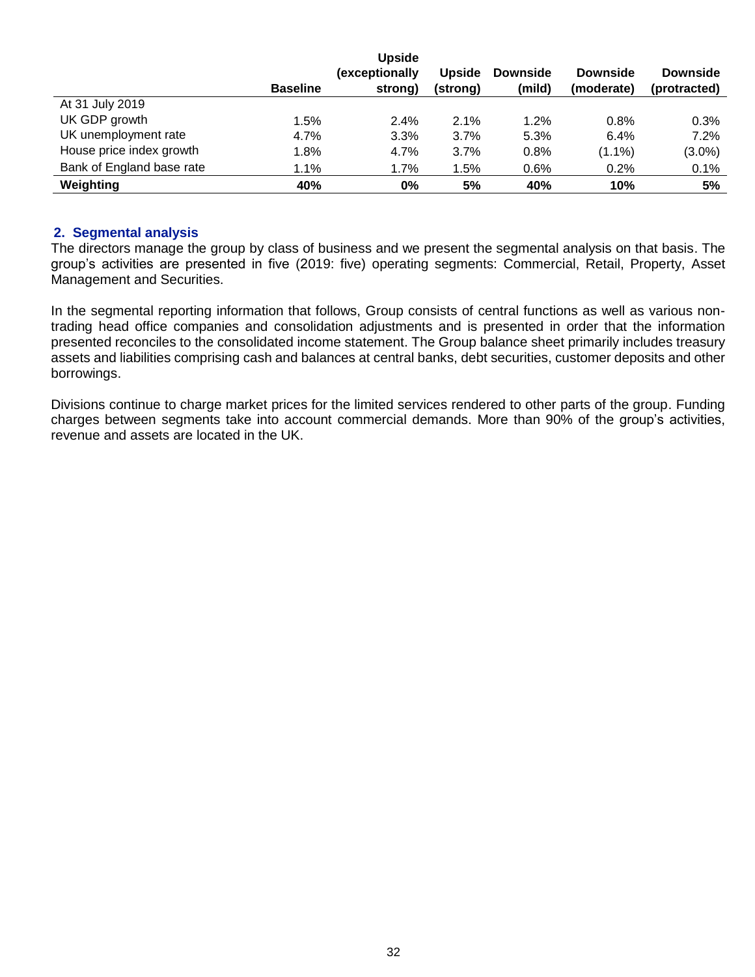|                           | <b>Baseline</b> | <b>Upside</b><br>(exceptionally<br>strong) | <b>Upside</b><br>(strong) | <b>Downside</b><br>(mild) | <b>Downside</b><br>(moderate) | <b>Downside</b><br>(protracted) |
|---------------------------|-----------------|--------------------------------------------|---------------------------|---------------------------|-------------------------------|---------------------------------|
| At 31 July 2019           |                 |                                            |                           |                           |                               |                                 |
| UK GDP growth             | 1.5%            | 2.4%                                       | 2.1%                      | 1.2%                      | 0.8%                          | 0.3%                            |
| UK unemployment rate      | 4.7%            | 3.3%                                       | 3.7%                      | 5.3%                      | 6.4%                          | 7.2%                            |
| House price index growth  | 1.8%            | 4.7%                                       | 3.7%                      | $0.8\%$                   | (1.1%)                        | $(3.0\%)$                       |
| Bank of England base rate | 1.1%            | 1.7%                                       | l.5%                      | $0.6\%$                   | 0.2%                          | 0.1%                            |
| Weighting                 | 40%             | 0%                                         | 5%                        | 40%                       | 10%                           | 5%                              |

### **2. Segmental analysis**

The directors manage the group by class of business and we present the segmental analysis on that basis. The group's activities are presented in five (2019: five) operating segments: Commercial, Retail, Property, Asset Management and Securities.

In the segmental reporting information that follows, Group consists of central functions as well as various nontrading head office companies and consolidation adjustments and is presented in order that the information presented reconciles to the consolidated income statement. The Group balance sheet primarily includes treasury assets and liabilities comprising cash and balances at central banks, debt securities, customer deposits and other borrowings.

Divisions continue to charge market prices for the limited services rendered to other parts of the group. Funding charges between segments take into account commercial demands. More than 90% of the group's activities, revenue and assets are located in the UK.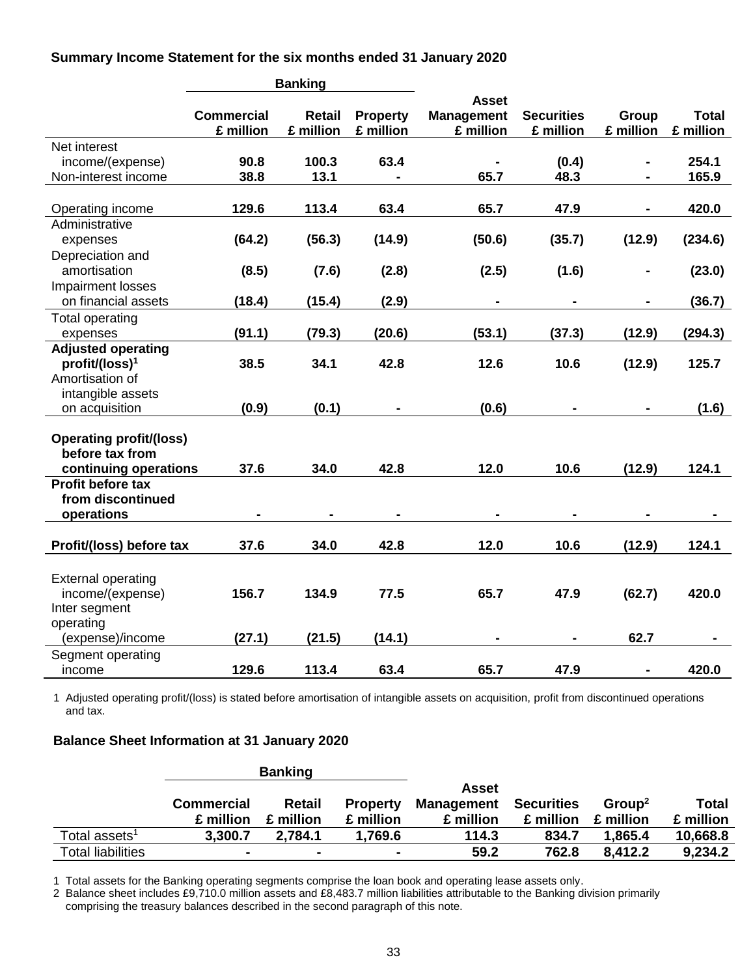**Summary Income Statement for the six months ended 31 January 2020**

|                                                                             |                                | <b>Banking</b>             |                              |                                                |                                |                    |                           |
|-----------------------------------------------------------------------------|--------------------------------|----------------------------|------------------------------|------------------------------------------------|--------------------------------|--------------------|---------------------------|
|                                                                             | <b>Commercial</b><br>£ million | <b>Retail</b><br>£ million | <b>Property</b><br>£ million | <b>Asset</b><br><b>Management</b><br>£ million | <b>Securities</b><br>£ million | Group<br>£ million | <b>Total</b><br>£ million |
| Net interest<br>income/(expense)<br>Non-interest income                     | 90.8<br>38.8                   | 100.3<br>13.1              | 63.4                         | 65.7                                           | (0.4)<br>48.3                  |                    | 254.1<br>165.9            |
| Operating income                                                            | 129.6                          | 113.4                      | 63.4                         | 65.7                                           | 47.9                           |                    | 420.0                     |
| Administrative<br>expenses<br>Depreciation and                              | (64.2)                         | (56.3)                     | (14.9)                       | (50.6)                                         | (35.7)                         | (12.9)             | (234.6)                   |
| amortisation<br>Impairment losses                                           | (8.5)                          | (7.6)                      | (2.8)                        | (2.5)                                          | (1.6)                          |                    | (23.0)                    |
| on financial assets                                                         | (18.4)                         | (15.4)                     | (2.9)                        |                                                |                                | ۰                  | (36.7)                    |
| Total operating<br>expenses                                                 | (91.1)                         | (79.3)                     | (20.6)                       | (53.1)                                         | (37.3)                         | (12.9)             | (294.3)                   |
| <b>Adjusted operating</b><br>profit/(loss) <sup>1</sup><br>Amortisation of  | 38.5                           | 34.1                       | 42.8                         | 12.6                                           | 10.6                           | (12.9)             | 125.7                     |
| intangible assets<br>on acquisition                                         | (0.9)                          | (0.1)                      |                              | (0.6)                                          |                                |                    | (1.6)                     |
| <b>Operating profit/(loss)</b><br>before tax from<br>continuing operations  | 37.6                           | 34.0                       | 42.8                         | 12.0                                           | 10.6                           | (12.9)             | 124.1                     |
| <b>Profit before tax</b><br>from discontinued<br>operations                 | $\blacksquare$                 | $\blacksquare$             | $\blacksquare$               | $\blacksquare$                                 |                                |                    |                           |
| Profit/(loss) before tax                                                    | 37.6                           | 34.0                       | 42.8                         | 12.0                                           | 10.6                           | (12.9)             | 124.1                     |
| <b>External operating</b><br>income/(expense)<br>Inter segment<br>operating | 156.7                          | 134.9                      | 77.5                         | 65.7                                           | 47.9                           | (62.7)             | 420.0                     |
| (expense)/income                                                            | (27.1)                         | (21.5)                     | (14.1)                       |                                                |                                | 62.7               |                           |
| Segment operating<br>income                                                 | 129.6                          | 113.4                      | 63.4                         | 65.7                                           | 47.9                           |                    | 420.0                     |

1 Adjusted operating profit/(loss) is stated before amortisation of intangible assets on acquisition, profit from discontinued operations and tax.

# **Balance Sheet Information at 31 January 2020**

|                           |                   | <b>Banking</b> |                 |                   |                   |                    |           |
|---------------------------|-------------------|----------------|-----------------|-------------------|-------------------|--------------------|-----------|
|                           |                   |                |                 | <b>Asset</b>      |                   |                    |           |
|                           | <b>Commercial</b> | Retail         | <b>Property</b> | <b>Management</b> | <b>Securities</b> | Group <sup>2</sup> | Total     |
|                           | £ million         | £ million      | £ million       | £ million         | £ million         | £ million          | £ million |
| Total assets <sup>1</sup> | 3,300.7           | 2.784.1        | 1,769.6         | 114.3             | 834.7             | 1,865.4            | 10,668.8  |
| <b>Total liabilities</b>  |                   | $\blacksquare$ | $\blacksquare$  | 59.2              | 762.8             | 8,412.2            | 9,234.2   |

1 Total assets for the Banking operating segments comprise the loan book and operating lease assets only.

2 Balance sheet includes £9,710.0 million assets and £8,483.7 million liabilities attributable to the Banking division primarily comprising the treasury balances described in the second paragraph of this note.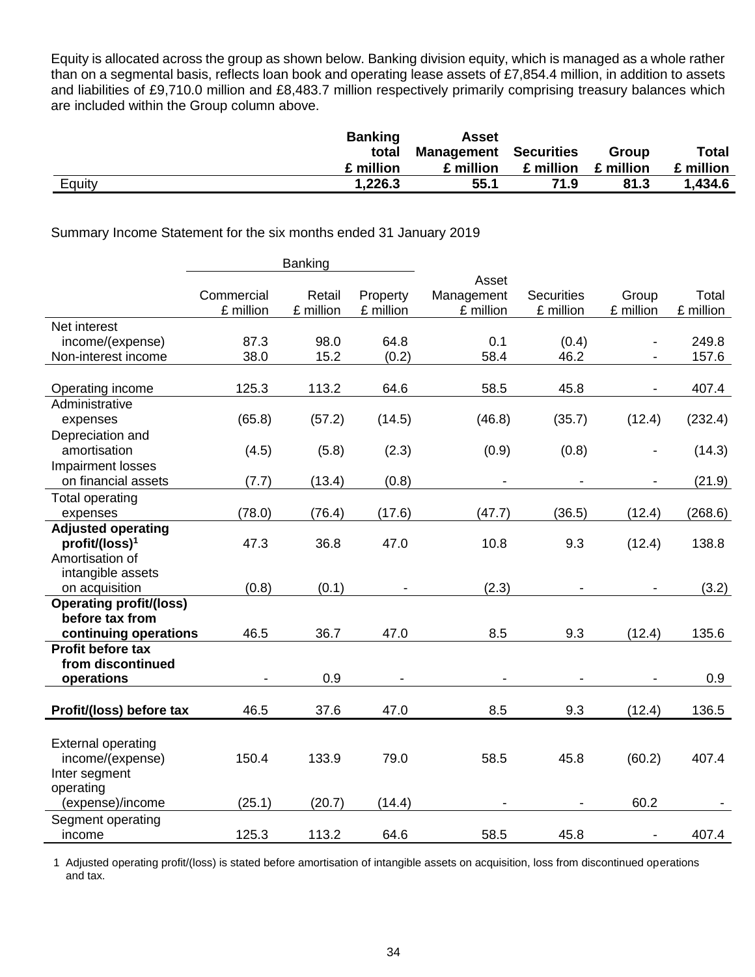Equity is allocated across the group as shown below. Banking division equity, which is managed as a whole rather than on a segmental basis, reflects loan book and operating lease assets of £7,854.4 million, in addition to assets and liabilities of £9,710.0 million and £8,483.7 million respectively primarily comprising treasury balances which are included within the Group column above.

| <b>Banking</b>    | Asset                       |      |                     |              |
|-------------------|-----------------------------|------|---------------------|--------------|
|                   | total Management Securities |      | Group               | <b>Total</b> |
| £ million         | £ million                   |      | £ million £ million | £ million    |
| Equity<br>1,226.3 | 55.1                        | 71.9 | 81.3                | 1,434.6      |

### Summary Income Statement for the six months ended 31 January 2019

|                                    | Banking                 |                     |                       |                                  |                                |                    |                    |
|------------------------------------|-------------------------|---------------------|-----------------------|----------------------------------|--------------------------------|--------------------|--------------------|
|                                    | Commercial<br>£ million | Retail<br>£ million | Property<br>£ million | Asset<br>Management<br>£ million | <b>Securities</b><br>£ million | Group<br>£ million | Total<br>£ million |
| Net interest                       |                         |                     |                       |                                  |                                |                    |                    |
| income/(expense)                   | 87.3                    | 98.0                | 64.8                  | 0.1                              | (0.4)                          |                    | 249.8              |
| Non-interest income                | 38.0                    | 15.2                | (0.2)                 | 58.4                             | 46.2                           |                    | 157.6              |
|                                    | 125.3                   | 113.2               | 64.6                  | 58.5                             | 45.8                           |                    | 407.4              |
| Operating income<br>Administrative |                         |                     |                       |                                  |                                |                    |                    |
|                                    | (65.8)                  | (57.2)              | (14.5)                | (46.8)                           | (35.7)                         |                    | (232.4)            |
| expenses                           |                         |                     |                       |                                  |                                | (12.4)             |                    |
| Depreciation and<br>amortisation   | (4.5)                   | (5.8)               | (2.3)                 | (0.9)                            | (0.8)                          | $\blacksquare$     | (14.3)             |
| Impairment losses                  |                         |                     |                       |                                  |                                |                    |                    |
| on financial assets                | (7.7)                   | (13.4)              | (0.8)                 |                                  |                                |                    | (21.9)             |
| <b>Total operating</b>             |                         |                     |                       |                                  |                                |                    |                    |
| expenses                           | (78.0)                  | (76.4)              | (17.6)                | (47.7)                           | (36.5)                         | (12.4)             | (268.6)            |
| <b>Adjusted operating</b>          |                         |                     |                       |                                  |                                |                    |                    |
| profit/(loss) <sup>1</sup>         | 47.3                    | 36.8                | 47.0                  | 10.8                             | 9.3                            | (12.4)             | 138.8              |
| Amortisation of                    |                         |                     |                       |                                  |                                |                    |                    |
| intangible assets                  |                         |                     |                       |                                  |                                |                    |                    |
| on acquisition                     | (0.8)                   | (0.1)               |                       | (2.3)                            |                                |                    | (3.2)              |
| <b>Operating profit/(loss)</b>     |                         |                     |                       |                                  |                                |                    |                    |
| before tax from                    |                         |                     |                       |                                  |                                |                    |                    |
| continuing operations              | 46.5                    | 36.7                | 47.0                  | 8.5                              | 9.3                            | (12.4)             | 135.6              |
| <b>Profit before tax</b>           |                         |                     |                       |                                  |                                |                    |                    |
| from discontinued                  |                         |                     |                       |                                  |                                |                    |                    |
| operations                         |                         | 0.9                 |                       |                                  |                                |                    | 0.9                |
| Profit/(loss) before tax           | 46.5                    | 37.6                | 47.0                  | 8.5                              | 9.3                            | (12.4)             | 136.5              |
|                                    |                         |                     |                       |                                  |                                |                    |                    |
| <b>External operating</b>          |                         |                     |                       |                                  |                                |                    |                    |
| income/(expense)                   | 150.4                   | 133.9               | 79.0                  | 58.5                             | 45.8                           | (60.2)             | 407.4              |
| Inter segment                      |                         |                     |                       |                                  |                                |                    |                    |
| operating                          |                         |                     |                       |                                  |                                |                    |                    |
| (expense)/income                   | (25.1)                  | (20.7)              | (14.4)                |                                  |                                | 60.2               |                    |
| Segment operating                  |                         |                     |                       |                                  |                                |                    |                    |
| income                             | 125.3                   | 113.2               | 64.6                  | 58.5                             | 45.8                           | $\blacksquare$     | 407.4              |

1 Adjusted operating profit/(loss) is stated before amortisation of intangible assets on acquisition, loss from discontinued operations and tax.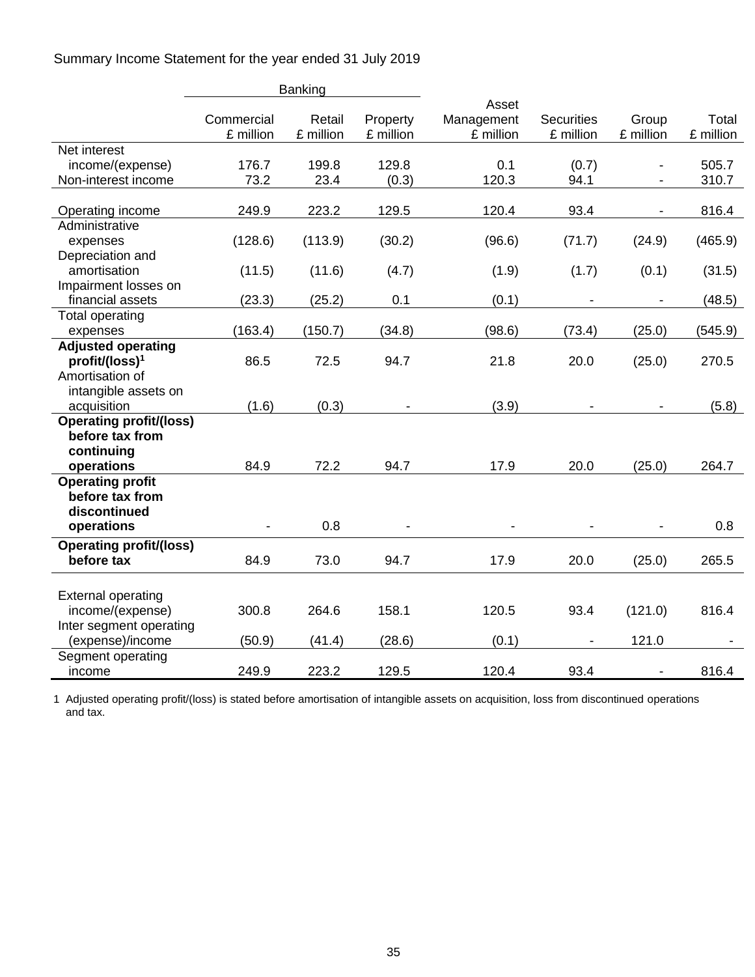Summary Income Statement for the year ended 31 July 2019

|                                     | Banking                 |                     |                       |                         |                                |                    |                    |
|-------------------------------------|-------------------------|---------------------|-----------------------|-------------------------|--------------------------------|--------------------|--------------------|
|                                     |                         |                     |                       | Asset                   |                                |                    |                    |
|                                     | Commercial<br>£ million | Retail<br>£ million | Property<br>£ million | Management<br>£ million | <b>Securities</b><br>£ million | Group<br>£ million | Total<br>£ million |
| Net interest                        |                         |                     |                       |                         |                                |                    |                    |
| income/(expense)                    | 176.7                   | 199.8               | 129.8                 | 0.1                     | (0.7)                          |                    | 505.7              |
| Non-interest income                 | 73.2                    | 23.4                | (0.3)                 | 120.3                   | 94.1                           |                    | 310.7              |
|                                     |                         |                     |                       |                         |                                |                    |                    |
| Operating income                    | 249.9                   | 223.2               | 129.5                 | 120.4                   | 93.4                           |                    | 816.4              |
| Administrative                      |                         |                     |                       |                         |                                |                    |                    |
| expenses                            | (128.6)                 | (113.9)             | (30.2)                | (96.6)                  | (71.7)                         | (24.9)             | (465.9)            |
| Depreciation and                    |                         |                     |                       |                         |                                |                    |                    |
| amortisation                        | (11.5)                  | (11.6)              | (4.7)                 | (1.9)                   | (1.7)                          | (0.1)              | (31.5)             |
| Impairment losses on                |                         |                     |                       |                         |                                |                    |                    |
| financial assets                    | (23.3)                  | (25.2)              | 0.1                   | (0.1)                   |                                |                    | (48.5)             |
| Total operating                     |                         |                     |                       |                         |                                |                    |                    |
| expenses                            | (163.4)                 | (150.7)             | (34.8)                | (98.6)                  | (73.4)                         | (25.0)             | (545.9)            |
| <b>Adjusted operating</b>           |                         |                     |                       |                         |                                |                    |                    |
| profit/(loss) <sup>1</sup>          | 86.5                    | 72.5                | 94.7                  | 21.8                    | 20.0                           | (25.0)             | 270.5              |
| Amortisation of                     |                         |                     |                       |                         |                                |                    |                    |
| intangible assets on<br>acquisition | (1.6)                   | (0.3)               |                       | (3.9)                   |                                |                    | (5.8)              |
| <b>Operating profit/(loss)</b>      |                         |                     |                       |                         |                                |                    |                    |
| before tax from                     |                         |                     |                       |                         |                                |                    |                    |
| continuing                          |                         |                     |                       |                         |                                |                    |                    |
| operations                          | 84.9                    | 72.2                | 94.7                  | 17.9                    | 20.0                           | (25.0)             | 264.7              |
| <b>Operating profit</b>             |                         |                     |                       |                         |                                |                    |                    |
| before tax from                     |                         |                     |                       |                         |                                |                    |                    |
| discontinued                        |                         |                     |                       |                         |                                |                    |                    |
| operations                          |                         | 0.8                 |                       |                         |                                |                    | 0.8                |
| <b>Operating profit/(loss)</b>      |                         |                     |                       |                         |                                |                    |                    |
| before tax                          | 84.9                    | 73.0                | 94.7                  | 17.9                    | 20.0                           | (25.0)             | 265.5              |
|                                     |                         |                     |                       |                         |                                |                    |                    |
| <b>External operating</b>           |                         |                     |                       |                         |                                |                    |                    |
| income/(expense)                    | 300.8                   | 264.6               | 158.1                 | 120.5                   | 93.4                           | (121.0)            | 816.4              |
| Inter segment operating             |                         |                     |                       |                         |                                |                    |                    |
| (expense)/income                    | (50.9)                  | (41.4)              | (28.6)                | (0.1)                   |                                | 121.0              |                    |
| Segment operating                   |                         |                     |                       |                         |                                |                    |                    |
| income                              | 249.9                   | 223.2               | 129.5                 | 120.4                   | 93.4                           |                    | 816.4              |

1 Adjusted operating profit/(loss) is stated before amortisation of intangible assets on acquisition, loss from discontinued operations and tax.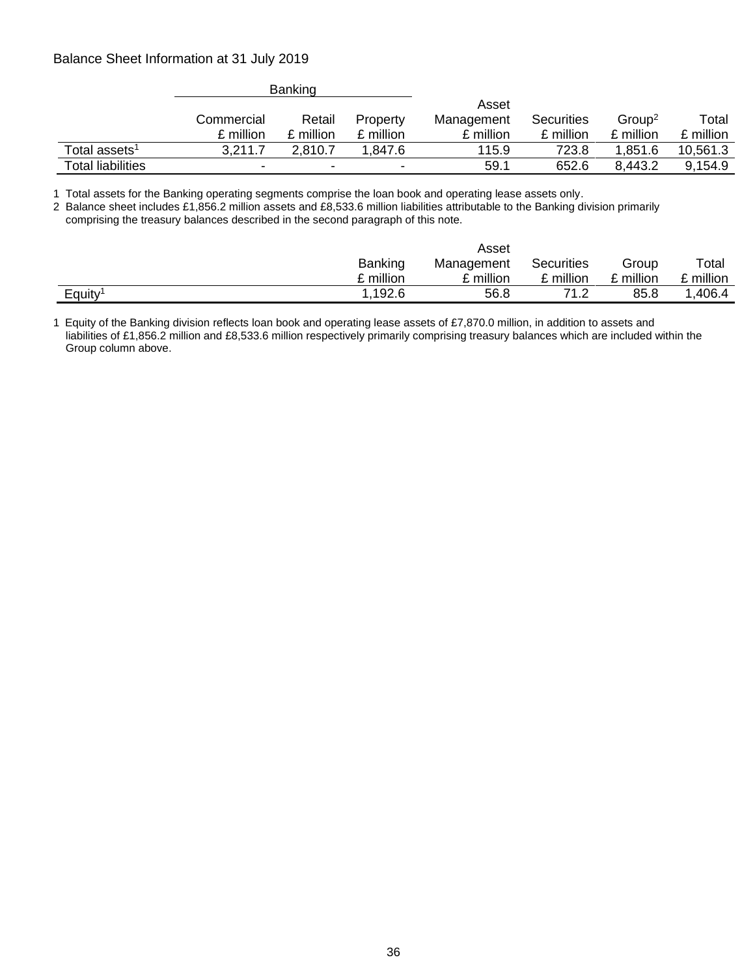## Balance Sheet Information at 31 July 2019

|                          |                          | <b>Banking</b> |                          |            |                   |                    |           |
|--------------------------|--------------------------|----------------|--------------------------|------------|-------------------|--------------------|-----------|
|                          |                          |                |                          | Asset      |                   |                    |           |
|                          | Commercial               | Retail         | Property                 | Management | <b>Securities</b> | Group <sup>2</sup> | Total     |
|                          | £ million                | £ million      | £ million                | £ million  | £ million         | £ million          | £ million |
| Total assets $^{\rm 1}$  | 3,211.7                  | 2,810.7        | 1,847.6                  | 115.9      | 723.8             | 1.851.6            | 10,561.3  |
| <b>Total liabilities</b> | $\overline{\phantom{0}}$ | $\blacksquare$ | $\overline{\phantom{0}}$ | 59.1       | 652.6             | 8,443.2            | 9,154.9   |

1 Total assets for the Banking operating segments comprise the loan book and operating lease assets only.

2 Balance sheet includes £1,856.2 million assets and £8,533.6 million liabilities attributable to the Banking division primarily

comprising the treasury balances described in the second paragraph of this note.

|                     |                | Asset      |                   |           |           |
|---------------------|----------------|------------|-------------------|-----------|-----------|
|                     | <b>Banking</b> | Management | <b>Securities</b> | Group     | Total     |
|                     | £ million      | £ million  | £ million         | £ million | £ million |
| Equity <sup>1</sup> | 1,192.6        | 56.8       | 71 2              | 85.8      | .406.4    |

1 Equity of the Banking division reflects loan book and operating lease assets of £7,870.0 million, in addition to assets and liabilities of £1,856.2 million and £8,533.6 million respectively primarily comprising treasury balances which are included within the Group column above.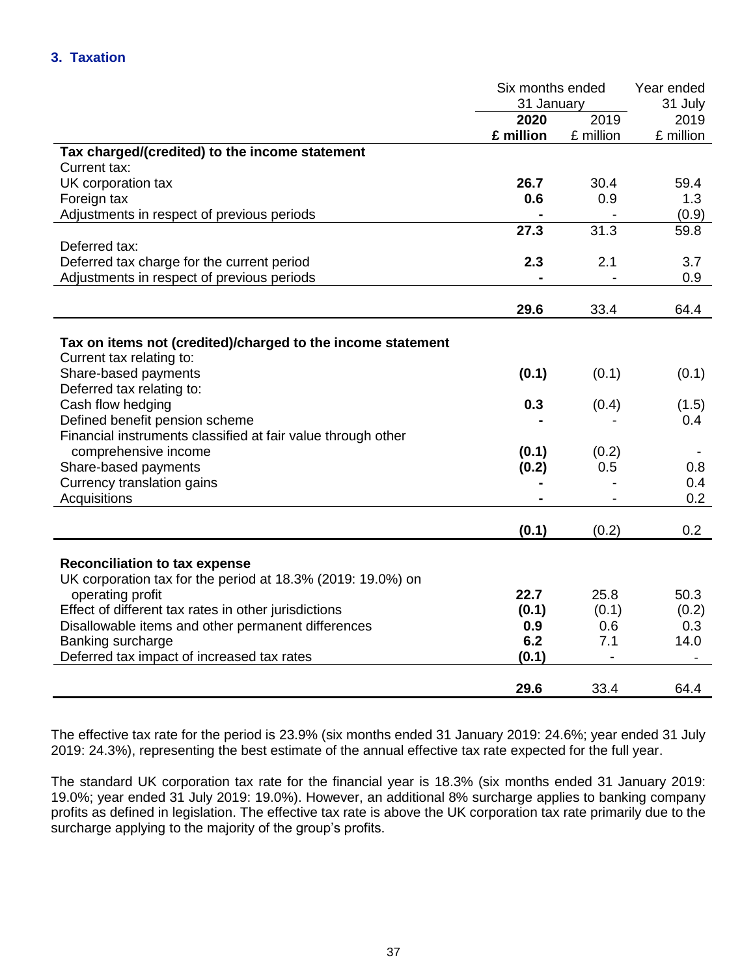|                                                              | Six months ended |           | Year ended |
|--------------------------------------------------------------|------------------|-----------|------------|
|                                                              | 31 January       |           | 31 July    |
|                                                              | 2020             | 2019      | 2019       |
|                                                              | £ million        | £ million | £ million  |
| Tax charged/(credited) to the income statement               |                  |           |            |
| Current tax:                                                 |                  |           |            |
| UK corporation tax                                           | 26.7             | 30.4      | 59.4       |
| Foreign tax                                                  | 0.6              | 0.9       | 1.3        |
| Adjustments in respect of previous periods                   |                  |           | (0.9)      |
|                                                              | 27.3             | 31.3      | 59.8       |
| Deferred tax:                                                |                  |           |            |
| Deferred tax charge for the current period                   | 2.3              | 2.1       | 3.7        |
| Adjustments in respect of previous periods                   |                  |           | 0.9        |
|                                                              |                  |           |            |
|                                                              | 29.6             | 33.4      | 64.4       |
|                                                              |                  |           |            |
| Tax on items not (credited)/charged to the income statement  |                  |           |            |
| Current tax relating to:                                     |                  |           |            |
| Share-based payments                                         | (0.1)            | (0.1)     | (0.1)      |
| Deferred tax relating to:                                    |                  |           |            |
| Cash flow hedging                                            | 0.3              | (0.4)     | (1.5)      |
| Defined benefit pension scheme                               |                  |           | 0.4        |
| Financial instruments classified at fair value through other |                  |           |            |
| comprehensive income                                         | (0.1)            | (0.2)     |            |
| Share-based payments                                         | (0.2)            | 0.5       | 0.8        |
| Currency translation gains                                   |                  |           | 0.4        |
| Acquisitions                                                 |                  |           | 0.2        |
|                                                              |                  |           |            |
|                                                              | (0.1)            | (0.2)     | 0.2        |
|                                                              |                  |           |            |
| <b>Reconciliation to tax expense</b>                         |                  |           |            |
| UK corporation tax for the period at 18.3% (2019: 19.0%) on  |                  |           |            |
| operating profit                                             | 22.7             | 25.8      | 50.3       |
| Effect of different tax rates in other jurisdictions         | (0.1)            | (0.1)     | (0.2)      |
| Disallowable items and other permanent differences           | 0.9              | 0.6       | 0.3        |
| Banking surcharge                                            | 6.2              | 7.1       | 14.0       |
| Deferred tax impact of increased tax rates                   | (0.1)            |           |            |
|                                                              |                  |           |            |
|                                                              | 29.6             | 33.4      | 64.4       |

The effective tax rate for the period is 23.9% (six months ended 31 January 2019: 24.6%; year ended 31 July 2019: 24.3%), representing the best estimate of the annual effective tax rate expected for the full year.

The standard UK corporation tax rate for the financial year is 18.3% (six months ended 31 January 2019: 19.0%; year ended 31 July 2019: 19.0%). However, an additional 8% surcharge applies to banking company profits as defined in legislation. The effective tax rate is above the UK corporation tax rate primarily due to the surcharge applying to the majority of the group's profits.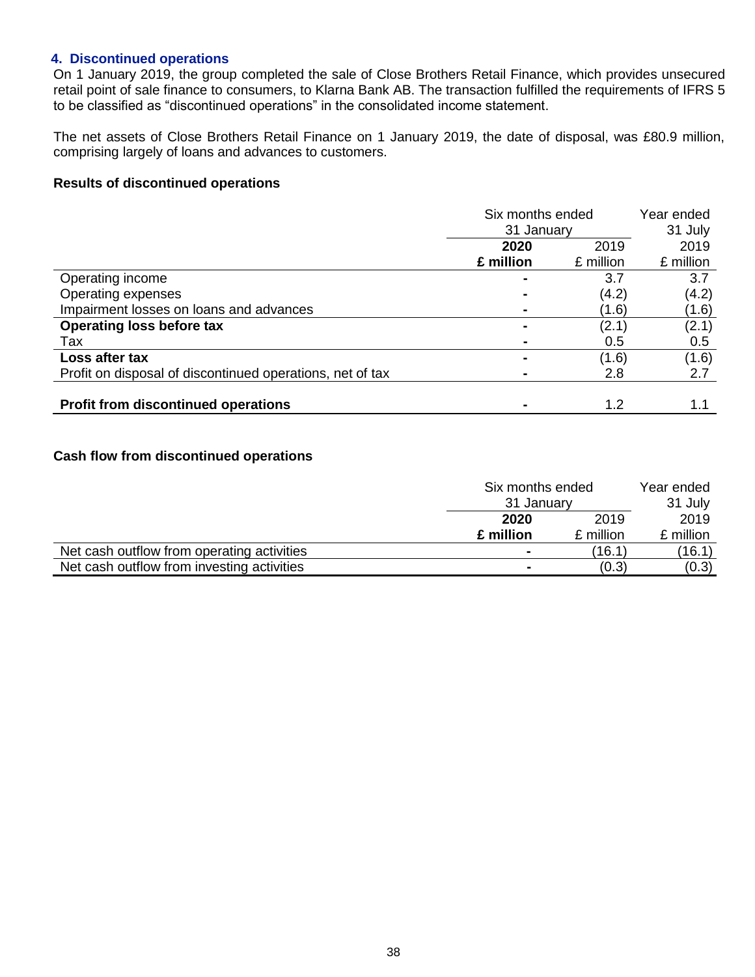# **4. Discontinued operations**

On 1 January 2019, the group completed the sale of Close Brothers Retail Finance, which provides unsecured retail point of sale finance to consumers, to Klarna Bank AB. The transaction fulfilled the requirements of IFRS 5 to be classified as "discontinued operations" in the consolidated income statement.

The net assets of Close Brothers Retail Finance on 1 January 2019, the date of disposal, was £80.9 million, comprising largely of loans and advances to customers.

#### **Results of discontinued operations**

|                                                           | Six months ended |           | Year ended |
|-----------------------------------------------------------|------------------|-----------|------------|
|                                                           | 31 January       |           | 31 July    |
|                                                           | 2020             | 2019      | 2019       |
|                                                           | £ million        | £ million | £ million  |
| Operating income                                          |                  | 3.7       | 3.7        |
| Operating expenses                                        |                  | (4.2)     | (4.2)      |
| Impairment losses on loans and advances                   |                  | (1.6)     | (1.6)      |
| <b>Operating loss before tax</b>                          |                  | (2.1)     | (2.1)      |
| Tax                                                       |                  | 0.5       | 0.5        |
| Loss after tax                                            |                  | (1.6)     | (1.6)      |
| Profit on disposal of discontinued operations, net of tax |                  | 2.8       | 2.7        |
|                                                           |                  |           |            |
| <b>Profit from discontinued operations</b>                |                  | 1.2       | 1.1        |

# **Cash flow from discontinued operations**

|                                            | Six months ended<br>31 January<br>2019<br>2020 |           | Year ended |
|--------------------------------------------|------------------------------------------------|-----------|------------|
|                                            |                                                |           | 31 July    |
|                                            |                                                |           | 2019       |
|                                            | £ million                                      | £ million | £ million  |
| Net cash outflow from operating activities |                                                | (16.1)    | (16.1)     |
| Net cash outflow from investing activities |                                                | (0.3)     | (0.3)      |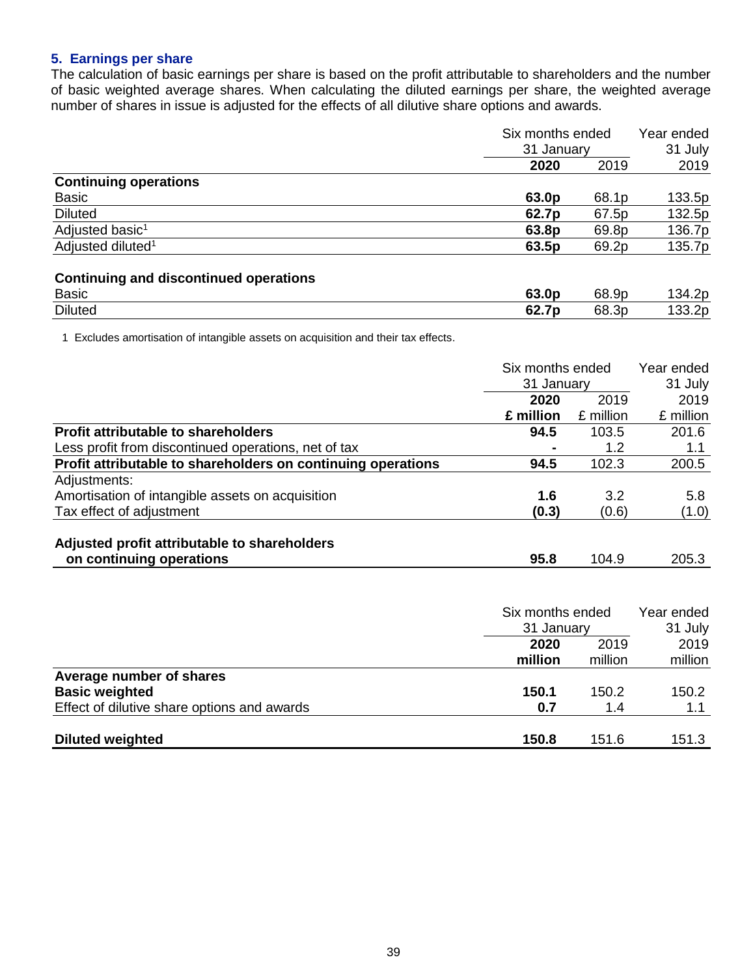# **5. Earnings per share**

The calculation of basic earnings per share is based on the profit attributable to shareholders and the number of basic weighted average shares. When calculating the diluted earnings per share, the weighted average number of shares in issue is adjusted for the effects of all dilutive share options and awards.

|       | Six months ended<br>31 January |        |
|-------|--------------------------------|--------|
| 2020  | 2019                           | 2019   |
|       |                                |        |
| 63.0p | 68.1p                          | 133.5p |
| 62.7p | 67.5p                          | 132.5p |
| 63.8p | 69.8p                          | 136.7p |
| 63.5p | 69.2p                          | 135.7p |
|       |                                |        |

# **Continuing and discontinued operations**

| <b>Basic</b>   | $\sim$<br>0p         | ີ 8.9p     | $\sim$<br>יי<br>-54<br>1.ZL<br>ີ |
|----------------|----------------------|------------|----------------------------------|
| <b>Diluted</b> | $\sim$ $\sim$<br>VŁ. | .3c<br>co. | $\overline{a}$<br>, r<br>∪J.∠N   |

1 Excludes amortisation of intangible assets on acquisition and their tax effects.

|                                                                          | Six months ended<br>31 January<br>2020<br>2019 |           | Year ended |  |
|--------------------------------------------------------------------------|------------------------------------------------|-----------|------------|--|
|                                                                          |                                                |           | 31 July    |  |
|                                                                          |                                                |           | 2019       |  |
|                                                                          | £ million                                      | £ million | £ million  |  |
| <b>Profit attributable to shareholders</b>                               | 94.5                                           | 103.5     | 201.6      |  |
| Less profit from discontinued operations, net of tax                     |                                                | 1.2       | 1.1        |  |
| Profit attributable to shareholders on continuing operations             | 94.5                                           | 102.3     | 200.5      |  |
| Adjustments:                                                             |                                                |           |            |  |
| Amortisation of intangible assets on acquisition                         | 1.6                                            | 3.2       | 5.8        |  |
| Tax effect of adjustment                                                 | (0.3)                                          | (0.6)     | (1.0)      |  |
| Adjusted profit attributable to shareholders<br>on continuing operations | 95.8                                           | 104.9     | 205.3      |  |

|                                             | Six months ended<br>31 January |         | Year ended |  |
|---------------------------------------------|--------------------------------|---------|------------|--|
|                                             |                                |         | 31 July    |  |
|                                             | 2020<br>2019                   |         | 2019       |  |
|                                             | million                        | million | million    |  |
| Average number of shares                    |                                |         |            |  |
| <b>Basic weighted</b>                       | 150.1                          | 150.2   | 150.2      |  |
| Effect of dilutive share options and awards | 0.7                            | 1.4     | 1.1        |  |
|                                             |                                |         |            |  |
| <b>Diluted weighted</b>                     | 150.8                          | 151.6   | 151.3      |  |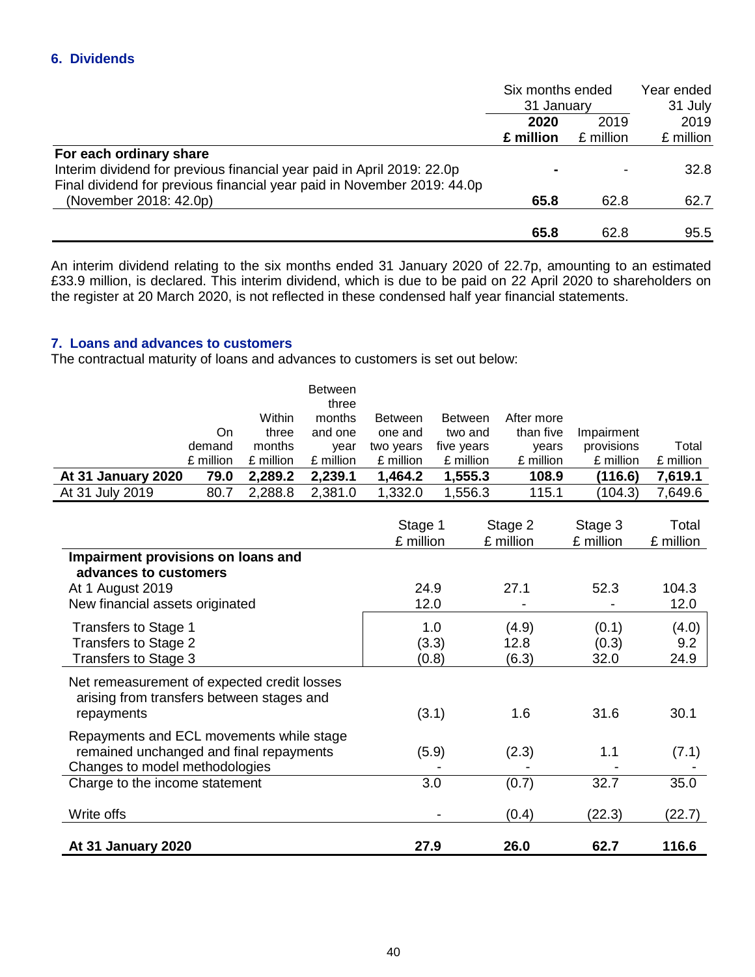|                                                                         | Six months ended<br>31 January<br>2019<br>2020 |           | Year ended |  |
|-------------------------------------------------------------------------|------------------------------------------------|-----------|------------|--|
|                                                                         |                                                |           | 31 July    |  |
|                                                                         |                                                |           | 2019       |  |
|                                                                         | £ million                                      | £ million | £ million  |  |
| For each ordinary share                                                 |                                                |           |            |  |
| Interim dividend for previous financial year paid in April 2019: 22.0p  |                                                |           | 32.8       |  |
| Final dividend for previous financial year paid in November 2019: 44.0p |                                                |           |            |  |
| (November 2018: 42.0p)                                                  | 65.8                                           | 62.8      | 62.7       |  |
|                                                                         | 65.8                                           | 62.8      | 95.5       |  |

An interim dividend relating to the six months ended 31 January 2020 of 22.7p, amounting to an estimated £33.9 million, is declared. This interim dividend, which is due to be paid on 22 April 2020 to shareholders on the register at 20 March 2020, is not reflected in these condensed half year financial statements.

#### **7. Loans and advances to customers**

The contractual maturity of loans and advances to customers is set out below:

|                    | On<br>demand<br>£ million | Within<br>three<br>months<br>£ million | <b>Between</b><br>three<br>months<br>and one<br>year<br>£ million | Between<br>one and<br>two years<br>£ million | <b>Between</b><br>two and<br>five years<br>£ million | After more<br>than five<br>years<br>£ million | Impairment<br>provisions<br>£ million | Total<br>£ million |
|--------------------|---------------------------|----------------------------------------|-------------------------------------------------------------------|----------------------------------------------|------------------------------------------------------|-----------------------------------------------|---------------------------------------|--------------------|
| At 31 January 2020 | 79.0                      | 2,289.2                                | 2,239.1                                                           | 1,464.2                                      | 1,555.3                                              | 108.9                                         | (116.6)                               | 7,619.1            |
| At 31 July 2019    | 80.7                      | 2,288.8                                | 2,381.0                                                           | 1,332.0                                      | 1,556.3                                              | 115.1                                         | (104.3)                               | 7,649.6            |
|                    |                           |                                        |                                                                   |                                              |                                                      |                                               |                                       |                    |

|                                                                                                                       | Stage 1<br>£ million  | Stage 2<br>£ million   | Stage 3<br>£ million   | Total<br>£ million   |
|-----------------------------------------------------------------------------------------------------------------------|-----------------------|------------------------|------------------------|----------------------|
| Impairment provisions on loans and<br>advances to customers                                                           |                       |                        |                        |                      |
| At 1 August 2019                                                                                                      | 24.9                  | 27.1                   | 52.3                   | 104.3                |
| New financial assets originated                                                                                       | 12.0                  |                        |                        | 12.0                 |
| Transfers to Stage 1<br>Transfers to Stage 2<br>Transfers to Stage 3                                                  | 1.0<br>(3.3)<br>(0.8) | (4.9)<br>12.8<br>(6.3) | (0.1)<br>(0.3)<br>32.0 | (4.0)<br>9.2<br>24.9 |
| Net remeasurement of expected credit losses<br>arising from transfers between stages and<br>repayments                | (3.1)                 | 1.6                    | 31.6                   | 30.1                 |
| Repayments and ECL movements while stage<br>remained unchanged and final repayments<br>Changes to model methodologies | (5.9)                 | (2.3)                  | 1.1                    | (7.1)                |
| Charge to the income statement                                                                                        | 3.0                   | (0.7)                  | 32.7                   | 35.0                 |
| Write offs                                                                                                            |                       | (0.4)                  | (22.3)                 | (22.7)               |
| At 31 January 2020                                                                                                    | 27.9                  | 26.0                   | 62.7                   | 116.6                |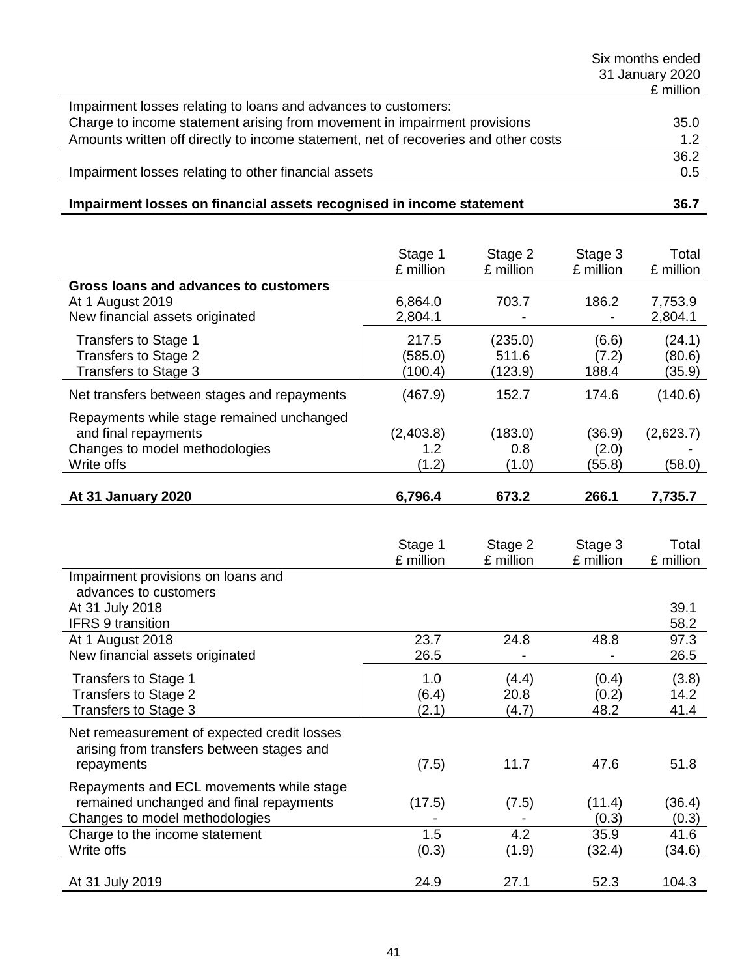|                                                                                     | Six months ended |
|-------------------------------------------------------------------------------------|------------------|
|                                                                                     | 31 January 2020  |
|                                                                                     | £ million        |
| Impairment losses relating to loans and advances to customers:                      |                  |
| Charge to income statement arising from movement in impairment provisions           | 35.0             |
| Amounts written off directly to income statement, net of recoveries and other costs | 1.2              |
|                                                                                     | 36.2             |
| Impairment losses relating to other financial assets                                | 0.5              |
|                                                                                     |                  |
| Impairment losses on financial assets recognised in income statement                | 36.7             |

|                                                                                                                   | Stage 1<br>£ million        | Stage 2<br>£ million        | Stage 3<br>£ million      | Total<br>£ million         |
|-------------------------------------------------------------------------------------------------------------------|-----------------------------|-----------------------------|---------------------------|----------------------------|
| Gross loans and advances to customers<br>At 1 August 2019<br>New financial assets originated                      | 6,864.0<br>2,804.1          | 703.7                       | 186.2                     | 7,753.9<br>2,804.1         |
| Transfers to Stage 1<br>Transfers to Stage 2<br>Transfers to Stage 3                                              | 217.5<br>(585.0)<br>(100.4) | (235.0)<br>511.6<br>(123.9) | (6.6)<br>(7.2)<br>188.4   | (24.1)<br>(80.6)<br>(35.9) |
| Net transfers between stages and repayments                                                                       | (467.9)                     | 152.7                       | 174.6                     | (140.6)                    |
| Repayments while stage remained unchanged<br>and final repayments<br>Changes to model methodologies<br>Write offs | (2,403.8)<br>1.2<br>(1.2)   | (183.0)<br>0.8<br>(1.0)     | (36.9)<br>(2.0)<br>(55.8) | (2,623.7)<br>(58.0)        |
| At 31 January 2020                                                                                                | 6,796.4                     | 673.2                       | 266.1                     | 7,735.7                    |

|                                                                                          | Stage 1   | Stage 2   | Stage 3   | Total     |
|------------------------------------------------------------------------------------------|-----------|-----------|-----------|-----------|
|                                                                                          | £ million | £ million | £ million | £ million |
| Impairment provisions on loans and                                                       |           |           |           |           |
| advances to customers                                                                    |           |           |           |           |
| At 31 July 2018                                                                          |           |           |           | 39.1      |
| <b>IFRS 9 transition</b>                                                                 |           |           |           | 58.2      |
| At 1 August 2018                                                                         | 23.7      | 24.8      | 48.8      | 97.3      |
| New financial assets originated                                                          | 26.5      |           |           | 26.5      |
| Transfers to Stage 1                                                                     | 1.0       | (4.4)     | (0.4)     | (3.8)     |
| Transfers to Stage 2                                                                     | (6.4)     | 20.8      | (0.2)     | 14.2      |
| Transfers to Stage 3                                                                     | (2.1)     | (4.7)     | 48.2      | 41.4      |
| Net remeasurement of expected credit losses<br>arising from transfers between stages and |           |           |           |           |
| repayments                                                                               | (7.5)     | 11.7      | 47.6      | 51.8      |
| Repayments and ECL movements while stage                                                 |           |           |           |           |
| remained unchanged and final repayments                                                  | (17.5)    | (7.5)     | (11.4)    | (36.4)    |
| Changes to model methodologies                                                           |           |           | (0.3)     | (0.3)     |
| Charge to the income statement                                                           | 1.5       | 4.2       | 35.9      | 41.6      |
| Write offs                                                                               | (0.3)     | (1.9)     | (32.4)    | (34.6)    |
|                                                                                          |           |           |           |           |
| At 31 July 2019                                                                          | 24.9      | 27.1      | 52.3      | 104.3     |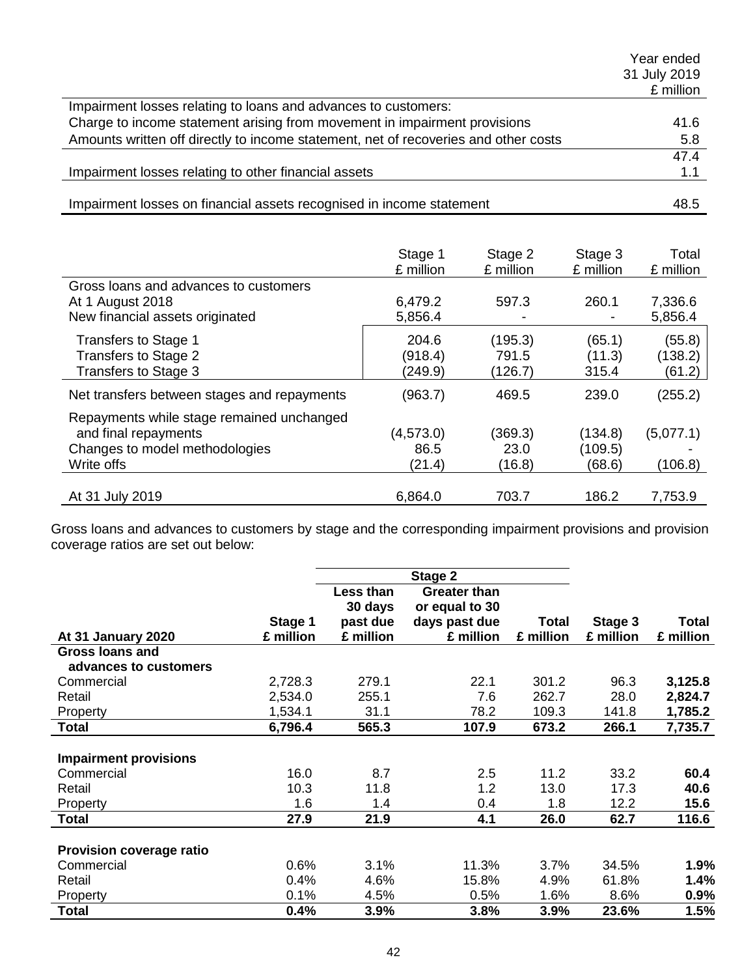|                                                                                     | Year ended   |
|-------------------------------------------------------------------------------------|--------------|
|                                                                                     | 31 July 2019 |
|                                                                                     | £ million    |
| Impairment losses relating to loans and advances to customers:                      |              |
| Charge to income statement arising from movement in impairment provisions           | 41.6         |
| Amounts written off directly to income statement, net of recoveries and other costs | 5.8          |
|                                                                                     | 47.4         |
| Impairment losses relating to other financial assets                                | 1.1          |
|                                                                                     |              |
| Impairment losses on financial assets recognised in income statement                | 48.5         |

|                                                     | Stage 1<br>£ million | Stage 2<br>£ million | Stage 3<br>£ million | Total<br>£ million |
|-----------------------------------------------------|----------------------|----------------------|----------------------|--------------------|
| Gross loans and advances to customers               |                      | 597.3                | 260.1                |                    |
| At 1 August 2018<br>New financial assets originated | 6,479.2<br>5,856.4   |                      |                      | 7,336.6<br>5,856.4 |
| Transfers to Stage 1                                | 204.6                | (195.3)              | (65.1)               | (55.8)             |
| <b>Transfers to Stage 2</b>                         | (918.4)              | 791.5                | (11.3)               | (138.2)            |
| Transfers to Stage 3                                | (249.9)              | (126.7)              | 315.4                | (61.2)             |
| Net transfers between stages and repayments         | (963.7)              | 469.5                | 239.0                | (255.2)            |
| Repayments while stage remained unchanged           |                      |                      |                      |                    |
| and final repayments                                | (4, 573.0)           | (369.3)              | (134.8)              | (5,077.1)          |
| Changes to model methodologies                      | 86.5                 | 23.0                 | (109.5)              |                    |
| Write offs                                          | (21.4)               | (16.8)               | (68.6)               | (106.8)            |
|                                                     |                      |                      |                      |                    |
| At 31 July 2019                                     | 6,864.0              | 703.7                | 186.2                | 7,753.9            |

Gross loans and advances to customers by stage and the corresponding impairment provisions and provision coverage ratios are set out below:

|                                          |           |                      | Stage 2                               |              |           |           |
|------------------------------------------|-----------|----------------------|---------------------------------------|--------------|-----------|-----------|
|                                          |           | Less than<br>30 days | <b>Greater than</b><br>or equal to 30 |              |           |           |
|                                          | Stage 1   | past due             | days past due                         | <b>Total</b> | Stage 3   | Total     |
| At 31 January 2020                       | £ million | £ million            | £ million                             | £ million    | £ million | £ million |
| Gross loans and<br>advances to customers |           |                      |                                       |              |           |           |
| Commercial                               | 2,728.3   | 279.1                | 22.1                                  | 301.2        | 96.3      | 3,125.8   |
| Retail                                   | 2,534.0   | 255.1                | 7.6                                   | 262.7        | 28.0      | 2,824.7   |
| Property                                 | 1,534.1   | 31.1                 | 78.2                                  | 109.3        | 141.8     | 1,785.2   |
| Total                                    | 6,796.4   | 565.3                | 107.9                                 | 673.2        | 266.1     | 7,735.7   |
| <b>Impairment provisions</b>             |           |                      |                                       |              |           |           |
| Commercial                               | 16.0      | 8.7                  | 2.5                                   | 11.2         | 33.2      | 60.4      |
| Retail                                   | 10.3      | 11.8                 | 1.2                                   | 13.0         | 17.3      | 40.6      |
| Property                                 | 1.6       | 1.4                  | 0.4                                   | 1.8          | 12.2      | 15.6      |
| <b>Total</b>                             | 27.9      | 21.9                 | 4.1                                   | 26.0         | 62.7      | 116.6     |
| Provision coverage ratio                 |           |                      |                                       |              |           |           |
| Commercial                               | 0.6%      | 3.1%                 | 11.3%                                 | 3.7%         | 34.5%     | 1.9%      |
| Retail                                   | 0.4%      | 4.6%                 | 15.8%                                 | 4.9%         | 61.8%     | 1.4%      |
| Property                                 | 0.1%      | 4.5%                 | 0.5%                                  | 1.6%         | 8.6%      | 0.9%      |
| Total                                    | 0.4%      | 3.9%                 | 3.8%                                  | 3.9%         | 23.6%     | 1.5%      |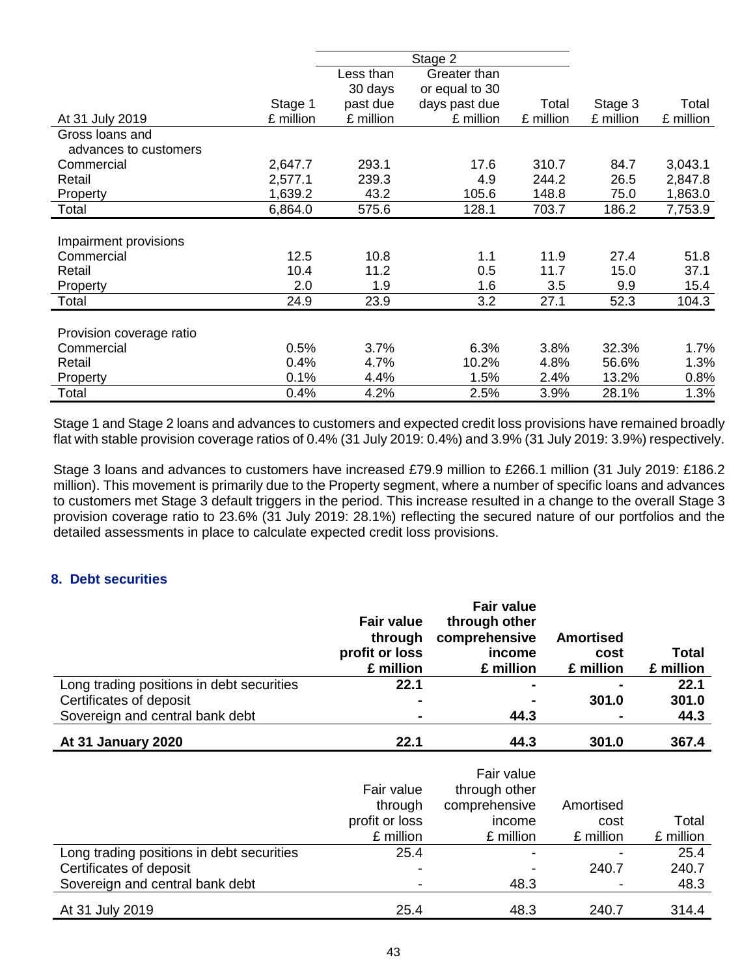|                          |           | ess than. | Greater than   |           |           |           |
|--------------------------|-----------|-----------|----------------|-----------|-----------|-----------|
|                          |           | 30 days   | or equal to 30 |           |           |           |
|                          | Stage 1   | past due  | days past due  | Total     | Stage 3   | Total     |
| At 31 July 2019          | £ million | £ million | £ million      | £ million | £ million | £ million |
| Gross loans and          |           |           |                |           |           |           |
| advances to customers    |           |           |                |           |           |           |
| Commercial               | 2,647.7   | 293.1     | 17.6           | 310.7     | 84.7      | 3,043.1   |
| Retail                   | 2,577.1   | 239.3     | 4.9            | 244.2     | 26.5      | 2,847.8   |
| Property                 | 1,639.2   | 43.2      | 105.6          | 148.8     | 75.0      | 1,863.0   |
| Total                    | 6,864.0   | 575.6     | 128.1          | 703.7     | 186.2     | 7,753.9   |
|                          |           |           |                |           |           |           |
| Impairment provisions    |           |           |                |           |           |           |
| Commercial               | 12.5      | 10.8      | 1.1            | 11.9      | 27.4      | 51.8      |
| Retail                   | 10.4      | 11.2      | 0.5            | 11.7      | 15.0      | 37.1      |
| Property                 | 2.0       | 1.9       | 1.6            | 3.5       | 9.9       | 15.4      |
| Total                    | 24.9      | 23.9      | 3.2            | 27.1      | 52.3      | 104.3     |
|                          |           |           |                |           |           |           |
| Provision coverage ratio |           |           |                |           |           |           |
| Commercial               | 0.5%      | 3.7%      | 6.3%           | 3.8%      | 32.3%     | $1.7\%$   |
| Retail                   | 0.4%      | 4.7%      | 10.2%          | 4.8%      | 56.6%     | 1.3%      |
| Property                 | 0.1%      | 4.4%      | 1.5%           | 2.4%      | 13.2%     | 0.8%      |
| Total                    | 0.4%      | 4.2%      | 2.5%           | 3.9%      | 28.1%     | 1.3%      |

Stage 1 and Stage 2 loans and advances to customers and expected credit loss provisions have remained broadly flat with stable provision coverage ratios of 0.4% (31 July 2019: 0.4%) and 3.9% (31 July 2019: 3.9%) respectively.

Stage 3 loans and advances to customers have increased £79.9 million to £266.1 million (31 July 2019: £186.2 million). This movement is primarily due to the Property segment, where a number of specific loans and advances to customers met Stage 3 default triggers in the period. This increase resulted in a change to the overall Stage 3 provision coverage ratio to 23.6% (31 July 2019: 28.1%) reflecting the secured nature of our portfolios and the detailed assessments in place to calculate expected credit loss provisions.

# **8. Debt securities**

|                                           | <b>Fair value</b><br>through<br>profit or loss<br>£ million | <b>Fair value</b><br>through other<br>comprehensive<br>income<br>£ million | <b>Amortised</b><br>cost<br>£ million | Total<br>£ million |
|-------------------------------------------|-------------------------------------------------------------|----------------------------------------------------------------------------|---------------------------------------|--------------------|
| Long trading positions in debt securities | 22.1                                                        | $\blacksquare$                                                             |                                       | 22.1               |
| Certificates of deposit                   | $\blacksquare$                                              | ۰                                                                          | 301.0                                 | 301.0              |
| Sovereign and central bank debt           | $\blacksquare$                                              | 44.3                                                                       | $\blacksquare$                        | 44.3               |
| At 31 January 2020                        | 22.1                                                        | 44.3                                                                       | 301.0                                 | 367.4              |

|                                           | Fair value<br>through<br>profit or loss<br>£ million | Fair value<br>through other<br>comprehensive<br>income | Amortised<br>cost | Total     |
|-------------------------------------------|------------------------------------------------------|--------------------------------------------------------|-------------------|-----------|
|                                           |                                                      | £ million                                              | £ million         | £ million |
| Long trading positions in debt securities | 25.4                                                 | $\overline{\phantom{a}}$                               |                   | 25.4      |
| Certificates of deposit                   | -                                                    | $\,$                                                   | 240.7             | 240.7     |
| Sovereign and central bank debt           |                                                      | 48.3                                                   |                   | 48.3      |
| At 31 July 2019                           | 25.4                                                 | 48.3                                                   | 240.7             | 314.4     |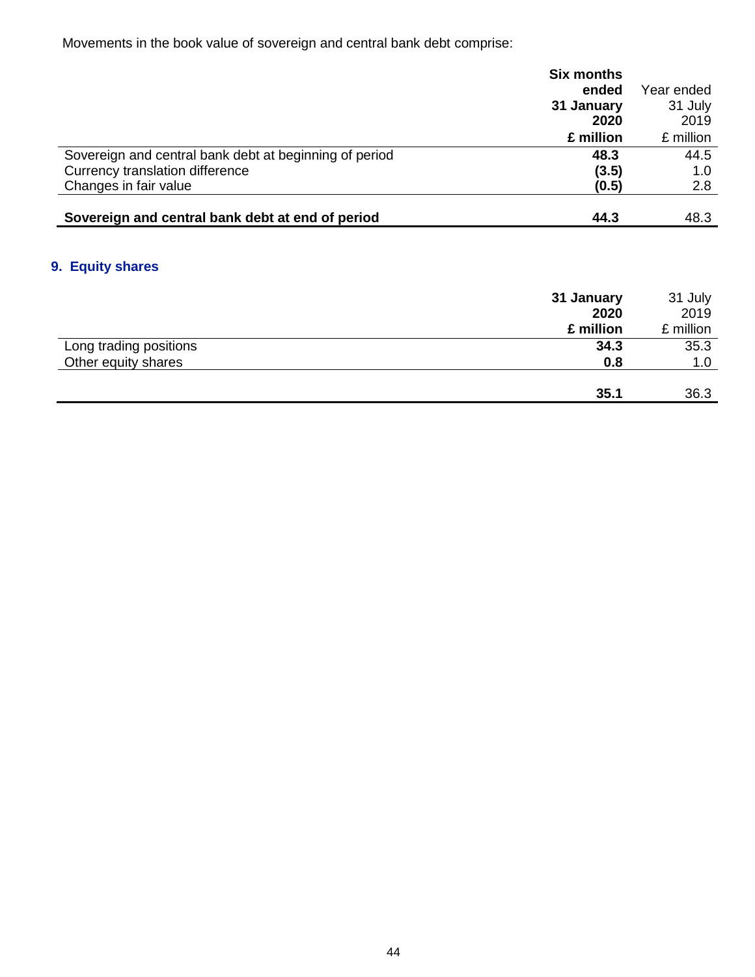Movements in the book value of sovereign and central bank debt comprise:

|                                                        | <b>Six months</b> |            |
|--------------------------------------------------------|-------------------|------------|
|                                                        | ended             | Year ended |
|                                                        | 31 January        | 31 July    |
|                                                        | 2020              | 2019       |
|                                                        | £ million         | £ million  |
| Sovereign and central bank debt at beginning of period | 48.3              | 44.5       |
| Currency translation difference                        | (3.5)             | 1.0        |
| Changes in fair value                                  | (0.5)             | 2.8        |
|                                                        |                   |            |
| Sovereign and central bank debt at end of period       | 44.3              | 48.3       |

# **9. Equity shares**

|                        | 31 January | 31 July   |
|------------------------|------------|-----------|
|                        | 2020       | 2019      |
|                        | £ million  | £ million |
| Long trading positions | 34.3       | 35.3      |
| Other equity shares    | 0.8        | 1.0       |
|                        |            |           |
|                        | 35.1       | 36.3      |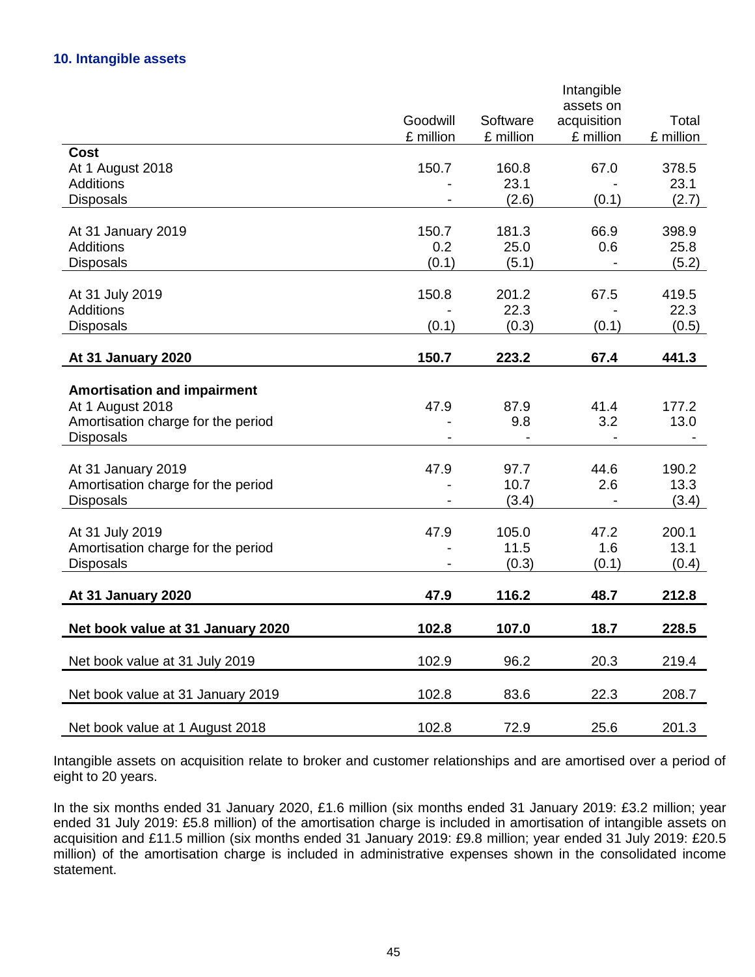#### **10. Intangible assets**

|                                                        |           |           | Intangible<br>assets on |           |
|--------------------------------------------------------|-----------|-----------|-------------------------|-----------|
|                                                        | Goodwill  | Software  | acquisition             | Total     |
|                                                        | £ million | £ million | £ million               | £ million |
| <b>Cost</b>                                            |           |           |                         |           |
| At 1 August 2018                                       | 150.7     | 160.8     | 67.0                    | 378.5     |
| <b>Additions</b>                                       |           | 23.1      |                         | 23.1      |
| <b>Disposals</b>                                       |           | (2.6)     | (0.1)                   | (2.7)     |
| At 31 January 2019                                     | 150.7     | 181.3     | 66.9                    | 398.9     |
| <b>Additions</b>                                       | 0.2       | 25.0      | 0.6                     | 25.8      |
| <b>Disposals</b>                                       | (0.1)     | (5.1)     |                         | (5.2)     |
|                                                        |           |           |                         |           |
| At 31 July 2019                                        | 150.8     | 201.2     | 67.5                    | 419.5     |
| <b>Additions</b>                                       |           | 22.3      |                         | 22.3      |
| <b>Disposals</b>                                       | (0.1)     | (0.3)     | (0.1)                   | (0.5)     |
|                                                        |           |           |                         |           |
| At 31 January 2020                                     | 150.7     | 223.2     | 67.4                    | 441.3     |
|                                                        |           |           |                         |           |
| <b>Amortisation and impairment</b><br>At 1 August 2018 | 47.9      | 87.9      | 41.4                    | 177.2     |
| Amortisation charge for the period                     |           | 9.8       | 3.2                     | 13.0      |
| <b>Disposals</b>                                       |           |           |                         |           |
|                                                        |           |           |                         |           |
| At 31 January 2019                                     | 47.9      | 97.7      | 44.6                    | 190.2     |
| Amortisation charge for the period                     |           | 10.7      | 2.6                     | 13.3      |
| <b>Disposals</b>                                       |           | (3.4)     |                         | (3.4)     |
|                                                        |           |           |                         |           |
| At 31 July 2019                                        | 47.9      | 105.0     | 47.2                    | 200.1     |
| Amortisation charge for the period                     |           | 11.5      | 1.6                     | 13.1      |
| <b>Disposals</b>                                       |           | (0.3)     | (0.1)                   | (0.4)     |
| At 31 January 2020                                     | 47.9      | 116.2     | 48.7                    | 212.8     |
|                                                        |           |           |                         |           |
| Net book value at 31 January 2020                      | 102.8     | 107.0     | 18.7                    | 228.5     |
|                                                        |           |           |                         |           |
| Net book value at 31 July 2019                         | 102.9     | 96.2      | 20.3                    | 219.4     |
| Net book value at 31 January 2019                      | 102.8     |           |                         | 208.7     |
|                                                        |           | 83.6      | 22.3                    |           |
| Net book value at 1 August 2018                        | 102.8     | 72.9      | 25.6                    | 201.3     |

Intangible assets on acquisition relate to broker and customer relationships and are amortised over a period of eight to 20 years.

In the six months ended 31 January 2020, £1.6 million (six months ended 31 January 2019: £3.2 million; year ended 31 July 2019: £5.8 million) of the amortisation charge is included in amortisation of intangible assets on acquisition and £11.5 million (six months ended 31 January 2019: £9.8 million; year ended 31 July 2019: £20.5 million) of the amortisation charge is included in administrative expenses shown in the consolidated income statement.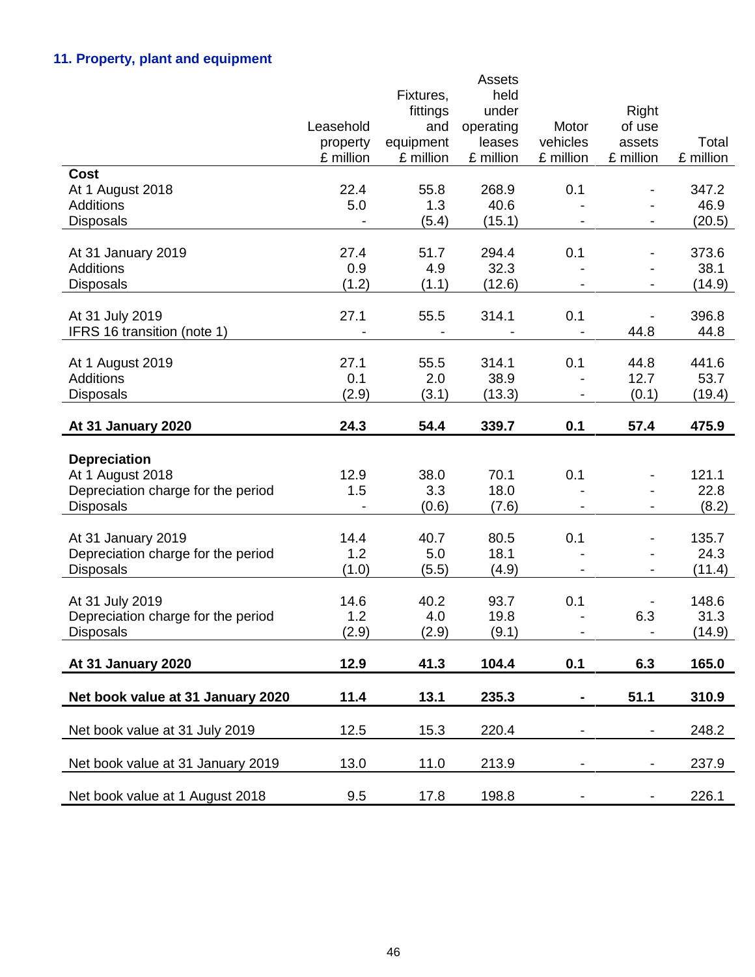# **11. Property, plant and equipment**

|                                    |                       |                        | Assets              |                       |                          |                    |
|------------------------------------|-----------------------|------------------------|---------------------|-----------------------|--------------------------|--------------------|
|                                    |                       | Fixtures,              | held                |                       |                          |                    |
|                                    |                       | fittings               | under               |                       | Right                    |                    |
|                                    | Leasehold             | and                    | operating           | Motor                 | of use                   |                    |
|                                    | property<br>£ million | equipment<br>£ million | leases<br>£ million | vehicles<br>£ million | assets<br>£ million      | Total<br>£ million |
| <b>Cost</b>                        |                       |                        |                     |                       |                          |                    |
| At 1 August 2018                   | 22.4                  | 55.8                   | 268.9               | 0.1                   |                          | 347.2              |
| <b>Additions</b>                   | 5.0                   | 1.3                    | 40.6                |                       |                          | 46.9               |
| <b>Disposals</b>                   |                       | (5.4)                  | (15.1)              |                       |                          | (20.5)             |
|                                    |                       |                        |                     |                       |                          |                    |
| At 31 January 2019                 | 27.4                  | 51.7                   | 294.4               | 0.1                   | -                        | 373.6              |
| <b>Additions</b>                   | 0.9                   | 4.9                    | 32.3                |                       |                          | 38.1               |
| <b>Disposals</b>                   | (1.2)                 | (1.1)                  | (12.6)              |                       | -                        | (14.9)             |
|                                    |                       |                        |                     |                       |                          |                    |
| At 31 July 2019                    | 27.1                  | 55.5                   | 314.1               | 0.1                   |                          | 396.8              |
| IFRS 16 transition (note 1)        |                       |                        |                     |                       | 44.8                     | 44.8               |
|                                    |                       |                        |                     |                       |                          |                    |
| At 1 August 2019                   | 27.1                  | 55.5                   | 314.1               | 0.1                   | 44.8                     | 441.6              |
| <b>Additions</b>                   | 0.1                   | 2.0                    | 38.9                |                       | 12.7                     | 53.7               |
| <b>Disposals</b>                   | (2.9)                 | (3.1)                  | (13.3)              |                       | (0.1)                    | (19.4)             |
|                                    |                       |                        |                     |                       |                          |                    |
| At 31 January 2020                 | 24.3                  | 54.4                   | 339.7               | 0.1                   | 57.4                     | 475.9              |
|                                    |                       |                        |                     |                       |                          |                    |
| <b>Depreciation</b>                |                       |                        |                     |                       |                          |                    |
| At 1 August 2018                   | 12.9                  | 38.0                   | 70.1                | 0.1                   | -                        | 121.1              |
| Depreciation charge for the period | 1.5                   | 3.3                    | 18.0                |                       |                          | 22.8               |
| <b>Disposals</b>                   |                       | (0.6)                  | (7.6)               |                       | $\overline{\phantom{a}}$ | (8.2)              |
| At 31 January 2019                 | 14.4                  | 40.7                   | 80.5                | 0.1                   |                          | 135.7              |
| Depreciation charge for the period | 1.2                   | 5.0                    | 18.1                |                       |                          | 24.3               |
| <b>Disposals</b>                   | (1.0)                 | (5.5)                  | (4.9)               |                       |                          | (11.4)             |
|                                    |                       |                        |                     |                       |                          |                    |
| At 31 July 2019                    | 14.6                  | 40.2                   | 93.7                | 0.1                   |                          | 148.6              |
| Depreciation charge for the period | 1.2                   | 4.0                    | 19.8                |                       | 6.3                      | 31.3               |
| <b>Disposals</b>                   | (2.9)                 | (2.9)                  | (9.1)               |                       | -                        | (14.9)             |
|                                    |                       |                        |                     |                       |                          |                    |
| At 31 January 2020                 | 12.9                  | 41.3                   | 104.4               | 0.1                   | 6.3                      | 165.0              |
| Net book value at 31 January 2020  | 11.4                  | 13.1                   | 235.3               |                       | 51.1                     | 310.9              |
|                                    |                       |                        |                     |                       |                          |                    |
| Net book value at 31 July 2019     | 12.5                  | 15.3                   | 220.4               |                       | -                        | 248.2              |
|                                    |                       |                        |                     |                       |                          |                    |
| Net book value at 31 January 2019  | 13.0                  | 11.0                   | 213.9               |                       | $\overline{\phantom{a}}$ | 237.9              |
|                                    |                       |                        |                     |                       |                          |                    |
| Net book value at 1 August 2018    | 9.5                   | 17.8                   | 198.8               |                       | ۰.                       | 226.1              |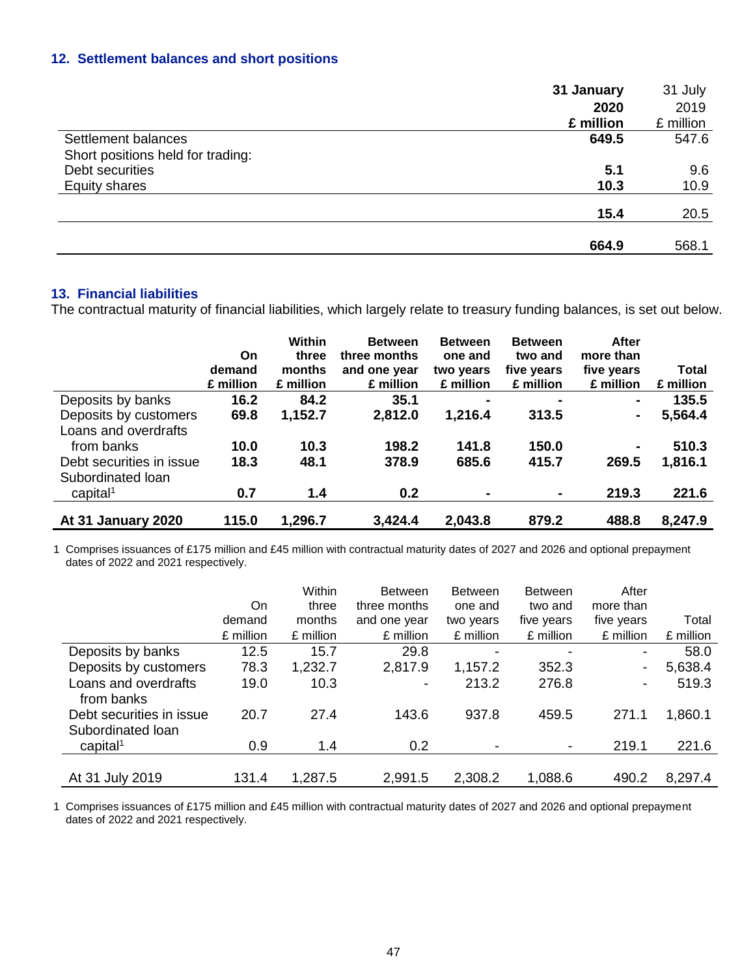# **12. Settlement balances and short positions**

|                                   | 31 January | 31 July   |
|-----------------------------------|------------|-----------|
|                                   | 2020       | 2019      |
|                                   | £ million  | £ million |
| Settlement balances               | 649.5      | 547.6     |
| Short positions held for trading: |            |           |
| Debt securities                   | 5.1        | 9.6       |
| <b>Equity shares</b>              | 10.3       | 10.9      |
|                                   | 15.4       | 20.5      |
|                                   | 664.9      | 568.1     |

#### **13. Financial liabilities**

The contractual maturity of financial liabilities, which largely relate to treasury funding balances, is set out below.

|                          | On<br>demand<br>£ million | Within<br>three<br>months<br>£ million | <b>Between</b><br>three months<br>and one year<br>£ million | <b>Between</b><br>one and<br>two years<br>£ million | <b>Between</b><br>two and<br>five years<br>£ million | After<br>more than<br>five years<br>£ million | Total<br>£ million |
|--------------------------|---------------------------|----------------------------------------|-------------------------------------------------------------|-----------------------------------------------------|------------------------------------------------------|-----------------------------------------------|--------------------|
| Deposits by banks        | 16.2                      | 84.2                                   | 35.1                                                        | $\blacksquare$                                      | $\blacksquare$                                       | $\blacksquare$                                | 135.5              |
| Deposits by customers    | 69.8                      | 1,152.7                                | 2,812.0                                                     | 1,216.4                                             | 313.5                                                | $\blacksquare$                                | 5,564.4            |
| Loans and overdrafts     |                           |                                        |                                                             |                                                     |                                                      |                                               |                    |
| from banks               | 10.0                      | 10.3                                   | 198.2                                                       | 141.8                                               | 150.0                                                | $\blacksquare$                                | 510.3              |
| Debt securities in issue | 18.3                      | 48.1                                   | 378.9                                                       | 685.6                                               | 415.7                                                | 269.5                                         | 1,816.1            |
| Subordinated Ioan        |                           |                                        |                                                             |                                                     |                                                      |                                               |                    |
| capital <sup>1</sup>     | 0.7                       | 1.4                                    | 0.2                                                         | $\blacksquare$                                      | $\blacksquare$                                       | 219.3                                         | 221.6              |
| At 31 January 2020       | 115.0                     | 1,296.7                                | 3,424.4                                                     | 2,043.8                                             | 879.2                                                | 488.8                                         | 8,247.9            |

1 Comprises issuances of £175 million and £45 million with contractual maturity dates of 2027 and 2026 and optional prepayment dates of 2022 and 2021 respectively.

|                                    |           | Within    | <b>Between</b>           | <b>Between</b> | <b>Between</b> | After                    |           |
|------------------------------------|-----------|-----------|--------------------------|----------------|----------------|--------------------------|-----------|
|                                    | On        | three     | three months             | one and        | two and        | more than                |           |
|                                    | demand    | months    | and one year             | two years      | five years     | five years               | Total     |
|                                    | £ million | £ million | £ million                | £ million      | £ million      | £ million                | £ million |
| Deposits by banks                  | 12.5      | 15.7      | 29.8                     | $\blacksquare$ |                | $\overline{\phantom{a}}$ | 58.0      |
| Deposits by customers              | 78.3      | 1,232.7   | 2,817.9                  | 1,157.2        | 352.3          | $\blacksquare$           | 5,638.4   |
| Loans and overdrafts<br>from banks | 19.0      | 10.3      | $\overline{\phantom{a}}$ | 213.2          | 276.8          | $\blacksquare$           | 519.3     |
| Debt securities in issue           | 20.7      | 27.4      | 143.6                    | 937.8          | 459.5          | 271.1                    | 1,860.1   |
| Subordinated Ioan                  |           |           |                          |                |                |                          |           |
| capital <sup>1</sup>               | 0.9       | 1.4       | 0.2                      | -              |                | 219.1                    | 221.6     |
|                                    |           |           |                          |                |                |                          |           |
| At 31 July 2019                    | 131.4     | 1,287.5   | 2,991.5                  | 2,308.2        | 1,088.6        | 490.2                    | 8,297.4   |

1 Comprises issuances of £175 million and £45 million with contractual maturity dates of 2027 and 2026 and optional prepayment dates of 2022 and 2021 respectively.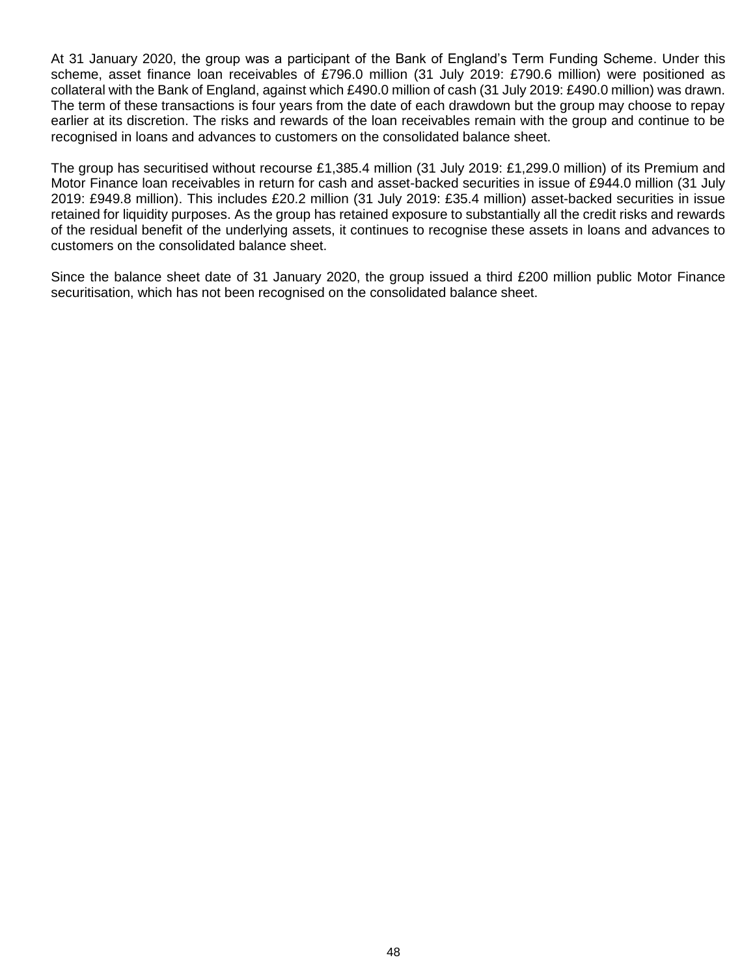At 31 January 2020, the group was a participant of the Bank of England's Term Funding Scheme. Under this scheme, asset finance loan receivables of £796.0 million (31 July 2019: £790.6 million) were positioned as collateral with the Bank of England, against which £490.0 million of cash (31 July 2019: £490.0 million) was drawn. The term of these transactions is four years from the date of each drawdown but the group may choose to repay earlier at its discretion. The risks and rewards of the loan receivables remain with the group and continue to be recognised in loans and advances to customers on the consolidated balance sheet.

The group has securitised without recourse £1,385.4 million (31 July 2019: £1,299.0 million) of its Premium and Motor Finance loan receivables in return for cash and asset-backed securities in issue of £944.0 million (31 July 2019: £949.8 million). This includes £20.2 million (31 July 2019: £35.4 million) asset-backed securities in issue retained for liquidity purposes. As the group has retained exposure to substantially all the credit risks and rewards of the residual benefit of the underlying assets, it continues to recognise these assets in loans and advances to customers on the consolidated balance sheet.

Since the balance sheet date of 31 January 2020, the group issued a third £200 million public Motor Finance securitisation, which has not been recognised on the consolidated balance sheet.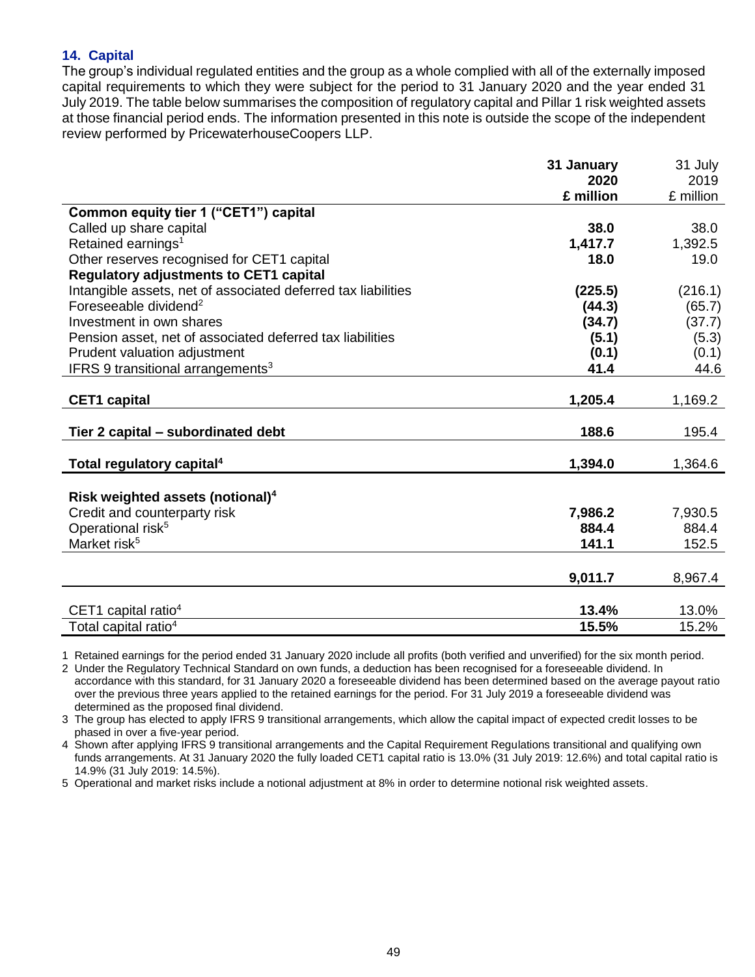# **14. Capital**

The group's individual regulated entities and the group as a whole complied with all of the externally imposed capital requirements to which they were subject for the period to 31 January 2020 and the year ended 31 July 2019. The table below summarises the composition of regulatory capital and Pillar 1 risk weighted assets at those financial period ends. The information presented in this note is outside the scope of the independent review performed by PricewaterhouseCoopers LLP.

|                                                               | 31 January | 31 July   |
|---------------------------------------------------------------|------------|-----------|
|                                                               | 2020       | 2019      |
|                                                               | £ million  | £ million |
| Common equity tier 1 ("CET1") capital                         |            |           |
| Called up share capital                                       | 38.0       | 38.0      |
| Retained earnings <sup>1</sup>                                | 1,417.7    | 1,392.5   |
| Other reserves recognised for CET1 capital                    | 18.0       | 19.0      |
| <b>Regulatory adjustments to CET1 capital</b>                 |            |           |
| Intangible assets, net of associated deferred tax liabilities | (225.5)    | (216.1)   |
| Foreseeable dividend <sup>2</sup>                             | (44.3)     | (65.7)    |
| Investment in own shares                                      | (34.7)     | (37.7)    |
| Pension asset, net of associated deferred tax liabilities     | (5.1)      | (5.3)     |
| Prudent valuation adjustment                                  | (0.1)      | (0.1)     |
| <b>IFRS 9 transitional arrangements</b> $3$                   | 41.4       | 44.6      |
|                                                               |            |           |
| <b>CET1 capital</b>                                           | 1,205.4    | 1,169.2   |
| Tier 2 capital – subordinated debt                            | 188.6      | 195.4     |
| Total regulatory capital <sup>4</sup>                         | 1,394.0    | 1,364.6   |
|                                                               |            |           |
| Risk weighted assets (notional) <sup>4</sup>                  |            |           |
| Credit and counterparty risk                                  | 7,986.2    | 7,930.5   |
| Operational risk <sup>5</sup>                                 | 884.4      | 884.4     |
| Market risk <sup>5</sup>                                      | 141.1      | 152.5     |
|                                                               | 9,011.7    | 8,967.4   |
|                                                               |            |           |
| CET1 capital ratio <sup>4</sup>                               | 13.4%      | 13.0%     |
| Total capital ratio <sup>4</sup>                              | 15.5%      | 15.2%     |

1 Retained earnings for the period ended 31 January 2020 include all profits (both verified and unverified) for the six month period.

2 Under the Regulatory Technical Standard on own funds, a deduction has been recognised for a foreseeable dividend. In accordance with this standard, for 31 January 2020 a foreseeable dividend has been determined based on the average payout ratio over the previous three years applied to the retained earnings for the period. For 31 July 2019 a foreseeable dividend was determined as the proposed final dividend.

3 The group has elected to apply IFRS 9 transitional arrangements, which allow the capital impact of expected credit losses to be phased in over a five-year period.

4 Shown after applying IFRS 9 transitional arrangements and the Capital Requirement Regulations transitional and qualifying own funds arrangements. At 31 January 2020 the fully loaded CET1 capital ratio is 13.0% (31 July 2019: 12.6%) and total capital ratio is 14.9% (31 July 2019: 14.5%).

5 Operational and market risks include a notional adjustment at 8% in order to determine notional risk weighted assets.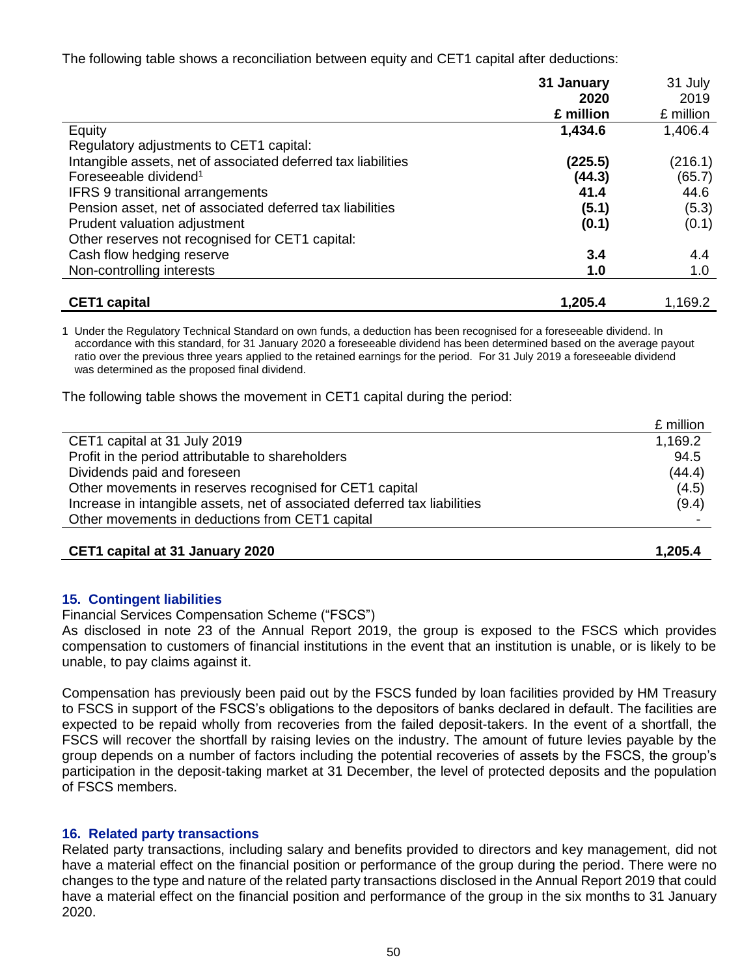The following table shows a reconciliation between equity and CET1 capital after deductions:

|                                                               | 31 January | 31 July   |
|---------------------------------------------------------------|------------|-----------|
|                                                               | 2020       | 2019      |
|                                                               | £ million  | £ million |
| Equity                                                        | 1,434.6    | 1,406.4   |
| Regulatory adjustments to CET1 capital:                       |            |           |
| Intangible assets, net of associated deferred tax liabilities | (225.5)    | (216.1)   |
| Foreseeable dividend <sup>1</sup>                             | (44.3)     | (65.7)    |
| <b>IFRS 9 transitional arrangements</b>                       | 41.4       | 44.6      |
| Pension asset, net of associated deferred tax liabilities     | (5.1)      | (5.3)     |
| Prudent valuation adjustment                                  | (0.1)      | (0.1)     |
| Other reserves not recognised for CET1 capital:               |            |           |
| Cash flow hedging reserve                                     | 3.4        | 4.4       |
| Non-controlling interests                                     | 1.0        | 1.0       |
| <b>CET1</b> capital                                           | 1,205.4    | 1,169.2   |

1 Under the Regulatory Technical Standard on own funds, a deduction has been recognised for a foreseeable dividend. In accordance with this standard, for 31 January 2020 a foreseeable dividend has been determined based on the average payout ratio over the previous three years applied to the retained earnings for the period. For 31 July 2019 a foreseeable dividend was determined as the proposed final dividend.

The following table shows the movement in CET1 capital during the period:

|                                                                           | £ million |
|---------------------------------------------------------------------------|-----------|
| CET1 capital at 31 July 2019                                              | 1,169.2   |
| Profit in the period attributable to shareholders                         | 94.5      |
| Dividends paid and foreseen                                               | (44.4)    |
| Other movements in reserves recognised for CET1 capital                   | (4.5)     |
| Increase in intangible assets, net of associated deferred tax liabilities | (9.4)     |
| Other movements in deductions from CET1 capital                           |           |
|                                                                           |           |
| CET1 capital at 31 January 2020                                           | 1,205.4   |

# **15. Contingent liabilities**

Financial Services Compensation Scheme ("FSCS")

As disclosed in note 23 of the Annual Report 2019, the group is exposed to the FSCS which provides compensation to customers of financial institutions in the event that an institution is unable, or is likely to be unable, to pay claims against it.

Compensation has previously been paid out by the FSCS funded by loan facilities provided by HM Treasury to FSCS in support of the FSCS's obligations to the depositors of banks declared in default. The facilities are expected to be repaid wholly from recoveries from the failed deposit-takers. In the event of a shortfall, the FSCS will recover the shortfall by raising levies on the industry. The amount of future levies payable by the group depends on a number of factors including the potential recoveries of assets by the FSCS, the group's participation in the deposit-taking market at 31 December, the level of protected deposits and the population of FSCS members.

#### **16. Related party transactions**

Related party transactions, including salary and benefits provided to directors and key management, did not have a material effect on the financial position or performance of the group during the period. There were no changes to the type and nature of the related party transactions disclosed in the Annual Report 2019 that could have a material effect on the financial position and performance of the group in the six months to 31 January 2020.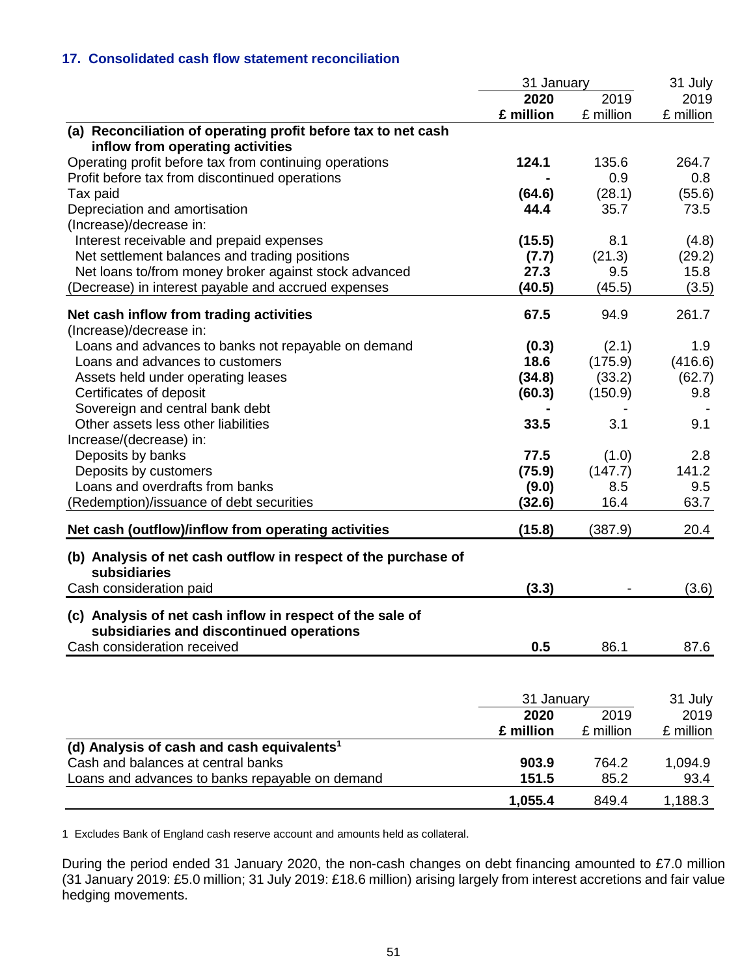# **17. Consolidated cash flow statement reconciliation**

|                                                                                                          | 31 January |           | 31 July   |
|----------------------------------------------------------------------------------------------------------|------------|-----------|-----------|
|                                                                                                          | 2020       | 2019      | 2019      |
|                                                                                                          | £ million  | £ million | £ million |
| (a) Reconciliation of operating profit before tax to net cash                                            |            |           |           |
| inflow from operating activities                                                                         | 124.1      | 135.6     | 264.7     |
| Operating profit before tax from continuing operations<br>Profit before tax from discontinued operations |            | 0.9       | 0.8       |
| Tax paid                                                                                                 | (64.6)     | (28.1)    | (55.6)    |
| Depreciation and amortisation                                                                            | 44.4       | 35.7      | 73.5      |
| (Increase)/decrease in:                                                                                  |            |           |           |
| Interest receivable and prepaid expenses                                                                 | (15.5)     | 8.1       | (4.8)     |
| Net settlement balances and trading positions                                                            | (7.7)      | (21.3)    | (29.2)    |
| Net loans to/from money broker against stock advanced                                                    | 27.3       | 9.5       | 15.8      |
| (Decrease) in interest payable and accrued expenses                                                      | (40.5)     | (45.5)    | (3.5)     |
|                                                                                                          |            |           |           |
| Net cash inflow from trading activities                                                                  | 67.5       | 94.9      | 261.7     |
| (Increase)/decrease in:                                                                                  |            |           |           |
| Loans and advances to banks not repayable on demand                                                      | (0.3)      | (2.1)     | 1.9       |
| Loans and advances to customers                                                                          | 18.6       | (175.9)   | (416.6)   |
| Assets held under operating leases                                                                       | (34.8)     | (33.2)    | (62.7)    |
| Certificates of deposit                                                                                  | (60.3)     | (150.9)   | 9.8       |
| Sovereign and central bank debt                                                                          |            |           |           |
| Other assets less other liabilities                                                                      | 33.5       | 3.1       | 9.1       |
| Increase/(decrease) in:                                                                                  |            |           |           |
| Deposits by banks                                                                                        | 77.5       | (1.0)     | 2.8       |
| Deposits by customers                                                                                    | (75.9)     | (147.7)   | 141.2     |
| Loans and overdrafts from banks                                                                          | (9.0)      | 8.5       | 9.5       |
| (Redemption)/issuance of debt securities                                                                 | (32.6)     | 16.4      | 63.7      |
| Net cash (outflow)/inflow from operating activities                                                      | (15.8)     | (387.9)   | 20.4      |
| (b) Analysis of net cash outflow in respect of the purchase of                                           |            |           |           |
| subsidiaries                                                                                             |            |           |           |
| Cash consideration paid                                                                                  | (3.3)      |           | (3.6)     |
| (c) Analysis of net cash inflow in respect of the sale of                                                |            |           |           |
| subsidiaries and discontinued operations                                                                 |            |           |           |
| Cash consideration received                                                                              | 0.5        | 86.1      | 87.6      |
|                                                                                                          |            |           |           |
|                                                                                                          |            |           |           |
|                                                                                                          | 31 January |           | 31 July   |
|                                                                                                          | 2020       | 2019      | 2019      |
|                                                                                                          | £ million  | £ million | £ million |
| (d) Analysis of cash and cash equivalents <sup>1</sup>                                                   |            |           |           |
| Cash and balances at central banks                                                                       | 903.9      | 764.2     | 1,094.9   |
| Loans and advances to banks repayable on demand                                                          | 151.5      | 85.2      | 93.4      |
|                                                                                                          | 1,055.4    | 849.4     | 1,188.3   |

1 Excludes Bank of England cash reserve account and amounts held as collateral.

During the period ended 31 January 2020, the non-cash changes on debt financing amounted to £7.0 million (31 January 2019: £5.0 million; 31 July 2019: £18.6 million) arising largely from interest accretions and fair value hedging movements.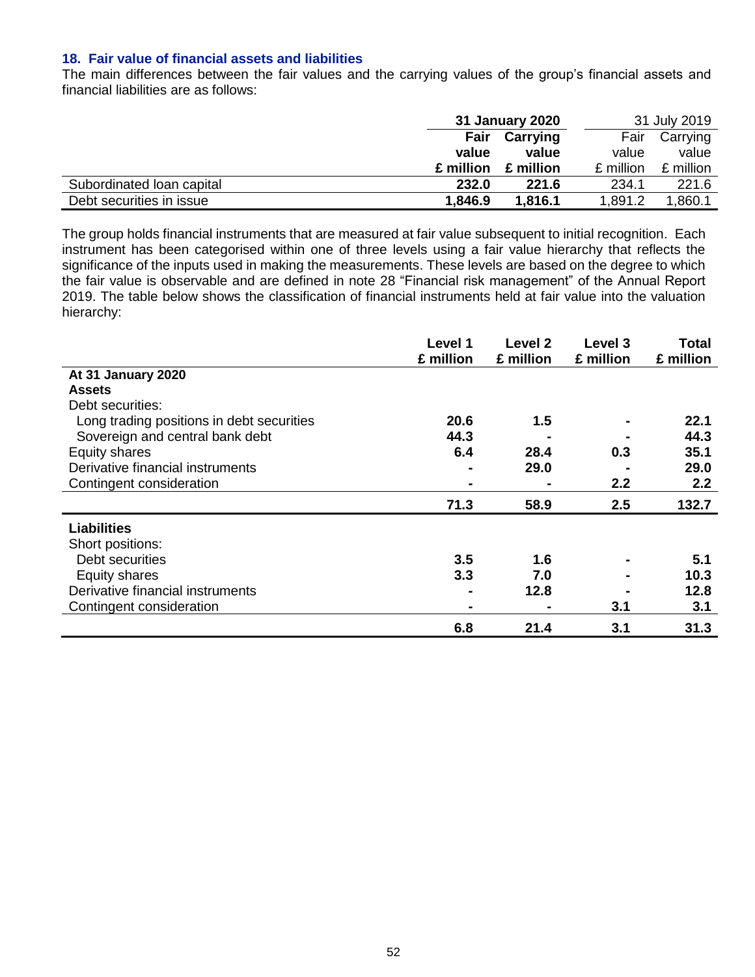#### **18. Fair value of financial assets and liabilities**

The main differences between the fair values and the carrying values of the group's financial assets and financial liabilities are as follows:

|                           | 31 January 2020 |           |           | 31 July 2019 |
|---------------------------|-----------------|-----------|-----------|--------------|
|                           | Fair            | Carrying  | Fair      | Carrying     |
|                           | value           | value     | value     | value        |
|                           | £ million       | £ million | £ million | £ million    |
| Subordinated Ioan capital | 232.0           | 221.6     | 234.1     | 221.6        |
| Debt securities in issue  | 1,846.9         | 1,816.1   | 1,891.2   | .860.1       |

The group holds financial instruments that are measured at fair value subsequent to initial recognition. Each instrument has been categorised within one of three levels using a fair value hierarchy that reflects the significance of the inputs used in making the measurements. These levels are based on the degree to which the fair value is observable and are defined in note 28 "Financial risk management" of the Annual Report 2019. The table below shows the classification of financial instruments held at fair value into the valuation hierarchy:

|                                           | Level 1<br>£ million | Level 2<br>£ million | Level 3<br>£ million | Total<br>£ million |
|-------------------------------------------|----------------------|----------------------|----------------------|--------------------|
| At 31 January 2020                        |                      |                      |                      |                    |
| <b>Assets</b>                             |                      |                      |                      |                    |
| Debt securities:                          |                      |                      |                      |                    |
| Long trading positions in debt securities | 20.6                 | $1.5\,$              |                      | 22.1               |
| Sovereign and central bank debt           | 44.3                 |                      |                      | 44.3               |
| Equity shares                             | 6.4                  | 28.4                 | 0.3                  | 35.1               |
| Derivative financial instruments          | $\blacksquare$       | 29.0                 |                      | 29.0               |
| Contingent consideration                  | $\blacksquare$       |                      | 2.2                  | 2.2                |
|                                           | 71.3                 | 58.9                 | 2.5                  | 132.7              |
| <b>Liabilities</b>                        |                      |                      |                      |                    |
| Short positions:                          |                      |                      |                      |                    |
| Debt securities                           | 3.5                  | 1.6                  |                      | 5.1                |
| Equity shares                             | 3.3                  | 7.0                  | ۰.                   | 10.3               |
| Derivative financial instruments          | $\blacksquare$       | 12.8                 |                      | 12.8               |
| Contingent consideration                  | $\blacksquare$       |                      | 3.1                  | 3.1                |
|                                           | 6.8                  | 21.4                 | 3.1                  | 31.3               |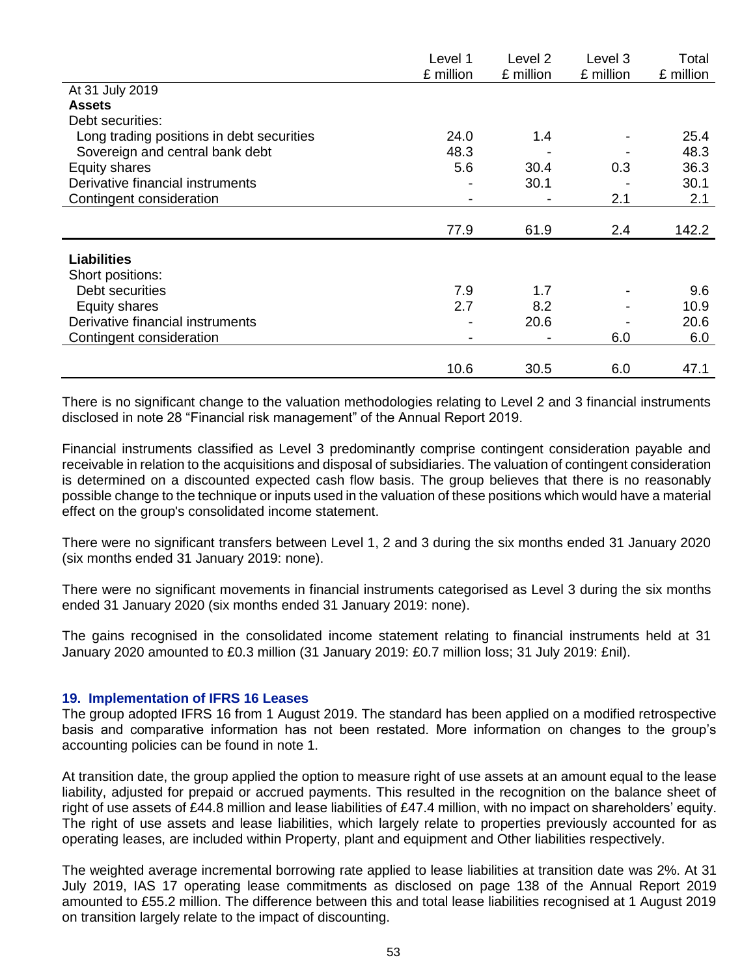|                                           | Level 1   | Level <sub>2</sub> | Level 3   | Total     |
|-------------------------------------------|-----------|--------------------|-----------|-----------|
|                                           | £ million | £ million          | £ million | £ million |
| At 31 July 2019                           |           |                    |           |           |
| <b>Assets</b>                             |           |                    |           |           |
| Debt securities:                          |           |                    |           |           |
| Long trading positions in debt securities | 24.0      | 1.4                |           | 25.4      |
| Sovereign and central bank debt           | 48.3      |                    |           | 48.3      |
| <b>Equity shares</b>                      | 5.6       | 30.4               | 0.3       | 36.3      |
| Derivative financial instruments          |           | 30.1               |           | 30.1      |
| Contingent consideration                  |           |                    | 2.1       | 2.1       |
|                                           |           |                    |           |           |
|                                           | 77.9      | 61.9               | 2.4       | 142.2     |
| <b>Liabilities</b>                        |           |                    |           |           |
| Short positions:                          |           |                    |           |           |
| Debt securities                           | 7.9       | 1.7                |           | 9.6       |
| Equity shares                             | 2.7       | 8.2                |           | 10.9      |
|                                           |           |                    |           |           |
| Derivative financial instruments          |           | 20.6               |           | 20.6      |
| Contingent consideration                  |           |                    | 6.0       | 6.0       |
|                                           |           |                    |           |           |
|                                           | 10.6      | 30.5               | 6.0       | 47.1      |

There is no significant change to the valuation methodologies relating to Level 2 and 3 financial instruments disclosed in note 28 "Financial risk management" of the Annual Report 2019.

Financial instruments classified as Level 3 predominantly comprise contingent consideration payable and receivable in relation to the acquisitions and disposal of subsidiaries. The valuation of contingent consideration is determined on a discounted expected cash flow basis. The group believes that there is no reasonably possible change to the technique or inputs used in the valuation of these positions which would have a material effect on the group's consolidated income statement.

There were no significant transfers between Level 1, 2 and 3 during the six months ended 31 January 2020 (six months ended 31 January 2019: none).

There were no significant movements in financial instruments categorised as Level 3 during the six months ended 31 January 2020 (six months ended 31 January 2019: none).

The gains recognised in the consolidated income statement relating to financial instruments held at 31 January 2020 amounted to £0.3 million (31 January 2019: £0.7 million loss; 31 July 2019: £nil).

#### **19. Implementation of IFRS 16 Leases**

The group adopted IFRS 16 from 1 August 2019. The standard has been applied on a modified retrospective basis and comparative information has not been restated. More information on changes to the group's accounting policies can be found in note 1.

At transition date, the group applied the option to measure right of use assets at an amount equal to the lease liability, adjusted for prepaid or accrued payments. This resulted in the recognition on the balance sheet of right of use assets of £44.8 million and lease liabilities of £47.4 million, with no impact on shareholders' equity. The right of use assets and lease liabilities, which largely relate to properties previously accounted for as operating leases, are included within Property, plant and equipment and Other liabilities respectively.

The weighted average incremental borrowing rate applied to lease liabilities at transition date was 2%. At 31 July 2019, IAS 17 operating lease commitments as disclosed on page 138 of the Annual Report 2019 amounted to £55.2 million. The difference between this and total lease liabilities recognised at 1 August 2019 on transition largely relate to the impact of discounting.